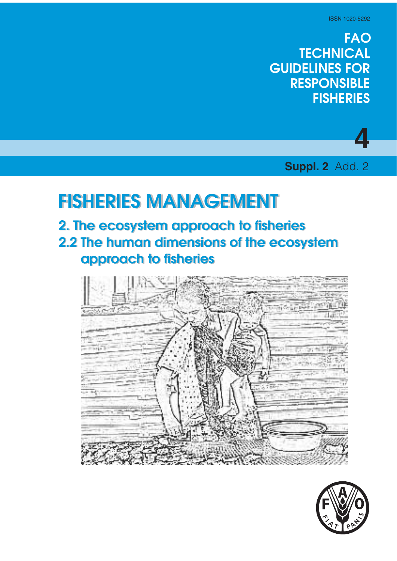# **FAO TECHNICAL GUIDELINES FOR RESPONSIBLE FISHERIES**



**Suppl. 2** Add. 2

# **FISHERIES MANAGEMENT FISHERIES MANAGEMENT**

- **2. The ecosystem approach to fisheries 2. The ecosystem approach to fisheries**
- **2.2 The human dimensions of the ecosystem 2.2 The human dimensions of the ecosystem approach to fisheries approach to fisheries**



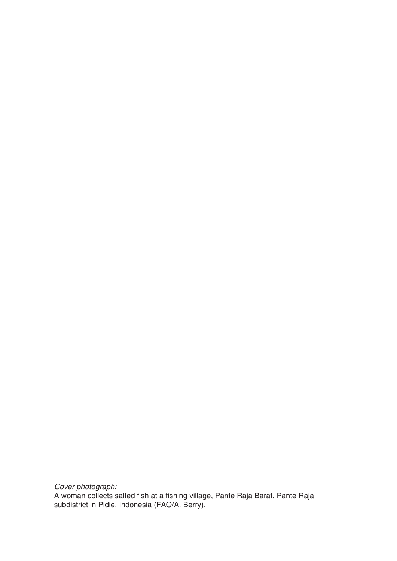Cover photograph:

A woman collects salted fish at a fishing village, Pante Raja Barat, Pante Raja subdistrict in Pidie, Indonesia (FAO/A. Berry).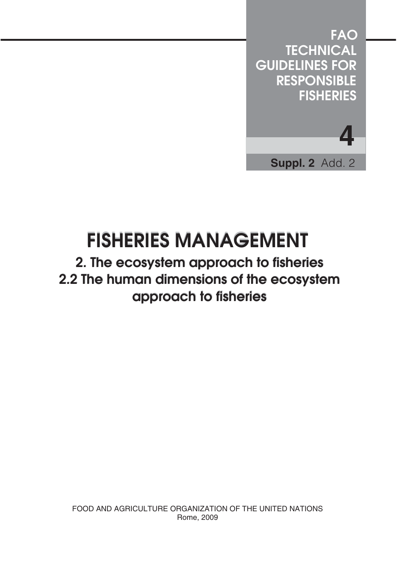

# **FISHERIES MANAGEMENT FISHERIES MANAGEMENT**

# **2. The ecosystem approach to fisheries 2. The ecosystem approach to fisheries 2.2 The human dimensions of the ecosystem 2.2 The human dimensions of the ecosystem approach to fisheries approach to fisheries**

FOOD AND AGRICULTURE ORGANIZATION OF THE UNITED NATIONS Rome, 2009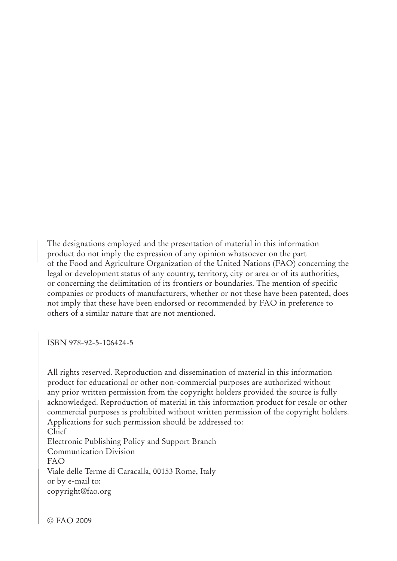The designations employed and the presentation of material in this information product do not imply the expression of any opinion whatsoever on the part of the Food and Agriculture Organization of the United Nations (FAO) concerning the legal or development status of any country, territory, city or area or of its authorities, or concerning the delimitation of its frontiers or boundaries. The mention of specific companies or products of manufacturers, whether or not these have been patented, does not imply that these have been endorsed or recommended by FAO in preference to others of a similar nature that are not mentioned.

TSBN 978-92-5-106424-5

All rights reserved. Reproduction and dissemination of material in this information product for educational or other non-commercial purposes are authorized without any prior written permission from the copyright holders provided the source is fully acknowledged. Reproduction of material in this information product for resale or other commercial purposes is prohibited without written permission of the copyright holders. Applications for such permission should be addressed to: Chief Electronic Publishing Policy and Support Branch Communication Division  $FAO$ Viale delle Terme di Caracalla, 00153 Rome, Italy or by e-mail to: copyright@fao.org

© FAO 2009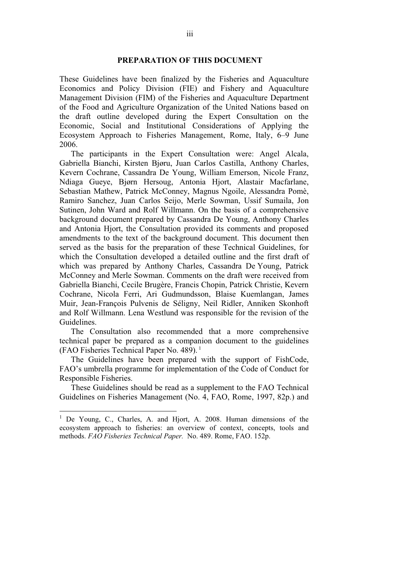#### **PREPARATION OF THIS DOCUMENT**

These Guidelines have been finalized by the Fisheries and Aquaculture Economics and Policy Division (FIE) and Fishery and Aquaculture Management Division (FIM) of the Fisheries and Aquaculture Department of the Food and Agriculture Organization of the United Nations based on the draft outline developed during the Expert Consultation on the Economic, Social and Institutional Considerations of Applying the Ecosystem Approach to Fisheries Management, Rome, Italy, 6–9 June 2006.

The participants in the Expert Consultation were: Angel Alcala, Gabriella Bianchi, Kirsten Bjøru, Juan Carlos Castilla, Anthony Charles, Kevern Cochrane, Cassandra De Young, William Emerson, Nicole Franz, Ndiaga Gueye, Bjørn Hersoug, Antonia Hjort, Alastair Macfarlane, Sebastian Mathew, Patrick McConney, Magnus Ngoile, Alessandra Pomè, Ramiro Sanchez, Juan Carlos Seijo, Merle Sowman, Ussif Sumaila, Jon Sutinen, John Ward and Rolf Willmann. On the basis of a comprehensive background document prepared by Cassandra De Young, Anthony Charles and Antonia Hjort, the Consultation provided its comments and proposed amendments to the text of the background document. This document then served as the basis for the preparation of these Technical Guidelines, for which the Consultation developed a detailed outline and the first draft of which was prepared by Anthony Charles, Cassandra De Young, Patrick McConney and Merle Sowman. Comments on the draft were received from Gabriella Bianchi, Cecile Brugère, Francis Chopin, Patrick Christie, Kevern Cochrane, Nicola Ferri, Ari Gudmundsson, Blaise Kuemlangan, James Muir, Jean-François Pulvenis de Séligny, Neil Ridler, Anniken Skonhoft and Rolf Willmann. Lena Westlund was responsible for the revision of the Guidelines.

The Consultation also recommended that a more comprehensive technical paper be prepared as a companion document to the guidelines (FAO Fisheries Technical Paper No. 489).<sup>1</sup>

The Guidelines have been prepared with the support of FishCode, FAO's umbrella programme for implementation of the Code of Conduct for Responsible Fisheries.

These Guidelines should be read as a supplement to the FAO Technical Guidelines on Fisheries Management (No. 4, FAO, Rome, 1997, 82p.) and

 $\overline{a}$ 

<sup>&</sup>lt;sup>1</sup> De Young, C., Charles, A. and Hjort, A. 2008. Human dimensions of the ecosystem approach to fisheries: an overview of context, concepts, tools and methods. *FAO Fisheries Technical Paper.* No. 489. Rome, FAO. 152p.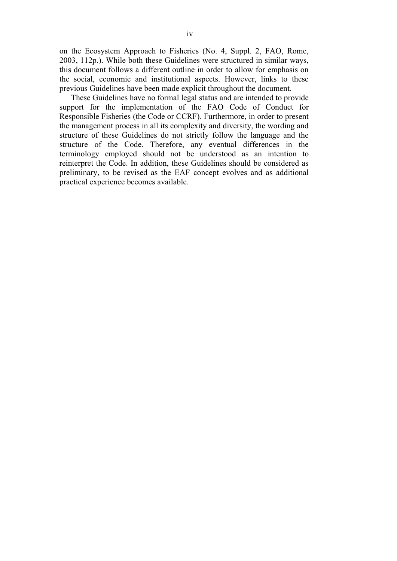on the Ecosystem Approach to Fisheries (No. 4, Suppl. 2, FAO, Rome, 2003, 112p.). While both these Guidelines were structured in similar ways, this document follows a different outline in order to allow for emphasis on the social, economic and institutional aspects. However, links to these previous Guidelines have been made explicit throughout the document.

These Guidelines have no formal legal status and are intended to provide support for the implementation of the FAO Code of Conduct for Responsible Fisheries (the Code or CCRF). Furthermore, in order to present the management process in all its complexity and diversity, the wording and structure of these Guidelines do not strictly follow the language and the structure of the Code. Therefore, any eventual differences in the terminology employed should not be understood as an intention to reinterpret the Code. In addition, these Guidelines should be considered as preliminary, to be revised as the EAF concept evolves and as additional practical experience becomes available.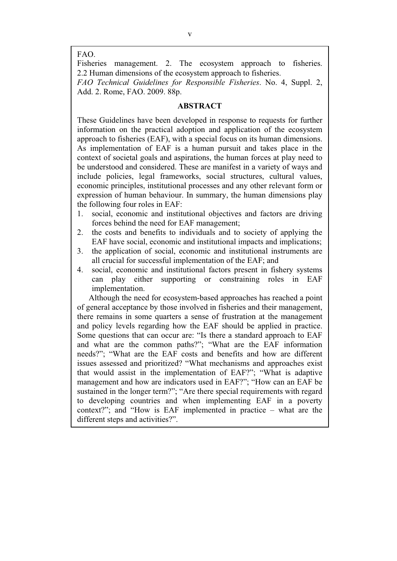#### FAO.

Fisheries management. 2. The ecosystem approach to fisheries. 2.2 Human dimensions of the ecosystem approach to fisheries.

*FAO Technical Guidelines for Responsible Fisheries*. No. 4, Suppl. 2, Add. 2. Rome, FAO. 2009. 88p.

#### **ABSTRACT**

These Guidelines have been developed in response to requests for further information on the practical adoption and application of the ecosystem approach to fisheries (EAF), with a special focus on its human dimensions. As implementation of EAF is a human pursuit and takes place in the context of societal goals and aspirations, the human forces at play need to be understood and considered. These are manifest in a variety of ways and include policies, legal frameworks, social structures, cultural values, economic principles, institutional processes and any other relevant form or expression of human behaviour. In summary, the human dimensions play the following four roles in EAF:

- 1. social, economic and institutional objectives and factors are driving forces behind the need for EAF management;
- 2. the costs and benefits to individuals and to society of applying the EAF have social, economic and institutional impacts and implications;
- 3. the application of social, economic and institutional instruments are all crucial for successful implementation of the EAF; and
- 4. social, economic and institutional factors present in fishery systems can play either supporting or constraining roles in EAF implementation.

Although the need for ecosystem-based approaches has reached a point of general acceptance by those involved in fisheries and their management, there remains in some quarters a sense of frustration at the management and policy levels regarding how the EAF should be applied in practice. Some questions that can occur are: "Is there a standard approach to EAF and what are the common paths?"; "What are the EAF information needs?"; "What are the EAF costs and benefits and how are different issues assessed and prioritized? "What mechanisms and approaches exist that would assist in the implementation of EAF?"; "What is adaptive management and how are indicators used in EAF?"; "How can an EAF be sustained in the longer term?"; "Are there special requirements with regard to developing countries and when implementing EAF in a poverty context?"; and "How is EAF implemented in practice – what are the different steps and activities?".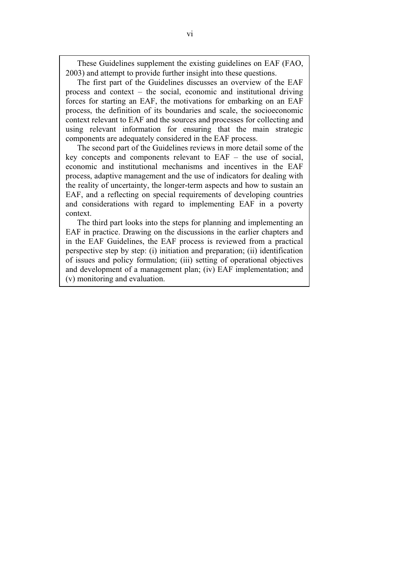These Guidelines supplement the existing guidelines on EAF (FAO, 2003) and attempt to provide further insight into these questions.

The first part of the Guidelines discusses an overview of the EAF process and context – the social, economic and institutional driving forces for starting an EAF, the motivations for embarking on an EAF process, the definition of its boundaries and scale, the socioeconomic context relevant to EAF and the sources and processes for collecting and using relevant information for ensuring that the main strategic components are adequately considered in the EAF process.

The second part of the Guidelines reviews in more detail some of the key concepts and components relevant to EAF – the use of social, economic and institutional mechanisms and incentives in the EAF process, adaptive management and the use of indicators for dealing with the reality of uncertainty, the longer-term aspects and how to sustain an EAF, and a reflecting on special requirements of developing countries and considerations with regard to implementing EAF in a poverty context.

The third part looks into the steps for planning and implementing an EAF in practice. Drawing on the discussions in the earlier chapters and in the EAF Guidelines, the EAF process is reviewed from a practical perspective step by step: (i) initiation and preparation; (ii) identification of issues and policy formulation; (iii) setting of operational objectives and development of a management plan; (iv) EAF implementation; and (v) monitoring and evaluation.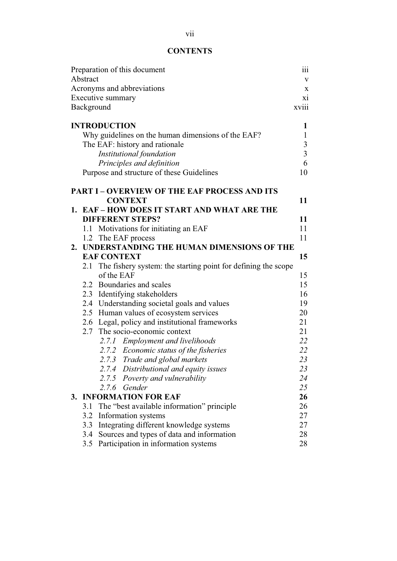### **CONTENTS**

| Preparation of this document                       |                                |                                                               |    |  |  |  |  |
|----------------------------------------------------|--------------------------------|---------------------------------------------------------------|----|--|--|--|--|
| Abstract                                           |                                |                                                               |    |  |  |  |  |
| Acronyms and abbreviations                         |                                |                                                               |    |  |  |  |  |
|                                                    | Executive summary              |                                                               |    |  |  |  |  |
|                                                    | xviii<br>Background            |                                                               |    |  |  |  |  |
|                                                    |                                | <b>INTRODUCTION</b>                                           | 1  |  |  |  |  |
| Why guidelines on the human dimensions of the EAF? |                                |                                                               |    |  |  |  |  |
|                                                    | The EAF: history and rationale |                                                               |    |  |  |  |  |
|                                                    | Institutional foundation       |                                                               |    |  |  |  |  |
|                                                    |                                | Principles and definition                                     | 6  |  |  |  |  |
|                                                    |                                | Purpose and structure of these Guidelines                     | 10 |  |  |  |  |
|                                                    |                                | <b>PART I - OVERVIEW OF THE EAF PROCESS AND ITS</b>           |    |  |  |  |  |
|                                                    |                                | <b>CONTEXT</b>                                                | 11 |  |  |  |  |
|                                                    |                                | 1. EAF-HOW DOES IT START AND WHAT ARE THE                     |    |  |  |  |  |
|                                                    |                                | <b>DIFFERENT STEPS?</b>                                       | 11 |  |  |  |  |
|                                                    |                                | 1.1 Motivations for initiating an EAF                         | 11 |  |  |  |  |
|                                                    |                                | 1.2 The EAF process                                           | 11 |  |  |  |  |
|                                                    |                                | 2. UNDERSTANDING THE HUMAN DIMENSIONS OF THE                  |    |  |  |  |  |
|                                                    |                                | <b>EAF CONTEXT</b>                                            | 15 |  |  |  |  |
|                                                    | 2.1                            | The fishery system: the starting point for defining the scope |    |  |  |  |  |
|                                                    |                                | of the EAF                                                    | 15 |  |  |  |  |
|                                                    |                                | 2.2 Boundaries and scales                                     | 15 |  |  |  |  |
|                                                    |                                | 2.3 Identifying stakeholders                                  | 16 |  |  |  |  |
|                                                    |                                | 2.4 Understanding societal goals and values                   | 19 |  |  |  |  |
|                                                    |                                | 2.5 Human values of ecosystem services                        | 20 |  |  |  |  |
|                                                    |                                | 2.6 Legal, policy and institutional frameworks                | 21 |  |  |  |  |
|                                                    | 2.7                            | The socio-economic context                                    | 21 |  |  |  |  |
|                                                    |                                | 2.7.1 Employment and livelihoods                              | 22 |  |  |  |  |
|                                                    |                                | 2.7.2 Economic status of the fisheries                        | 22 |  |  |  |  |
|                                                    |                                | 2.7.3 Trade and global markets                                | 23 |  |  |  |  |
|                                                    |                                | 2.7.4 Distributional and equity issues                        | 23 |  |  |  |  |
|                                                    |                                | 2.7.5 Poverty and vulnerability                               | 24 |  |  |  |  |
|                                                    |                                | 2.7.6 Gender                                                  | 25 |  |  |  |  |
|                                                    |                                | 3. INFORMATION FOR EAF                                        | 26 |  |  |  |  |
|                                                    | 3.1                            | The "best available information" principle                    | 26 |  |  |  |  |
|                                                    | 3.2                            | Information systems                                           | 27 |  |  |  |  |
|                                                    | 3.3                            | Integrating different knowledge systems                       | 27 |  |  |  |  |
|                                                    | 3.4                            | Sources and types of data and information                     | 28 |  |  |  |  |
|                                                    | 3.5                            | Participation in information systems                          | 28 |  |  |  |  |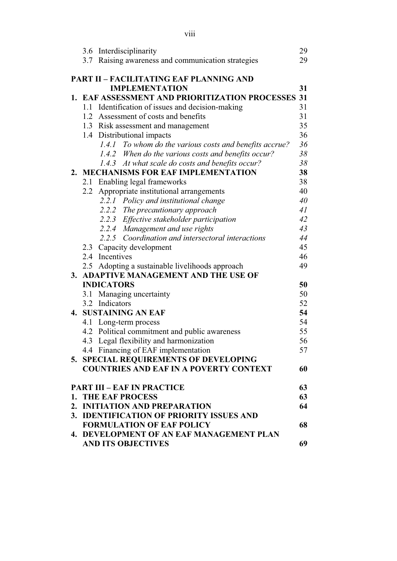|                                          | 3.6 Interdisciplinarity                                 | 29 |  |  |
|------------------------------------------|---------------------------------------------------------|----|--|--|
|                                          | 3.7 Raising awareness and communication strategies      | 29 |  |  |
|                                          | <b>PART II - FACILITATING EAF PLANNING AND</b>          |    |  |  |
|                                          | <b>IMPLEMENTATION</b>                                   | 31 |  |  |
|                                          | 1. EAF ASSESSMENT AND PRIORITIZATION PROCESSES          | 31 |  |  |
|                                          | 1.1 Identification of issues and decision-making        | 31 |  |  |
|                                          | 1.2 Assessment of costs and benefits                    | 31 |  |  |
|                                          | 1.3 Risk assessment and management                      | 35 |  |  |
|                                          | 1.4 Distributional impacts                              | 36 |  |  |
|                                          | 1.4.1 To whom do the various costs and benefits accrue? | 36 |  |  |
|                                          | 1.4.2 When do the various costs and benefits occur?     | 38 |  |  |
|                                          | 1.4.3 At what scale do costs and benefits occur?        | 38 |  |  |
|                                          | 2. MECHANISMS FOR EAF IMPLEMENTATION                    | 38 |  |  |
|                                          | 2.1 Enabling legal frameworks                           | 38 |  |  |
|                                          | 2.2 Appropriate institutional arrangements              | 40 |  |  |
|                                          | 2.2.1 Policy and institutional change                   | 40 |  |  |
|                                          | 2.2.2 The precautionary approach                        | 41 |  |  |
|                                          | 2.2.3 Effective stakeholder participation               | 42 |  |  |
|                                          | 2.2.4 Management and use rights                         | 43 |  |  |
|                                          | 2.2.5 Coordination and intersectoral interactions       | 44 |  |  |
|                                          | 2.3 Capacity development                                | 45 |  |  |
|                                          | 2.4 Incentives                                          | 46 |  |  |
|                                          | 2.5 Adopting a sustainable livelihoods approach         | 49 |  |  |
|                                          | 3. ADAPTIVE MANAGEMENT AND THE USE OF                   |    |  |  |
|                                          | <b>INDICATORS</b>                                       | 50 |  |  |
|                                          | 3.1 Managing uncertainty                                | 50 |  |  |
|                                          | 3.2 Indicators                                          | 52 |  |  |
|                                          | <b>4. SUSTAINING AN EAF</b>                             | 54 |  |  |
|                                          | 4.1 Long-term process                                   | 54 |  |  |
|                                          | 4.2 Political commitment and public awareness           | 55 |  |  |
|                                          | 4.3 Legal flexibility and harmonization                 | 56 |  |  |
|                                          | 4.4 Financing of EAF implementation                     | 57 |  |  |
|                                          | 5. SPECIAL REQUIREMENTS OF DEVELOPING                   |    |  |  |
|                                          | <b>COUNTRIES AND EAF IN A POVERTY CONTEXT</b>           | 60 |  |  |
|                                          | <b>PART III - EAF IN PRACTICE</b>                       | 63 |  |  |
|                                          | 1. THE EAF PROCESS                                      | 63 |  |  |
|                                          | 2. INITIATION AND PREPARATION                           | 64 |  |  |
|                                          | 3. IDENTIFICATION OF PRIORITY ISSUES AND                |    |  |  |
| <b>FORMULATION OF EAF POLICY</b><br>68   |                                                         |    |  |  |
| 4. DEVELOPMENT OF AN EAF MANAGEMENT PLAN |                                                         |    |  |  |
|                                          | <b>AND ITS OBJECTIVES</b>                               | 69 |  |  |

viii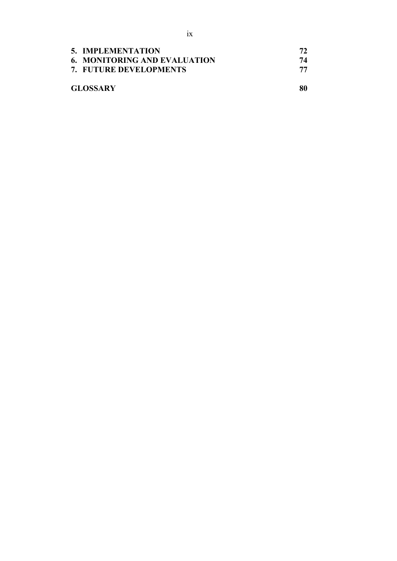| 5. IMPLEMENTATION                   |    |
|-------------------------------------|----|
| <b>6. MONITORING AND EVALUATION</b> | 74 |
| 7. FUTURE DEVELOPMENTS              |    |
| <b>GLOSSARY</b>                     | 80 |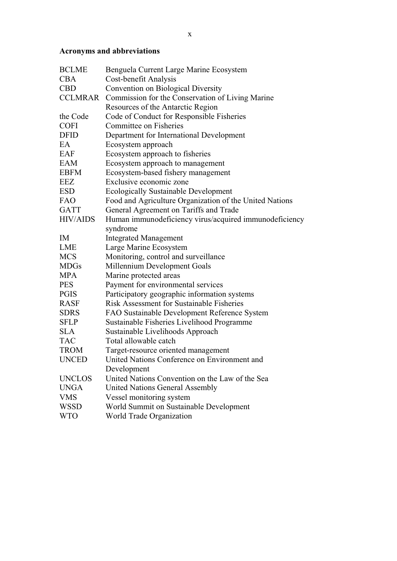## **Acronyms and abbreviations**

| <b>BCLME</b>    | Benguela Current Large Marine Ecosystem                  |
|-----------------|----------------------------------------------------------|
| <b>CBA</b>      | Cost-benefit Analysis                                    |
| <b>CBD</b>      | <b>Convention on Biological Diversity</b>                |
|                 | CCLMRAR Commission for the Conservation of Living Marine |
|                 | Resources of the Antarctic Region                        |
| the Code        | Code of Conduct for Responsible Fisheries                |
| <b>COFI</b>     | Committee on Fisheries                                   |
| <b>DFID</b>     | Department for International Development                 |
| EA              | Ecosystem approach                                       |
| EAF             | Ecosystem approach to fisheries                          |
| EAM             | Ecosystem approach to management                         |
| <b>EBFM</b>     | Ecosystem-based fishery management                       |
| <b>EEZ</b>      | Exclusive economic zone                                  |
| <b>ESD</b>      | <b>Ecologically Sustainable Development</b>              |
| FAO             | Food and Agriculture Organization of the United Nations  |
| <b>GATT</b>     | General Agreement on Tariffs and Trade                   |
| <b>HIV/AIDS</b> | Human immunodeficiency virus/acquired immunodeficiency   |
|                 | syndrome                                                 |
| IM              | <b>Integrated Management</b>                             |
| <b>LME</b>      | Large Marine Ecosystem                                   |
| <b>MCS</b>      | Monitoring, control and surveillance                     |
| <b>MDGs</b>     | Millennium Development Goals                             |
| <b>MPA</b>      | Marine protected areas                                   |
| <b>PES</b>      | Payment for environmental services                       |
| <b>PGIS</b>     | Participatory geographic information systems             |
| <b>RASF</b>     | <b>Risk Assessment for Sustainable Fisheries</b>         |
| <b>SDRS</b>     | FAO Sustainable Development Reference System             |
| <b>SFLP</b>     | Sustainable Fisheries Livelihood Programme               |
| <b>SLA</b>      | Sustainable Livelihoods Approach                         |
| <b>TAC</b>      | Total allowable catch                                    |
| <b>TROM</b>     | Target-resource oriented management                      |
| <b>UNCED</b>    | United Nations Conference on Environment and             |
|                 | Development                                              |
| <b>UNCLOS</b>   | United Nations Convention on the Law of the Sea          |
| <b>UNGA</b>     | <b>United Nations General Assembly</b>                   |
| <b>VMS</b>      | Vessel monitoring system                                 |
| <b>WSSD</b>     | World Summit on Sustainable Development                  |
| <b>WTO</b>      | World Trade Organization                                 |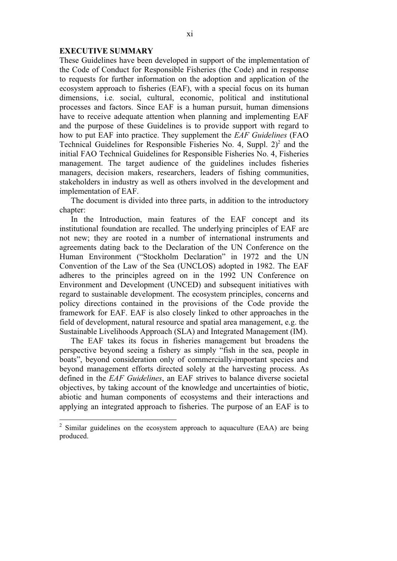#### **EXECUTIVE SUMMARY**

These Guidelines have been developed in support of the implementation of the Code of Conduct for Responsible Fisheries (the Code) and in response to requests for further information on the adoption and application of the ecosystem approach to fisheries (EAF), with a special focus on its human dimensions, i.e. social, cultural, economic, political and institutional processes and factors. Since EAF is a human pursuit, human dimensions have to receive adequate attention when planning and implementing EAF and the purpose of these Guidelines is to provide support with regard to how to put EAF into practice. They supplement the *EAF Guidelines* (FAO Technical Guidelines for Responsible Fisheries No. 4, Suppl.  $2)^2$  and the initial FAO Technical Guidelines for Responsible Fisheries No. 4, Fisheries management. The target audience of the guidelines includes fisheries managers, decision makers, researchers, leaders of fishing communities, stakeholders in industry as well as others involved in the development and implementation of EAF.

The document is divided into three parts, in addition to the introductory chapter:

In the Introduction, main features of the EAF concept and its institutional foundation are recalled. The underlying principles of EAF are not new; they are rooted in a number of international instruments and agreements dating back to the Declaration of the UN Conference on the Human Environment ("Stockholm Declaration" in 1972 and the UN Convention of the Law of the Sea (UNCLOS) adopted in 1982. The EAF adheres to the principles agreed on in the 1992 UN Conference on Environment and Development (UNCED) and subsequent initiatives with regard to sustainable development. The ecosystem principles, concerns and policy directions contained in the provisions of the Code provide the framework for EAF. EAF is also closely linked to other approaches in the field of development, natural resource and spatial area management, e.g. the Sustainable Livelihoods Approach (SLA) and Integrated Management (IM).

The EAF takes its focus in fisheries management but broadens the perspective beyond seeing a fishery as simply "fish in the sea, people in boats", beyond consideration only of commercially-important species and beyond management efforts directed solely at the harvesting process. As defined in the *EAF Guidelines*, an EAF strives to balance diverse societal objectives, by taking account of the knowledge and uncertainties of biotic, abiotic and human components of ecosystems and their interactions and applying an integrated approach to fisheries. The purpose of an EAF is to

<sup>&</sup>lt;sup>2</sup> Similar guidelines on the ecosystem approach to aquaculture (EAA) are being produced.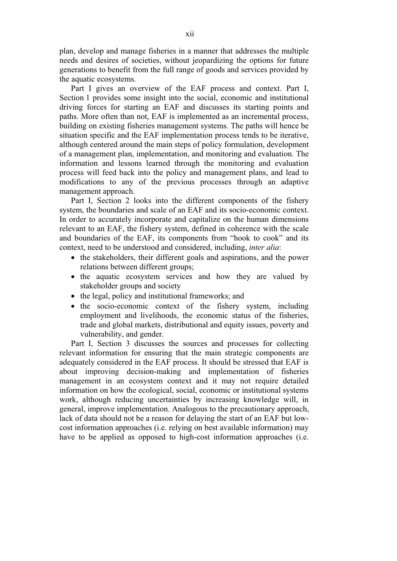plan, develop and manage fisheries in a manner that addresses the multiple needs and desires of societies, without jeopardizing the options for future generations to benefit from the full range of goods and services provided by the aquatic ecosystems.

Part I gives an overview of the EAF process and context. Part I, Section 1 provides some insight into the social, economic and institutional driving forces for starting an EAF and discusses its starting points and paths. More often than not, EAF is implemented as an incremental process, building on existing fisheries management systems. The paths will hence be situation specific and the EAF implementation process tends to be iterative, although centered around the main steps of policy formulation, development of a management plan, implementation, and monitoring and evaluation. The information and lessons learned through the monitoring and evaluation process will feed back into the policy and management plans, and lead to modifications to any of the previous processes through an adaptive management approach.

Part I, Section 2 looks into the different components of the fishery system, the boundaries and scale of an EAF and its socio-economic context. In order to accurately incorporate and capitalize on the human dimensions relevant to an EAF, the fishery system, defined in coherence with the scale and boundaries of the EAF, its components from "hook to cook" and its context, need to be understood and considered, including, *inter alia*:

- the stakeholders, their different goals and aspirations, and the power relations between different groups;
- the aquatic ecosystem services and how they are valued by stakeholder groups and society
- the legal, policy and institutional frameworks; and
- the socio-economic context of the fishery system, including employment and livelihoods, the economic status of the fisheries, trade and global markets, distributional and equity issues, poverty and vulnerability, and gender.

Part I, Section 3 discusses the sources and processes for collecting relevant information for ensuring that the main strategic components are adequately considered in the EAF process. It should be stressed that EAF is about improving decision-making and implementation of fisheries management in an ecosystem context and it may not require detailed information on how the ecological, social, economic or institutional systems work, although reducing uncertainties by increasing knowledge will, in general, improve implementation. Analogous to the precautionary approach, lack of data should not be a reason for delaying the start of an EAF but lowcost information approaches (i.e. relying on best available information) may have to be applied as opposed to high-cost information approaches (i.e.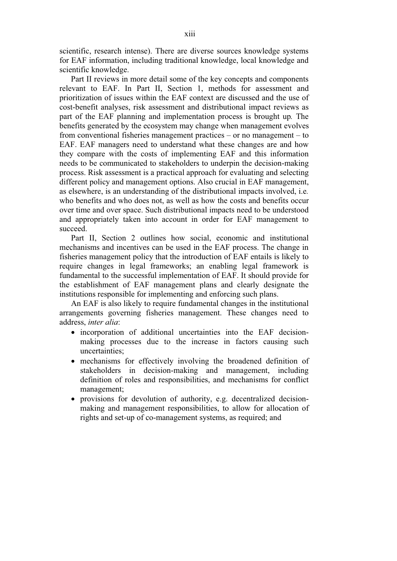scientific, research intense). There are diverse sources knowledge systems for EAF information, including traditional knowledge, local knowledge and scientific knowledge.

Part II reviews in more detail some of the key concepts and components relevant to EAF. In Part II, Section 1, methods for assessment and prioritization of issues within the EAF context are discussed and the use of cost-benefit analyses, risk assessment and distributional impact reviews as part of the EAF planning and implementation process is brought up*.* The benefits generated by the ecosystem may change when management evolves from conventional fisheries management practices – or no management – to EAF. EAF managers need to understand what these changes are and how they compare with the costs of implementing EAF and this information needs to be communicated to stakeholders to underpin the decision-making process. Risk assessment is a practical approach for evaluating and selecting different policy and management options. Also crucial in EAF management, as elsewhere, is an understanding of the distributional impacts involved, i.e*.* who benefits and who does not, as well as how the costs and benefits occur over time and over space. Such distributional impacts need to be understood and appropriately taken into account in order for EAF management to succeed.

Part II, Section 2 outlines how social, economic and institutional mechanisms and incentives can be used in the EAF process. The change in fisheries management policy that the introduction of EAF entails is likely to require changes in legal frameworks; an enabling legal framework is fundamental to the successful implementation of EAF. It should provide for the establishment of EAF management plans and clearly designate the institutions responsible for implementing and enforcing such plans.

An EAF is also likely to require fundamental changes in the institutional arrangements governing fisheries management. These changes need to address, *inter alia*:

- incorporation of additional uncertainties into the EAF decisionmaking processes due to the increase in factors causing such uncertainties;
- mechanisms for effectively involving the broadened definition of stakeholders in decision-making and management, including definition of roles and responsibilities, and mechanisms for conflict management;
- provisions for devolution of authority, e.g. decentralized decisionmaking and management responsibilities, to allow for allocation of rights and set-up of co-management systems, as required; and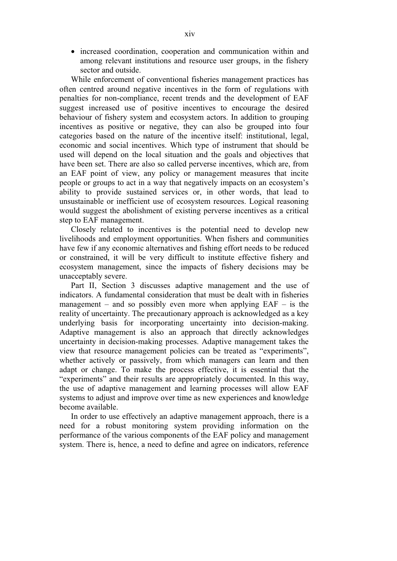- increased coordination, cooperation and communication within and among relevant institutions and resource user groups, in the fishery sector and outside.

While enforcement of conventional fisheries management practices has often centred around negative incentives in the form of regulations with penalties for non-compliance, recent trends and the development of EAF suggest increased use of positive incentives to encourage the desired behaviour of fishery system and ecosystem actors. In addition to grouping incentives as positive or negative, they can also be grouped into four categories based on the nature of the incentive itself: institutional, legal, economic and social incentives. Which type of instrument that should be used will depend on the local situation and the goals and objectives that have been set. There are also so called perverse incentives, which are, from an EAF point of view, any policy or management measures that incite people or groups to act in a way that negatively impacts on an ecosystem's ability to provide sustained services or, in other words, that lead to unsustainable or inefficient use of ecosystem resources. Logical reasoning would suggest the abolishment of existing perverse incentives as a critical step to EAF management.

Closely related to incentives is the potential need to develop new livelihoods and employment opportunities. When fishers and communities have few if any economic alternatives and fishing effort needs to be reduced or constrained, it will be very difficult to institute effective fishery and ecosystem management, since the impacts of fishery decisions may be unacceptably severe.

Part II, Section 3 discusses adaptive management and the use of indicators. A fundamental consideration that must be dealt with in fisheries management – and so possibly even more when applying  $EAF - is$  the reality of uncertainty. The precautionary approach is acknowledged as a key underlying basis for incorporating uncertainty into decision-making. Adaptive management is also an approach that directly acknowledges uncertainty in decision-making processes. Adaptive management takes the view that resource management policies can be treated as "experiments", whether actively or passively, from which managers can learn and then adapt or change. To make the process effective, it is essential that the "experiments" and their results are appropriately documented. In this way, the use of adaptive management and learning processes will allow EAF systems to adjust and improve over time as new experiences and knowledge become available.

In order to use effectively an adaptive management approach, there is a need for a robust monitoring system providing information on the performance of the various components of the EAF policy and management system. There is, hence, a need to define and agree on indicators, reference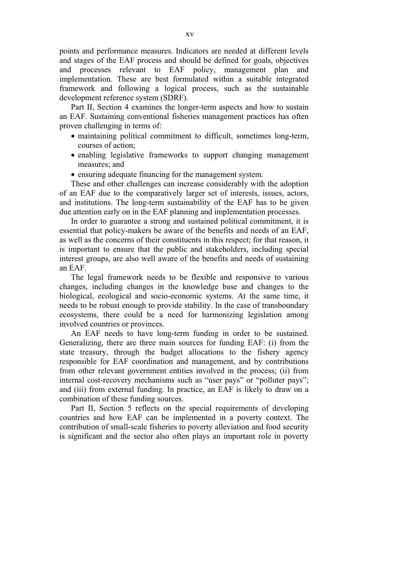points and performance measures. Indicators are needed at different levels and stages of the EAF process and should be defined for goals, objectives and processes relevant to EAF policy, management plan and implementation. These are best formulated within a suitable integrated framework and following a logical process, such as the sustainable development reference system (SDRF).

Part II, Section 4 examines the longer-term aspects and how to sustain an EAF. Sustaining conventional fisheries management practices has often proven challenging in terms of:

- maintaining political commitment to difficult, sometimes long-term, courses of action;
- enabling legislative frameworks to support changing management measures; and
- ensuring adequate financing for the management system.

These and other challenges can increase considerably with the adoption of an EAF due to the comparatively larger set of interests, issues, actors, and institutions. The long-term sustainability of the EAF has to be given due attention early on in the EAF planning and implementation processes.

In order to guarantee a strong and sustained political commitment, it is essential that policy-makers be aware of the benefits and needs of an EAF, as well as the concerns of their constituents in this respect; for that reason, it is important to ensure that the public and stakeholders, including special interest groups, are also well aware of the benefits and needs of sustaining an EAF.

The legal framework needs to be flexible and responsive to various changes, including changes in the knowledge base and changes to the biological, ecological and socio-economic systems. At the same time, it needs to be robust enough to provide stability. In the case of transboundary ecosystems, there could be a need for harmonizing legislation among involved countries or provinces.

An EAF needs to have long-term funding in order to be sustained. Generalizing, there are three main sources for funding EAF: (i) from the state treasury, through the budget allocations to the fishery agency responsible for EAF coordination and management, and by contributions from other relevant government entities involved in the process; (ii) from internal cost-recovery mechanisms such as "user pays" or "polluter pays"; and (iii) from external funding. In practice, an EAF is likely to draw on a combination of these funding sources.

Part II, Section 5 reflects on the special requirements of developing countries and how EAF can be implemented in a poverty context. The contribution of small-scale fisheries to poverty alleviation and food security is significant and the sector also often plays an important role in poverty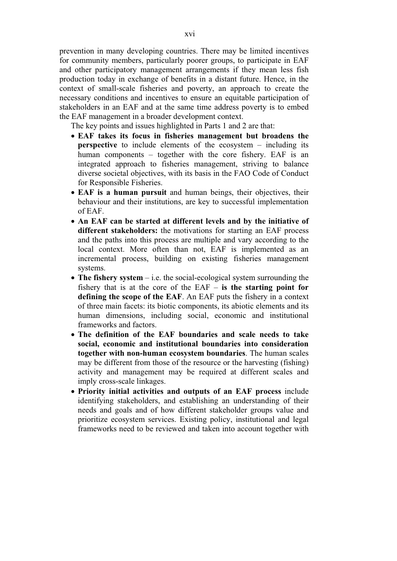prevention in many developing countries. There may be limited incentives for community members, particularly poorer groups, to participate in EAF and other participatory management arrangements if they mean less fish production today in exchange of benefits in a distant future. Hence, in the context of small-scale fisheries and poverty, an approach to create the necessary conditions and incentives to ensure an equitable participation of stakeholders in an EAF and at the same time address poverty is to embed the EAF management in a broader development context.

The key points and issues highlighted in Parts 1 and 2 are that:

- **EAF takes its focus in fisheries management but broadens the perspective** to include elements of the ecosystem – including its human components – together with the core fishery. EAF is an integrated approach to fisheries management, striving to balance diverse societal objectives, with its basis in the FAO Code of Conduct for Responsible Fisheries.
- **EAF is a human pursuit** and human beings, their objectives, their behaviour and their institutions, are key to successful implementation of EAF.
- **An EAF can be started at different levels and by the initiative of different stakeholders:** the motivations for starting an EAF process and the paths into this process are multiple and vary according to the local context. More often than not, EAF is implemented as an incremental process, building on existing fisheries management systems.
- The fishery system i.e. the social-ecological system surrounding the fishery that is at the core of the EAF – **is the starting point for defining the scope of the EAF**. An EAF puts the fishery in a context of three main facets: its biotic components, its abiotic elements and its human dimensions, including social, economic and institutional frameworks and factors.
- **The definition of the EAF boundaries and scale needs to take social, economic and institutional boundaries into consideration together with non-human ecosystem boundaries**. The human scales may be different from those of the resource or the harvesting (fishing) activity and management may be required at different scales and imply cross-scale linkages.
- **Priority initial activities and outputs of an EAF process** include identifying stakeholders, and establishing an understanding of their needs and goals and of how different stakeholder groups value and prioritize ecosystem services. Existing policy, institutional and legal frameworks need to be reviewed and taken into account together with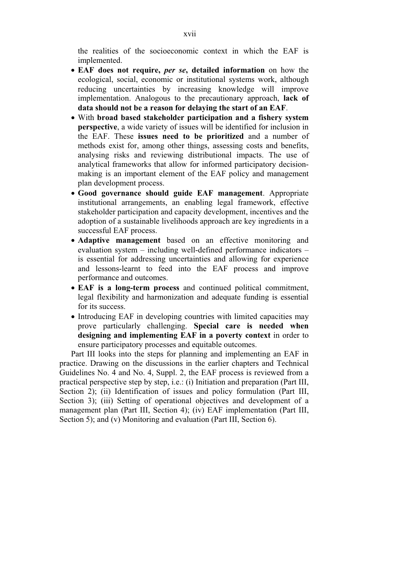the realities of the socioeconomic context in which the EAF is implemented.

- **EAF does not require,** *per se***, detailed information** on how the ecological, social, economic or institutional systems work, although reducing uncertainties by increasing knowledge will improve implementation. Analogous to the precautionary approach, **lack of data should not be a reason for delaying the start of an EAF**.
- With **broad based stakeholder participation and a fishery system perspective**, a wide variety of issues will be identified for inclusion in the EAF. These **issues need to be prioritized** and a number of methods exist for, among other things, assessing costs and benefits, analysing risks and reviewing distributional impacts. The use of analytical frameworks that allow for informed participatory decisionmaking is an important element of the EAF policy and management plan development process.
- **Good governance should guide EAF management**. Appropriate institutional arrangements, an enabling legal framework, effective stakeholder participation and capacity development, incentives and the adoption of a sustainable livelihoods approach are key ingredients in a successful EAF process.
- **Adaptive management** based on an effective monitoring and evaluation system – including well-defined performance indicators – is essential for addressing uncertainties and allowing for experience and lessons-learnt to feed into the EAF process and improve performance and outcomes.
- **EAF is a long-term process** and continued political commitment, legal flexibility and harmonization and adequate funding is essential for its success.
- Introducing EAF in developing countries with limited capacities may prove particularly challenging. **Special care is needed when designing and implementing EAF in a poverty context** in order to ensure participatory processes and equitable outcomes.

Part III looks into the steps for planning and implementing an EAF in practice. Drawing on the discussions in the earlier chapters and Technical Guidelines No. 4 and No. 4, Suppl. 2, the EAF process is reviewed from a practical perspective step by step, i.e.: (i) Initiation and preparation (Part III, Section 2); (ii) Identification of issues and policy formulation (Part III, Section 3); (iii) Setting of operational objectives and development of a management plan (Part III, Section 4); (iv) EAF implementation (Part III, Section 5); and (v) Monitoring and evaluation (Part III, Section 6).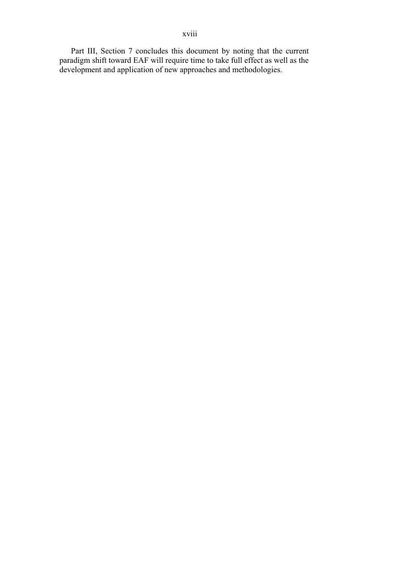Part III, Section 7 concludes this document by noting that the current paradigm shift toward EAF will require time to take full effect as well as the development and application of new approaches and methodologies.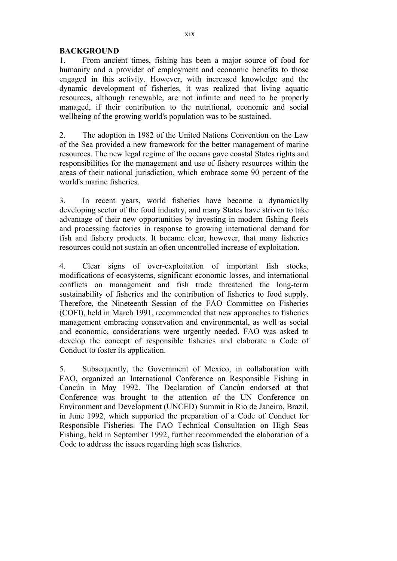#### **BACKGROUND**

1. From ancient times, fishing has been a major source of food for humanity and a provider of employment and economic benefits to those engaged in this activity. However, with increased knowledge and the dynamic development of fisheries, it was realized that living aquatic resources, although renewable, are not infinite and need to be properly managed, if their contribution to the nutritional, economic and social wellbeing of the growing world's population was to be sustained.

2. The adoption in 1982 of the United Nations Convention on the Law of the Sea provided a new framework for the better management of marine resources. The new legal regime of the oceans gave coastal States rights and responsibilities for the management and use of fishery resources within the areas of their national jurisdiction, which embrace some 90 percent of the world's marine fisheries.

3. In recent years, world fisheries have become a dynamically developing sector of the food industry, and many States have striven to take advantage of their new opportunities by investing in modern fishing fleets and processing factories in response to growing international demand for fish and fishery products. It became clear, however, that many fisheries resources could not sustain an often uncontrolled increase of exploitation.

4. Clear signs of over-exploitation of important fish stocks, modifications of ecosystems, significant economic losses, and international conflicts on management and fish trade threatened the long-term sustainability of fisheries and the contribution of fisheries to food supply. Therefore, the Nineteenth Session of the FAO Committee on Fisheries (COFI), held in March 1991, recommended that new approaches to fisheries management embracing conservation and environmental, as well as social and economic, considerations were urgently needed. FAO was asked to develop the concept of responsible fisheries and elaborate a Code of Conduct to foster its application.

5. Subsequently, the Government of Mexico, in collaboration with FAO, organized an International Conference on Responsible Fishing in Cancún in May 1992. The Declaration of Cancún endorsed at that Conference was brought to the attention of the UN Conference on Environment and Development (UNCED) Summit in Rio de Janeiro, Brazil, in June 1992, which supported the preparation of a Code of Conduct for Responsible Fisheries. The FAO Technical Consultation on High Seas Fishing, held in September 1992, further recommended the elaboration of a Code to address the issues regarding high seas fisheries.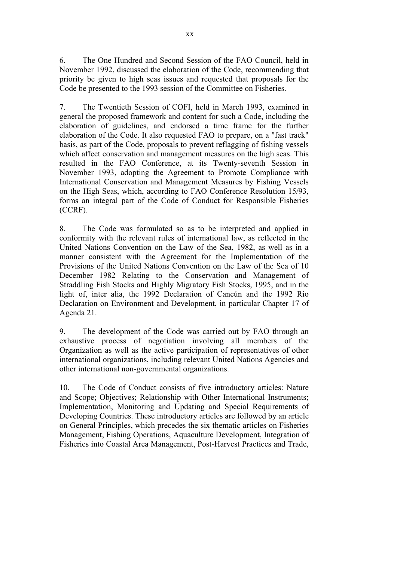6. The One Hundred and Second Session of the FAO Council, held in November 1992, discussed the elaboration of the Code, recommending that priority be given to high seas issues and requested that proposals for the Code be presented to the 1993 session of the Committee on Fisheries.

7. The Twentieth Session of COFI, held in March 1993, examined in general the proposed framework and content for such a Code, including the elaboration of guidelines, and endorsed a time frame for the further elaboration of the Code. It also requested FAO to prepare, on a "fast track" basis, as part of the Code, proposals to prevent reflagging of fishing vessels which affect conservation and management measures on the high seas. This resulted in the FAO Conference, at its Twenty-seventh Session in November 1993, adopting the Agreement to Promote Compliance with International Conservation and Management Measures by Fishing Vessels on the High Seas, which, according to FAO Conference Resolution 15/93, forms an integral part of the Code of Conduct for Responsible Fisheries (CCRF).

8. The Code was formulated so as to be interpreted and applied in conformity with the relevant rules of international law, as reflected in the United Nations Convention on the Law of the Sea, 1982, as well as in a manner consistent with the Agreement for the Implementation of the Provisions of the United Nations Convention on the Law of the Sea of 10 December 1982 Relating to the Conservation and Management of Straddling Fish Stocks and Highly Migratory Fish Stocks, 1995, and in the light of, inter alia, the 1992 Declaration of Cancún and the 1992 Rio Declaration on Environment and Development, in particular Chapter 17 of Agenda 21.

9. The development of the Code was carried out by FAO through an exhaustive process of negotiation involving all members of the Organization as well as the active participation of representatives of other international organizations, including relevant United Nations Agencies and other international non-governmental organizations.

10. The Code of Conduct consists of five introductory articles: Nature and Scope; Objectives; Relationship with Other International Instruments; Implementation, Monitoring and Updating and Special Requirements of Developing Countries. These introductory articles are followed by an article on General Principles, which precedes the six thematic articles on Fisheries Management, Fishing Operations, Aquaculture Development, Integration of Fisheries into Coastal Area Management, Post-Harvest Practices and Trade,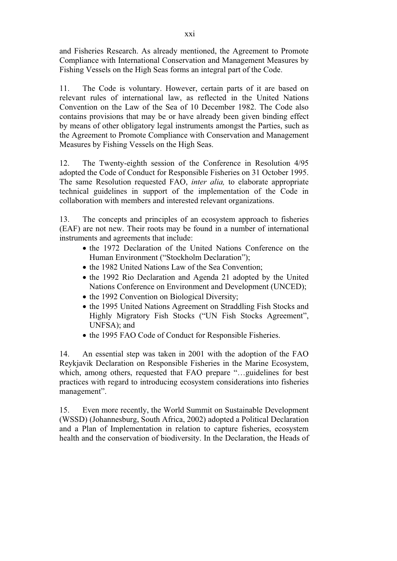and Fisheries Research. As already mentioned, the Agreement to Promote Compliance with International Conservation and Management Measures by Fishing Vessels on the High Seas forms an integral part of the Code.

11. The Code is voluntary. However, certain parts of it are based on relevant rules of international law, as reflected in the United Nations Convention on the Law of the Sea of 10 December 1982. The Code also contains provisions that may be or have already been given binding effect by means of other obligatory legal instruments amongst the Parties, such as the Agreement to Promote Compliance with Conservation and Management Measures by Fishing Vessels on the High Seas.

12. The Twenty-eighth session of the Conference in Resolution 4/95 adopted the Code of Conduct for Responsible Fisheries on 31 October 1995. The same Resolution requested FAO, *inter alia,* to elaborate appropriate technical guidelines in support of the implementation of the Code in collaboration with members and interested relevant organizations.

13. The concepts and principles of an ecosystem approach to fisheries (EAF) are not new. Their roots may be found in a number of international instruments and agreements that include:

- the 1972 Declaration of the United Nations Conference on the Human Environment ("Stockholm Declaration");
- the 1982 United Nations Law of the Sea Convention;
- the 1992 Rio Declaration and Agenda 21 adopted by the United Nations Conference on Environment and Development (UNCED);
- $\bullet$  the 1992 Convention on Biological Diversity;
- the 1995 United Nations Agreement on Straddling Fish Stocks and Highly Migratory Fish Stocks ("UN Fish Stocks Agreement", UNFSA); and
- $\bullet$  the 1995 FAO Code of Conduct for Responsible Fisheries.

14. An essential step was taken in 2001 with the adoption of the FAO Reykjavik Declaration on Responsible Fisheries in the Marine Ecosystem, which, among others, requested that FAO prepare "…guidelines for best practices with regard to introducing ecosystem considerations into fisheries management".

15. Even more recently, the World Summit on Sustainable Development (WSSD) (Johannesburg, South Africa, 2002) adopted a Political Declaration and a Plan of Implementation in relation to capture fisheries, ecosystem health and the conservation of biodiversity. In the Declaration, the Heads of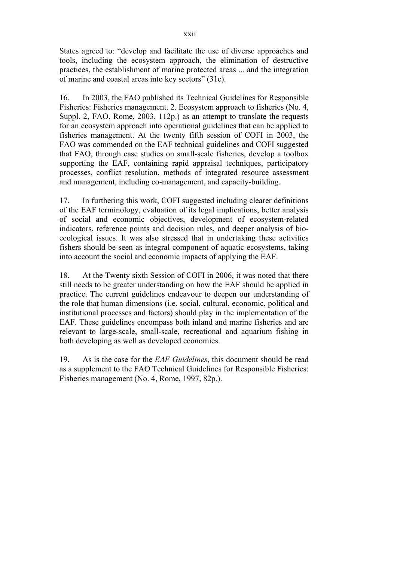States agreed to: "develop and facilitate the use of diverse approaches and tools, including the ecosystem approach, the elimination of destructive practices, the establishment of marine protected areas ... and the integration of marine and coastal areas into key sectors" (31c).

16. In 2003, the FAO published its Technical Guidelines for Responsible Fisheries: Fisheries management. 2. Ecosystem approach to fisheries (No. 4, Suppl. 2, FAO, Rome, 2003, 112p.) as an attempt to translate the requests for an ecosystem approach into operational guidelines that can be applied to fisheries management. At the twenty fifth session of COFI in 2003, the FAO was commended on the EAF technical guidelines and COFI suggested that FAO, through case studies on small-scale fisheries, develop a toolbox supporting the EAF, containing rapid appraisal techniques, participatory processes, conflict resolution, methods of integrated resource assessment and management, including co-management, and capacity-building.

17. In furthering this work, COFI suggested including clearer definitions of the EAF terminology, evaluation of its legal implications, better analysis of social and economic objectives, development of ecosystem-related indicators, reference points and decision rules, and deeper analysis of bioecological issues. It was also stressed that in undertaking these activities fishers should be seen as integral component of aquatic ecosystems, taking into account the social and economic impacts of applying the EAF.

18. At the Twenty sixth Session of COFI in 2006, it was noted that there still needs to be greater understanding on how the EAF should be applied in practice. The current guidelines endeavour to deepen our understanding of the role that human dimensions (i.e. social, cultural, economic, political and institutional processes and factors) should play in the implementation of the EAF. These guidelines encompass both inland and marine fisheries and are relevant to large-scale, small-scale, recreational and aquarium fishing in both developing as well as developed economies.

19. As is the case for the *EAF Guidelines*, this document should be read as a supplement to the FAO Technical Guidelines for Responsible Fisheries: Fisheries management (No. 4, Rome, 1997, 82p.).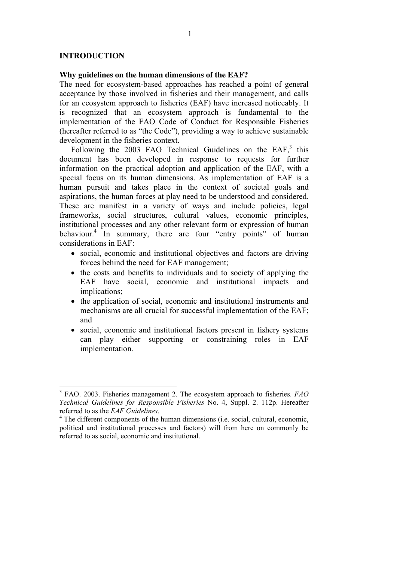#### **INTRODUCTION**

#### **Why guidelines on the human dimensions of the EAF?**

The need for ecosystem-based approaches has reached a point of general acceptance by those involved in fisheries and their management, and calls for an ecosystem approach to fisheries (EAF) have increased noticeably. It is recognized that an ecosystem approach is fundamental to the implementation of the FAO Code of Conduct for Responsible Fisheries (hereafter referred to as "the Code"), providing a way to achieve sustainable development in the fisheries context.

Following the 2003 FAO Technical Guidelines on the  $EAF$ ,<sup>3</sup> this document has been developed in response to requests for further information on the practical adoption and application of the EAF, with a special focus on its human dimensions. As implementation of EAF is a human pursuit and takes place in the context of societal goals and aspirations, the human forces at play need to be understood and considered. These are manifest in a variety of ways and include policies, legal frameworks, social structures, cultural values, economic principles, institutional processes and any other relevant form or expression of human behaviour.<sup>4</sup> In summary, there are four "entry points" of human considerations in EAF:

- social, economic and institutional objectives and factors are driving forces behind the need for EAF management;
- the costs and benefits to individuals and to society of applying the EAF have social, economic and institutional impacts and implications;
- the application of social, economic and institutional instruments and mechanisms are all crucial for successful implementation of the EAF; and
- social, economic and institutional factors present in fishery systems can play either supporting or constraining roles in EAF implementation.

 3 FAO. 2003. Fisheries management 2. The ecosystem approach to fisheries. *FAO Technical Guidelines for Responsible Fisheries* No. 4, Suppl. 2. 112p. Hereafter referred to as the *EAF Guidelines*. 4

<sup>&</sup>lt;sup>4</sup> The different components of the human dimensions (i.e. social, cultural, economic, political and institutional processes and factors) will from here on commonly be referred to as social, economic and institutional.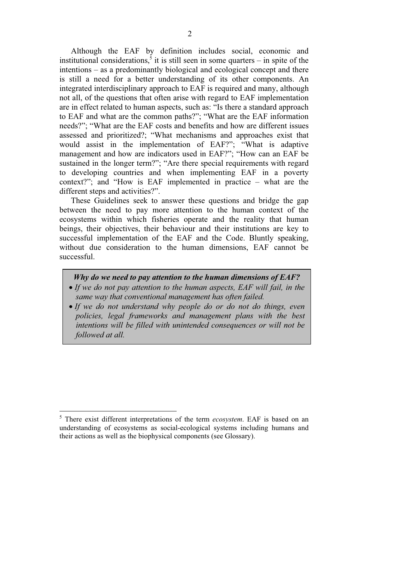Although the EAF by definition includes social, economic and institutional considerations,<sup>5</sup> it is still seen in some quarters  $-$  in spite of the intentions – as a predominantly biological and ecological concept and there is still a need for a better understanding of its other components. An integrated interdisciplinary approach to EAF is required and many, although not all, of the questions that often arise with regard to EAF implementation are in effect related to human aspects, such as: "Is there a standard approach to EAF and what are the common paths?"; "What are the EAF information needs?"; "What are the EAF costs and benefits and how are different issues assessed and prioritized?; "What mechanisms and approaches exist that would assist in the implementation of EAF?"; "What is adaptive management and how are indicators used in EAF?"; "How can an EAF be sustained in the longer term?"; "Are there special requirements with regard to developing countries and when implementing EAF in a poverty context?"; and "How is EAF implemented in practice – what are the different steps and activities?".

These Guidelines seek to answer these questions and bridge the gap between the need to pay more attention to the human context of the ecosystems within which fisheries operate and the reality that human beings, their objectives, their behaviour and their institutions are key to successful implementation of the EAF and the Code. Bluntly speaking, without due consideration to the human dimensions, EAF cannot be successful.

#### *Why do we need to pay attention to the human dimensions of EAF?*

- If we do not pay attention to the human aspects, EAF will fail, in the *same way that conventional management has often failed.*
- *If we do not understand why people do or do not do things, even policies, legal frameworks and management plans with the best intentions will be filled with unintended consequences or will not be followed at all.*

 $\overline{a}$ 

<sup>5</sup> There exist different interpretations of the term *ecosystem*. EAF is based on an understanding of ecosystems as social-ecological systems including humans and their actions as well as the biophysical components (see Glossary).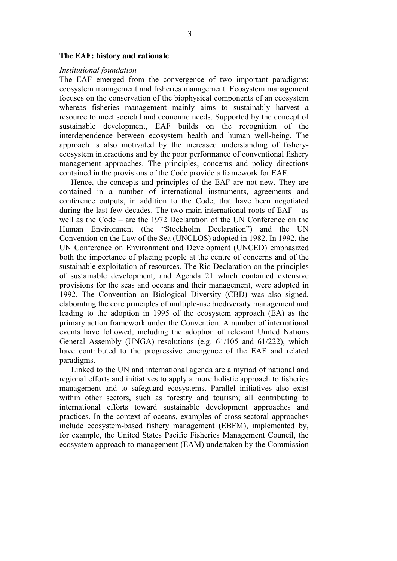#### **The EAF: history and rationale**

#### *Institutional foundation*

The EAF emerged from the convergence of two important paradigms: ecosystem management and fisheries management. Ecosystem management focuses on the conservation of the biophysical components of an ecosystem whereas fisheries management mainly aims to sustainably harvest a resource to meet societal and economic needs. Supported by the concept of sustainable development, EAF builds on the recognition of the interdependence between ecosystem health and human well-being. The approach is also motivated by the increased understanding of fisheryecosystem interactions and by the poor performance of conventional fishery management approaches. The principles, concerns and policy directions contained in the provisions of the Code provide a framework for EAF.

Hence, the concepts and principles of the EAF are not new. They are contained in a number of international instruments, agreements and conference outputs, in addition to the Code, that have been negotiated during the last few decades. The two main international roots of  $EAF - as$ well as the Code – are the 1972 Declaration of the UN Conference on the Human Environment (the "Stockholm Declaration") and the UN Convention on the Law of the Sea (UNCLOS) adopted in 1982. In 1992, the UN Conference on Environment and Development (UNCED) emphasized both the importance of placing people at the centre of concerns and of the sustainable exploitation of resources. The Rio Declaration on the principles of sustainable development, and Agenda 21 which contained extensive provisions for the seas and oceans and their management, were adopted in 1992. The Convention on Biological Diversity (CBD) was also signed, elaborating the core principles of multiple-use biodiversity management and leading to the adoption in 1995 of the ecosystem approach (EA) as the primary action framework under the Convention. A number of international events have followed, including the adoption of relevant United Nations General Assembly (UNGA) resolutions (e.g. 61/105 and 61/222), which have contributed to the progressive emergence of the EAF and related paradigms.

Linked to the UN and international agenda are a myriad of national and regional efforts and initiatives to apply a more holistic approach to fisheries management and to safeguard ecosystems. Parallel initiatives also exist within other sectors, such as forestry and tourism; all contributing to international efforts toward sustainable development approaches and practices. In the context of oceans, examples of cross-sectoral approaches include ecosystem-based fishery management (EBFM), implemented by, for example, the United States Pacific Fisheries Management Council, the ecosystem approach to management (EAM) undertaken by the Commission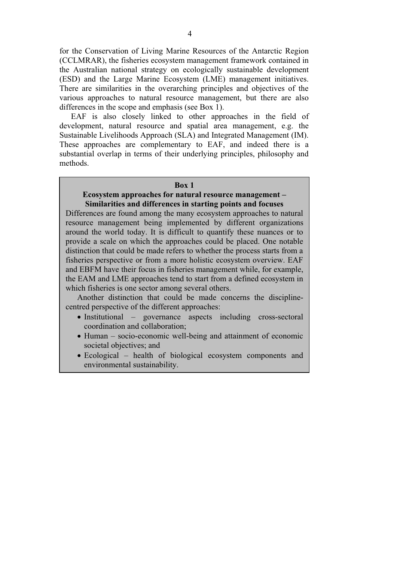for the Conservation of Living Marine Resources of the Antarctic Region (CCLMRAR), the fisheries ecosystem management framework contained in the Australian national strategy on ecologically sustainable development (ESD) and the Large Marine Ecosystem (LME) management initiatives. There are similarities in the overarching principles and objectives of the various approaches to natural resource management, but there are also differences in the scope and emphasis (see Box 1).

EAF is also closely linked to other approaches in the field of development, natural resource and spatial area management, e.g. the Sustainable Livelihoods Approach (SLA) and Integrated Management (IM). These approaches are complementary to EAF, and indeed there is a substantial overlap in terms of their underlying principles, philosophy and methods.

#### **Box 1**

#### **Ecosystem approaches for natural resource management – Similarities and differences in starting points and focuses**

Differences are found among the many ecosystem approaches to natural resource management being implemented by different organizations around the world today. It is difficult to quantify these nuances or to provide a scale on which the approaches could be placed. One notable distinction that could be made refers to whether the process starts from a fisheries perspective or from a more holistic ecosystem overview. EAF and EBFM have their focus in fisheries management while, for example, the EAM and LME approaches tend to start from a defined ecosystem in which fisheries is one sector among several others.

Another distinction that could be made concerns the disciplinecentred perspective of the different approaches:

- Institutional governance aspects including cross-sectoral coordination and collaboration;
- Human socio-economic well-being and attainment of economic societal objectives; and
- Ecological health of biological ecosystem components and environmental sustainability.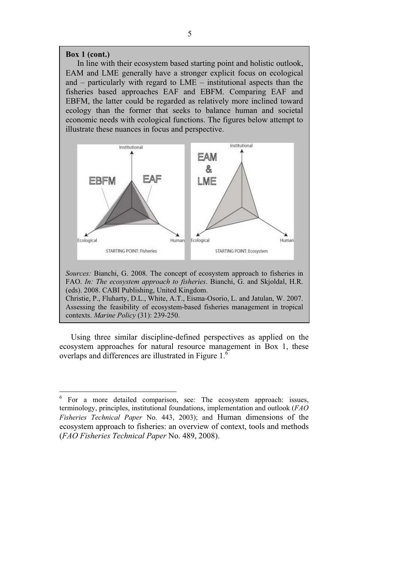#### **Box 1 (cont.)**

 $\overline{a}$ 

In line with their ecosystem based starting point and holistic outlook, EAM and LME generally have a stronger explicit focus on ecological and – particularly with regard to LME – institutional aspects than the fisheries based approaches EAF and EBFM. Comparing EAF and EBFM, the latter could be regarded as relatively more inclined toward ecology than the former that seeks to balance human and societal economic needs with ecological functions. The figures below attempt to illustrate these nuances in focus and perspective.



*Sources:* Bianchi, G. 2008. The concept of ecosystem approach to fisheries in FAO. *In: The ecosystem approach to fisheries*. Bianchi, G. and Skjoldal, H.R. (eds). 2008. CABI Publishing, United Kingdom. Christie, P., Fluharty, D.L., White, A.T., Eisma-Osorio, L. and Jatulan, W. 2007.

Assessing the feasibility of ecosystem-based fisheries management in tropical contexts. *Marine Policy* (31): 239-250.

Using three similar discipline-defined perspectives as applied on the ecosystem approaches for natural resource management in Box 1, these overlaps and differences are illustrated in Figure 1.<sup>6</sup>

<sup>&</sup>lt;sup>6</sup> For a more detailed comparison, see: The ecosystem approach: issues, terminology, principles, institutional foundations, implementation and outlook (*FAO Fisheries Technical Paper* No. 443, 2003); and Human dimensions of the ecosystem approach to fisheries: an overview of context, tools and methods (*FAO Fisheries Technical Paper* No. 489, 2008).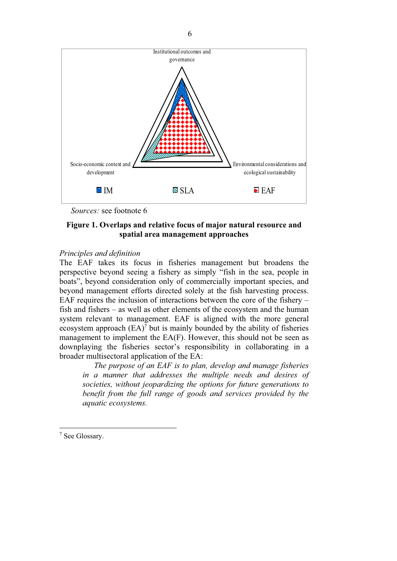

*Sources:* see footnote 6

#### **Figure 1. Overlaps and relative focus of major natural resource and spatial area management approaches**

#### *Principles and definition*

The EAF takes its focus in fisheries management but broadens the perspective beyond seeing a fishery as simply "fish in the sea, people in boats", beyond consideration only of commercially important species, and beyond management efforts directed solely at the fish harvesting process. EAF requires the inclusion of interactions between the core of the fishery – fish and fishers – as well as other elements of the ecosystem and the human system relevant to management. EAF is aligned with the more general ecosystem approach  $(EA)^7$  but is mainly bounded by the ability of fisheries management to implement the EA(F). However, this should not be seen as downplaying the fisheries sector's responsibility in collaborating in a broader multisectoral application of the EA:

*The purpose of an EAF is to plan, develop and manage fisheries in a manner that addresses the multiple needs and desires of societies, without jeopardizing the options for future generations to benefit from the full range of goods and services provided by the aquatic ecosystems.* 

 $\overline{a}$ 

<sup>7</sup> See Glossary.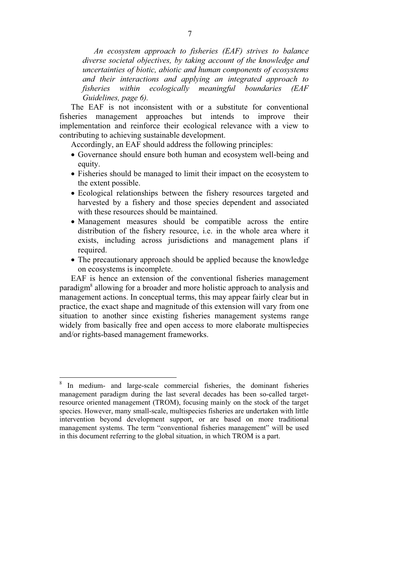*An ecosystem approach to fisheries (EAF) strives to balance diverse societal objectives, by taking account of the knowledge and uncertainties of biotic, abiotic and human components of ecosystems and their interactions and applying an integrated approach to fisheries within ecologically meaningful boundaries (EAF Guidelines, page 6).* 

The EAF is not inconsistent with or a substitute for conventional fisheries management approaches but intends to improve their implementation and reinforce their ecological relevance with a view to contributing to achieving sustainable development.

Accordingly, an EAF should address the following principles:

- Governance should ensure both human and ecosystem well-being and equity.
- Fisheries should be managed to limit their impact on the ecosystem to the extent possible.
- Ecological relationships between the fishery resources targeted and harvested by a fishery and those species dependent and associated with these resources should be maintained.
- Management measures should be compatible across the entire distribution of the fishery resource, i.e. in the whole area where it exists, including across jurisdictions and management plans if required.
- The precautionary approach should be applied because the knowledge on ecosystems is incomplete.

EAF is hence an extension of the conventional fisheries management paradigm<sup>8</sup> allowing for a broader and more holistic approach to analysis and management actions. In conceptual terms, this may appear fairly clear but in practice, the exact shape and magnitude of this extension will vary from one situation to another since existing fisheries management systems range widely from basically free and open access to more elaborate multispecies and/or rights-based management frameworks.

 $\overline{a}$ 

<sup>8</sup> In medium- and large-scale commercial fisheries, the dominant fisheries management paradigm during the last several decades has been so-called targetresource oriented management (TROM), focusing mainly on the stock of the target species. However, many small-scale, multispecies fisheries are undertaken with little intervention beyond development support, or are based on more traditional management systems. The term "conventional fisheries management" will be used in this document referring to the global situation, in which TROM is a part.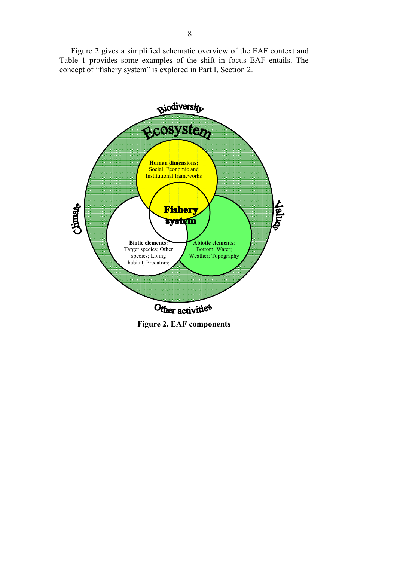Figure 2 gives a simplified schematic overview of the EAF context and Table 1 provides some examples of the shift in focus EAF entails. The concept of "fishery system" is explored in Part I, Section 2.



**Figure 2. EAF components**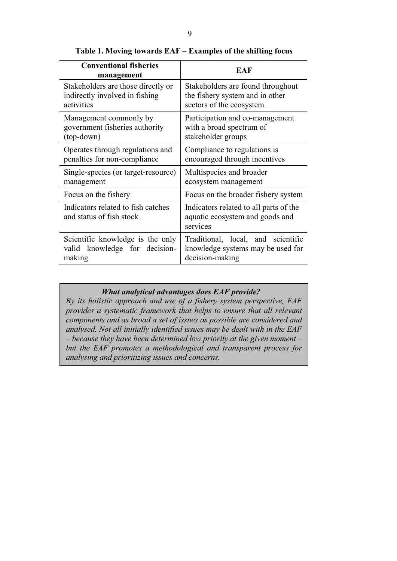| <b>Conventional fisheries</b><br>management                    | EAF                                                                                   |
|----------------------------------------------------------------|---------------------------------------------------------------------------------------|
| Stakeholders are those directly or                             | Stakeholders are found throughout                                                     |
| indirectly involved in fishing                                 | the fishery system and in other                                                       |
| activities                                                     | sectors of the ecosystem                                                              |
| Management commonly by                                         | Participation and co-management                                                       |
| government fisheries authority                                 | with a broad spectrum of                                                              |
| (top-down)                                                     | stakeholder groups                                                                    |
| Operates through regulations and                               | Compliance to regulations is                                                          |
| penalties for non-compliance                                   | encouraged through incentives                                                         |
| Single-species (or target-resource)                            | Multispecies and broader                                                              |
| management                                                     | ecosystem management                                                                  |
| Focus on the fishery                                           | Focus on the broader fishery system                                                   |
| Indicators related to fish catches<br>and status of fish stock | Indicators related to all parts of the<br>aquatic ecosystem and goods and<br>services |
| Scientific knowledge is the only                               | Traditional, local, and scientific                                                    |
| valid knowledge for decision-                                  | knowledge systems may be used for                                                     |
| making                                                         | decision-making                                                                       |

**Table 1. Moving towards EAF – Examples of the shifting focus** 

## *What analytical advantages does EAF provide?*

*By its holistic approach and use of a fishery system perspective, EAF provides a systematic framework that helps to ensure that all relevant components and as broad a set of issues as possible are considered and analysed. Not all initially identified issues may be dealt with in the EAF – because they have been determined low priority at the given moment – but the EAF promotes a methodological and transparent process for analysing and prioritizing issues and concerns.*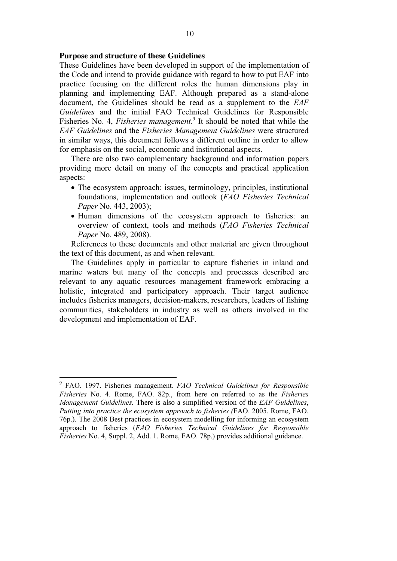#### **Purpose and structure of these Guidelines**

These Guidelines have been developed in support of the implementation of the Code and intend to provide guidance with regard to how to put EAF into practice focusing on the different roles the human dimensions play in planning and implementing EAF. Although prepared as a stand-alone document, the Guidelines should be read as a supplement to the *EAF Guidelines* and the initial FAO Technical Guidelines for Responsible Fisheries No. 4, *Fisheries management.*<sup>9</sup> It should be noted that while the *EAF Guidelines* and the *Fisheries Management Guidelines* were structured in similar ways, this document follows a different outline in order to allow for emphasis on the social, economic and institutional aspects.

There are also two complementary background and information papers providing more detail on many of the concepts and practical application aspects:

- The ecosystem approach: issues, terminology, principles, institutional foundations, implementation and outlook (*FAO Fisheries Technical Paper* No. 443, 2003);
- Human dimensions of the ecosystem approach to fisheries: an overview of context, tools and methods (*FAO Fisheries Technical Paper* No. 489, 2008).

References to these documents and other material are given throughout the text of this document, as and when relevant.

The Guidelines apply in particular to capture fisheries in inland and marine waters but many of the concepts and processes described are relevant to any aquatic resources management framework embracing a holistic, integrated and participatory approach. Their target audience includes fisheries managers, decision-makers, researchers, leaders of fishing communities, stakeholders in industry as well as others involved in the development and implementation of EAF.

 9 FAO. 1997. Fisheries management. *FAO Technical Guidelines for Responsible Fisheries* No. 4. Rome, FAO. 82p., from here on referred to as the *Fisheries Management Guidelines.* There is also a simplified version of the *EAF Guidelines*, *Putting into practice the ecosystem approach to fisheries (*FAO. 2005. Rome, FAO. 76p.). The 2008 Best practices in ecosystem modelling for informing an ecosystem approach to fisheries (*FAO Fisheries Technical Guidelines for Responsible Fisheries* No. 4, Suppl. 2, Add. 1. Rome, FAO. 78p.) provides additional guidance.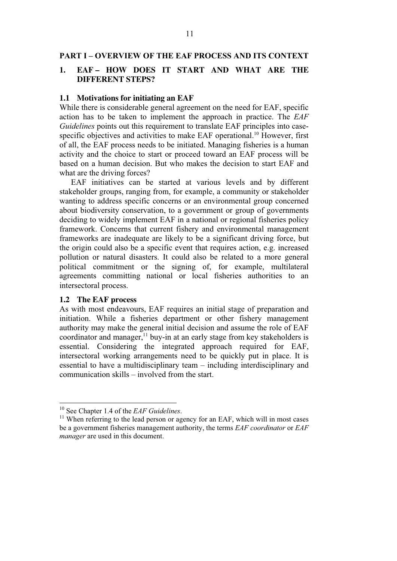#### **PART I – OVERVIEW OF THE EAF PROCESS AND ITS CONTEXT**

### **1. EAF – HOW DOES IT START AND WHAT ARE THE DIFFERENT STEPS?**

#### **1.1 Motivations for initiating an EAF**

While there is considerable general agreement on the need for EAF, specific action has to be taken to implement the approach in practice. The *EAF Guidelines* points out this requirement to translate EAF principles into casespecific objectives and activities to make EAF operational.<sup>10</sup> However, first of all, the EAF process needs to be initiated. Managing fisheries is a human activity and the choice to start or proceed toward an EAF process will be based on a human decision. But who makes the decision to start EAF and what are the driving forces?

EAF initiatives can be started at various levels and by different stakeholder groups, ranging from, for example, a community or stakeholder wanting to address specific concerns or an environmental group concerned about biodiversity conservation, to a government or group of governments deciding to widely implement EAF in a national or regional fisheries policy framework. Concerns that current fishery and environmental management frameworks are inadequate are likely to be a significant driving force, but the origin could also be a specific event that requires action, e.g. increased pollution or natural disasters. It could also be related to a more general political commitment or the signing of, for example, multilateral agreements committing national or local fisheries authorities to an intersectoral process.

#### **1.2 The EAF process**

 $\overline{a}$ 

As with most endeavours, EAF requires an initial stage of preparation and initiation. While a fisheries department or other fishery management authority may make the general initial decision and assume the role of EAF coordinator and manager, $11$  buy-in at an early stage from key stakeholders is essential. Considering the integrated approach required for EAF, intersectoral working arrangements need to be quickly put in place. It is essential to have a multidisciplinary team – including interdisciplinary and communication skills – involved from the start.

<sup>&</sup>lt;sup>10</sup> See Chapter 1.4 of the *EAF Guidelines*.<br><sup>11</sup> When referring to the lead person or agency for an EAF, which will in most cases be a government fisheries management authority, the terms *EAF coordinator* or *EAF manager* are used in this document.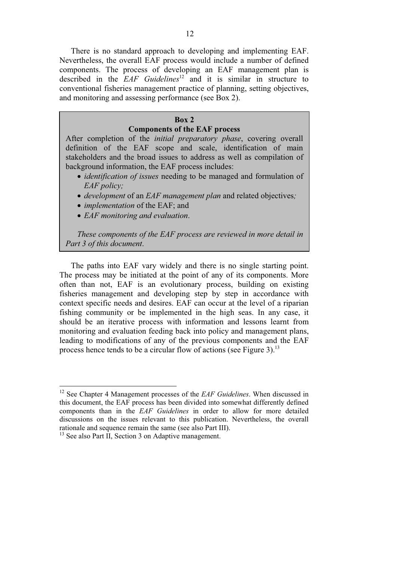There is no standard approach to developing and implementing EAF. Nevertheless, the overall EAF process would include a number of defined components. The process of developing an EAF management plan is described in the *EAF Guidelines*12 and it is similar in structure to conventional fisheries management practice of planning, setting objectives, and monitoring and assessing performance (see Box 2).

#### **Box 2**

#### **Components of the EAF process**

After completion of the *initial preparatory phase*, covering overall definition of the EAF scope and scale, identification of main stakeholders and the broad issues to address as well as compilation of background information, the EAF process includes:

- *identification of issues* needing to be managed and formulation of *EAF policy;*
- *development* of an *EAF management plan* and related objectives*;*
- *implementation* of the EAF; and
- *EAF monitoring and evaluation*.

*These components of the EAF process are reviewed in more detail in Part 3 of this document*.

The paths into EAF vary widely and there is no single starting point. The process may be initiated at the point of any of its components. More often than not, EAF is an evolutionary process, building on existing fisheries management and developing step by step in accordance with context specific needs and desires. EAF can occur at the level of a riparian fishing community or be implemented in the high seas. In any case, it should be an iterative process with information and lessons learnt from monitoring and evaluation feeding back into policy and management plans, leading to modifications of any of the previous components and the EAF process hence tends to be a circular flow of actions (see Figure 3).<sup>13</sup>

 $\overline{a}$ 

<sup>12</sup> See Chapter 4 Management processes of the *EAF Guidelines*. When discussed in this document, the EAF process has been divided into somewhat differently defined components than in the *EAF Guidelines* in order to allow for more detailed discussions on the issues relevant to this publication. Nevertheless, the overall rationale and sequence remain the same (see also Part III).

<sup>&</sup>lt;sup>13</sup> See also Part II, Section 3 on Adaptive management.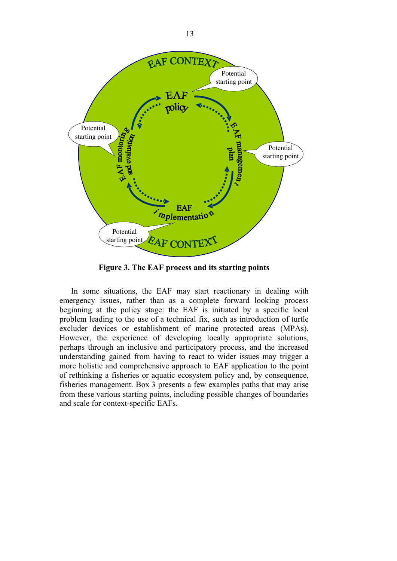

**Figure 3. The EAF process and its starting points** 

In some situations, the EAF may start reactionary in dealing with emergency issues, rather than as a complete forward looking process beginning at the policy stage: the EAF is initiated by a specific local problem leading to the use of a technical fix, such as introduction of turtle excluder devices or establishment of marine protected areas (MPAs). However, the experience of developing locally appropriate solutions, perhaps through an inclusive and participatory process, and the increased understanding gained from having to react to wider issues may trigger a more holistic and comprehensive approach to EAF application to the point of rethinking a fisheries or aquatic ecosystem policy and, by consequence, fisheries management. Box 3 presents a few examples paths that may arise from these various starting points, including possible changes of boundaries and scale for context-specific EAFs.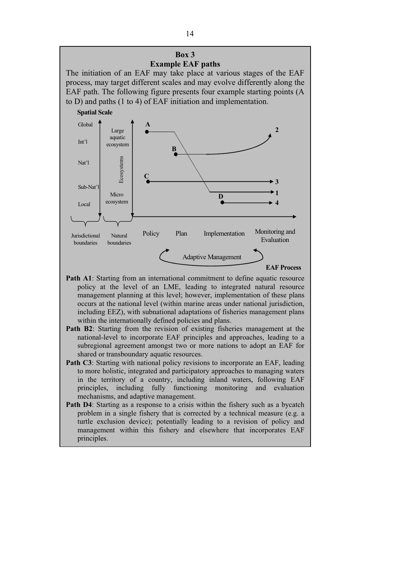The initiation of an EAF may take place at various stages of the EAF process, may target different scales and may evolve differently along the EAF path. The following figure presents four example starting points (A to D) and paths (1 to 4) of EAF initiation and implementation.



- **Path A1**: Starting from an international commitment to define aquatic resource policy at the level of an LME, leading to integrated natural resource management planning at this level; however, implementation of these plans occurs at the national level (within marine areas under national jurisdiction, including EEZ), with subnational adaptations of fisheries management plans within the internationally defined policies and plans.
- **Path B2**: Starting from the revision of existing fisheries management at the national-level to incorporate EAF principles and approaches, leading to a subregional agreement amongst two or more nations to adopt an EAF for shared or transboundary aquatic resources.
- **Path C3**: Starting with national policy revisions to incorporate an EAF, leading to more holistic, integrated and participatory approaches to managing waters in the territory of a country, including inland waters, following EAF principles, including fully functioning monitoring and evaluation mechanisms, and adaptive management.
- **Path D4**: Starting as a response to a crisis within the fishery such as a bycatch problem in a single fishery that is corrected by a technical measure (e.g. a turtle exclusion device); potentially leading to a revision of policy and management within this fishery and elsewhere that incorporates EAF principles.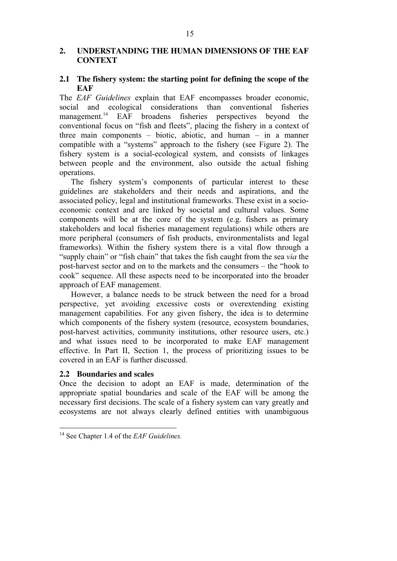# **2. UNDERSTANDING THE HUMAN DIMENSIONS OF THE EAF CONTEXT**

# **2.1 The fishery system: the starting point for defining the scope of the EAF**

The *EAF Guidelines* explain that EAF encompasses broader economic, social and ecological considerations than conventional fisheries management.<sup>14</sup> EAF broadens fisheries perspectives beyond the conventional focus on "fish and fleets", placing the fishery in a context of three main components – biotic, abiotic, and human – in a manner compatible with a "systems" approach to the fishery (see Figure 2). The fishery system is a social-ecological system, and consists of linkages between people and the environment, also outside the actual fishing operations.

The fishery system's components of particular interest to these guidelines are stakeholders and their needs and aspirations, and the associated policy, legal and institutional frameworks. These exist in a socioeconomic context and are linked by societal and cultural values. Some components will be at the core of the system (e.g. fishers as primary stakeholders and local fisheries management regulations) while others are more peripheral (consumers of fish products, environmentalists and legal frameworks). Within the fishery system there is a vital flow through a "supply chain" or "fish chain" that takes the fish caught from the sea *via* the post-harvest sector and on to the markets and the consumers – the "hook to cook" sequence. All these aspects need to be incorporated into the broader approach of EAF management.

However, a balance needs to be struck between the need for a broad perspective, yet avoiding excessive costs or overextending existing management capabilities. For any given fishery, the idea is to determine which components of the fishery system (resource, ecosystem boundaries, post-harvest activities, community institutions, other resource users, etc.) and what issues need to be incorporated to make EAF management effective. In Part II, Section 1, the process of prioritizing issues to be covered in an EAF is further discussed.

### **2.2 Boundaries and scales**

 $\overline{a}$ 

Once the decision to adopt an EAF is made, determination of the appropriate spatial boundaries and scale of the EAF will be among the necessary first decisions. The scale of a fishery system can vary greatly and ecosystems are not always clearly defined entities with unambiguous

<sup>14</sup> See Chapter 1.4 of the *EAF Guidelines.*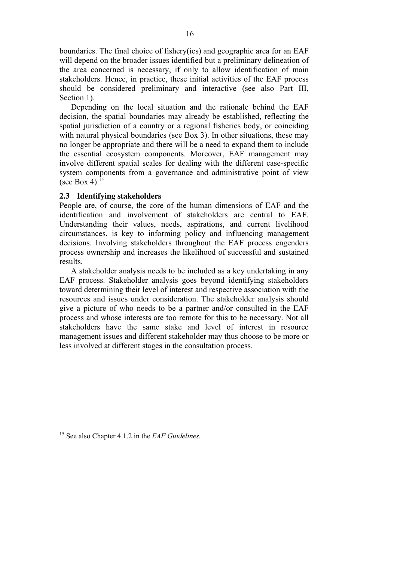boundaries. The final choice of fishery(ies) and geographic area for an EAF will depend on the broader issues identified but a preliminary delineation of the area concerned is necessary, if only to allow identification of main stakeholders. Hence, in practice, these initial activities of the EAF process should be considered preliminary and interactive (see also Part III, Section 1).

Depending on the local situation and the rationale behind the EAF decision, the spatial boundaries may already be established, reflecting the spatial jurisdiction of a country or a regional fisheries body, or coinciding with natural physical boundaries (see Box 3). In other situations, these may no longer be appropriate and there will be a need to expand them to include the essential ecosystem components. Moreover, EAF management may involve different spatial scales for dealing with the different case-specific system components from a governance and administrative point of view (see Box 4). $15$ 

# **2.3 Identifying stakeholders**

People are, of course, the core of the human dimensions of EAF and the identification and involvement of stakeholders are central to EAF. Understanding their values, needs, aspirations, and current livelihood circumstances, is key to informing policy and influencing management decisions. Involving stakeholders throughout the EAF process engenders process ownership and increases the likelihood of successful and sustained results.

A stakeholder analysis needs to be included as a key undertaking in any EAF process. Stakeholder analysis goes beyond identifying stakeholders toward determining their level of interest and respective association with the resources and issues under consideration. The stakeholder analysis should give a picture of who needs to be a partner and/or consulted in the EAF process and whose interests are too remote for this to be necessary. Not all stakeholders have the same stake and level of interest in resource management issues and different stakeholder may thus choose to be more or less involved at different stages in the consultation process.

<sup>15</sup> See also Chapter 4.1.2 in the *EAF Guidelines.*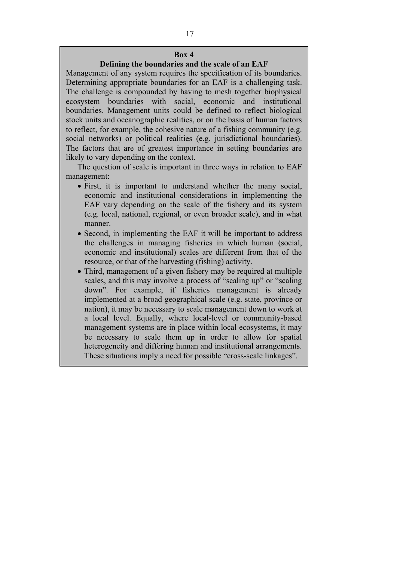## **Defining the boundaries and the scale of an EAF**

Management of any system requires the specification of its boundaries. Determining appropriate boundaries for an EAF is a challenging task. The challenge is compounded by having to mesh together biophysical ecosystem boundaries with social, economic and institutional boundaries. Management units could be defined to reflect biological stock units and oceanographic realities, or on the basis of human factors to reflect, for example, the cohesive nature of a fishing community (e.g. social networks) or political realities (e.g. jurisdictional boundaries). The factors that are of greatest importance in setting boundaries are likely to vary depending on the context.

The question of scale is important in three ways in relation to EAF management:

- First, it is important to understand whether the many social, economic and institutional considerations in implementing the EAF vary depending on the scale of the fishery and its system (e.g. local, national, regional, or even broader scale), and in what manner.
- Second, in implementing the EAF it will be important to address the challenges in managing fisheries in which human (social, economic and institutional) scales are different from that of the resource, or that of the harvesting (fishing) activity.
- Third, management of a given fishery may be required at multiple scales, and this may involve a process of "scaling up" or "scaling down". For example, if fisheries management is already implemented at a broad geographical scale (e.g. state, province or nation), it may be necessary to scale management down to work at a local level. Equally, where local-level or community-based management systems are in place within local ecosystems, it may be necessary to scale them up in order to allow for spatial heterogeneity and differing human and institutional arrangements. These situations imply a need for possible "cross-scale linkages".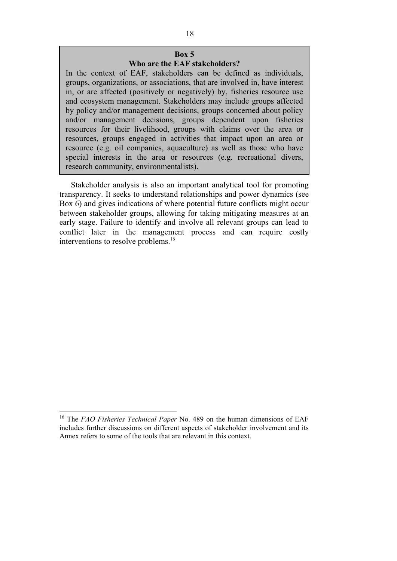# **Who are the EAF stakeholders?**

In the context of EAF, stakeholders can be defined as individuals, groups, organizations, or associations, that are involved in, have interest in, or are affected (positively or negatively) by, fisheries resource use and ecosystem management. Stakeholders may include groups affected by policy and/or management decisions, groups concerned about policy and/or management decisions, groups dependent upon fisheries resources for their livelihood, groups with claims over the area or resources, groups engaged in activities that impact upon an area or resource (e.g. oil companies, aquaculture) as well as those who have special interests in the area or resources (e.g. recreational divers, research community, environmentalists).

Stakeholder analysis is also an important analytical tool for promoting transparency. It seeks to understand relationships and power dynamics (see Box 6) and gives indications of where potential future conflicts might occur between stakeholder groups, allowing for taking mitigating measures at an early stage. Failure to identify and involve all relevant groups can lead to conflict later in the management process and can require costly interventions to resolve problems.<sup>16</sup>

<sup>16</sup> The *FAO Fisheries Technical Paper* No. 489 on the human dimensions of EAF includes further discussions on different aspects of stakeholder involvement and its Annex refers to some of the tools that are relevant in this context.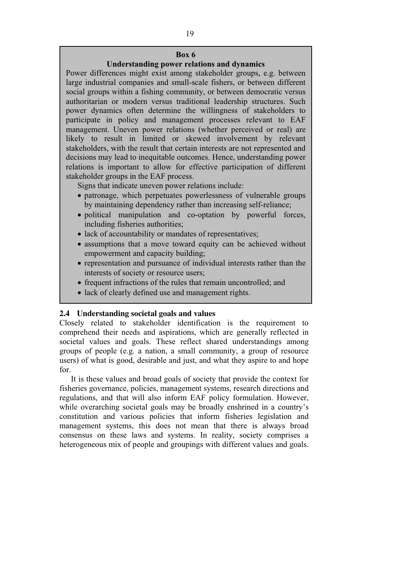# **Understanding power relations and dynamics**

Power differences might exist among stakeholder groups, e.g. between large industrial companies and small-scale fishers, or between different social groups within a fishing community, or between democratic versus authoritarian or modern versus traditional leadership structures. Such power dynamics often determine the willingness of stakeholders to participate in policy and management processes relevant to EAF management. Uneven power relations (whether perceived or real) are likely to result in limited or skewed involvement by relevant stakeholders, with the result that certain interests are not represented and decisions may lead to inequitable outcomes. Hence, understanding power relations is important to allow for effective participation of different stakeholder groups in the EAF process.

Signs that indicate uneven power relations include:

- patronage, which perpetuates powerlessness of vulnerable groups by maintaining dependency rather than increasing self-reliance;
- political manipulation and co-optation by powerful forces, including fisheries authorities;
- lack of accountability or mandates of representatives;
- assumptions that a move toward equity can be achieved without empowerment and capacity building;
- representation and pursuance of individual interests rather than the interests of society or resource users;
- frequent infractions of the rules that remain uncontrolled; and
- lack of clearly defined use and management rights.

# **2.4 Understanding societal goals and values**

Closely related to stakeholder identification is the requirement to comprehend their needs and aspirations, which are generally reflected in societal values and goals. These reflect shared understandings among groups of people (e.g*.* a nation, a small community, a group of resource users) of what is good, desirable and just, and what they aspire to and hope for.

It is these values and broad goals of society that provide the context for fisheries governance, policies, management systems, research directions and regulations, and that will also inform EAF policy formulation. However, while overarching societal goals may be broadly enshrined in a country's constitution and various policies that inform fisheries legislation and management systems, this does not mean that there is always broad consensus on these laws and systems. In reality, society comprises a heterogeneous mix of people and groupings with different values and goals.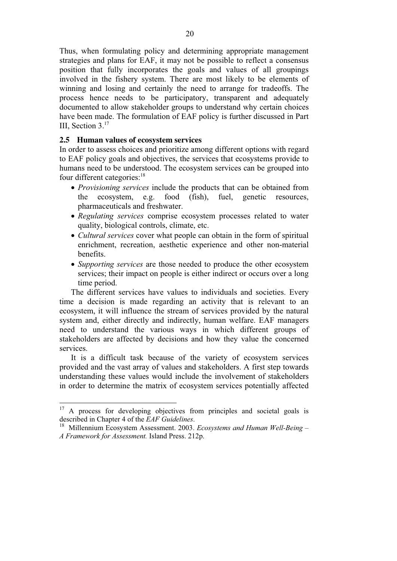Thus, when formulating policy and determining appropriate management strategies and plans for EAF, it may not be possible to reflect a consensus position that fully incorporates the goals and values of all groupings involved in the fishery system. There are most likely to be elements of winning and losing and certainly the need to arrange for tradeoffs. The process hence needs to be participatory, transparent and adequately documented to allow stakeholder groups to understand why certain choices have been made. The formulation of EAF policy is further discussed in Part III, Section 3.<sup>17</sup>

### **2.5 Human values of ecosystem services**

In order to assess choices and prioritize among different options with regard to EAF policy goals and objectives, the services that ecosystems provide to humans need to be understood. The ecosystem services can be grouped into four different categories:<sup>18</sup>

- *Provisioning services* include the products that can be obtained from the ecosystem, e.g. food (fish), fuel, genetic resources, pharmaceuticals and freshwater.
- *Regulating services* comprise ecosystem processes related to water quality, biological controls, climate, etc.
- *Cultural services* cover what people can obtain in the form of spiritual enrichment, recreation, aesthetic experience and other non-material benefits.
- *Supporting services* are those needed to produce the other ecosystem services; their impact on people is either indirect or occurs over a long time period.

The different services have values to individuals and societies. Every time a decision is made regarding an activity that is relevant to an ecosystem, it will influence the stream of services provided by the natural system and, either directly and indirectly, human welfare. EAF managers need to understand the various ways in which different groups of stakeholders are affected by decisions and how they value the concerned services.

It is a difficult task because of the variety of ecosystem services provided and the vast array of values and stakeholders. A first step towards understanding these values would include the involvement of stakeholders in order to determine the matrix of ecosystem services potentially affected

 $17\,$ <sup>17</sup> A process for developing objectives from principles and societal goals is described in Chapter 4 of the *EAF Guidelines*.

<sup>&</sup>lt;sup>18</sup> Millennium Ecosystem Assessment. 2003. *Ecosystems and Human Well-Being – A Framework for Assessment.* Island Press. 212p.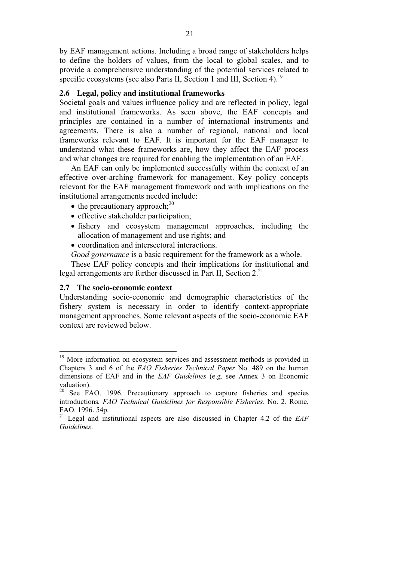by EAF management actions. Including a broad range of stakeholders helps to define the holders of values, from the local to global scales, and to provide a comprehensive understanding of the potential services related to specific ecosystems (see also Parts II, Section 1 and III, Section 4).<sup>19</sup>

# **2.6 Legal, policy and institutional frameworks**

Societal goals and values influence policy and are reflected in policy, legal and institutional frameworks. As seen above, the EAF concepts and principles are contained in a number of international instruments and agreements. There is also a number of regional, national and local frameworks relevant to EAF. It is important for the EAF manager to understand what these frameworks are, how they affect the EAF process and what changes are required for enabling the implementation of an EAF.

An EAF can only be implemented successfully within the context of an effective over-arching framework for management. Key policy concepts relevant for the EAF management framework and with implications on the institutional arrangements needed include:

- $\bullet$  the precautionary approach;<sup>20</sup>
- effective stakeholder participation;
- fishery and ecosystem management approaches, including the allocation of management and use rights; and
- coordination and intersectoral interactions.
- *Good governance* is a basic requirement for the framework as a whole.

These EAF policy concepts and their implications for institutional and legal arrangements are further discussed in Part II, Section  $2<sup>21</sup>$ 

## **2.7 The socio-economic context**

 $\overline{a}$ 

Understanding socio-economic and demographic characteristics of the fishery system is necessary in order to identify context-appropriate management approaches. Some relevant aspects of the socio-economic EAF context are reviewed below.

<sup>&</sup>lt;sup>19</sup> More information on ecosystem services and assessment methods is provided in Chapters 3 and 6 of the *FAO Fisheries Technical Paper* No. 489 on the human dimensions of EAF and in the *EAF Guidelines* (e.g. see Annex 3 on Economic valuation).

<sup>&</sup>lt;sup>20</sup> See FAO. 1996. Precautionary approach to capture fisheries and species introductions*. FAO Technical Guidelines for Responsible Fisheries*. No. 2. Rome, FAO. 1996. 54p.

<sup>21</sup> Legal and institutional aspects are also discussed in Chapter 4.2 of the *EAF Guidelines*.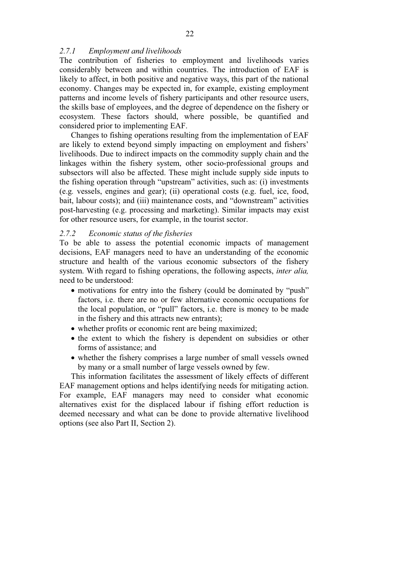### *2.7.1 Employment and livelihoods*

The contribution of fisheries to employment and livelihoods varies considerably between and within countries. The introduction of EAF is likely to affect, in both positive and negative ways, this part of the national economy. Changes may be expected in, for example, existing employment patterns and income levels of fishery participants and other resource users, the skills base of employees, and the degree of dependence on the fishery or ecosystem. These factors should, where possible, be quantified and considered prior to implementing EAF.

Changes to fishing operations resulting from the implementation of EAF are likely to extend beyond simply impacting on employment and fishers' livelihoods. Due to indirect impacts on the commodity supply chain and the linkages within the fishery system, other socio-professional groups and subsectors will also be affected. These might include supply side inputs to the fishing operation through "upstream" activities, such as: (i) investments (e.g*.* vessels, engines and gear); (ii) operational costs (e.g. fuel, ice, food, bait, labour costs); and (iii) maintenance costs, and "downstream" activities post-harvesting (e.g. processing and marketing). Similar impacts may exist for other resource users, for example, in the tourist sector.

### *2.7.2 Economic status of the fisheries*

To be able to assess the potential economic impacts of management decisions, EAF managers need to have an understanding of the economic structure and health of the various economic subsectors of the fishery system. With regard to fishing operations, the following aspects, *inter alia,* need to be understood:

- motivations for entry into the fishery (could be dominated by "push" factors, i.e. there are no or few alternative economic occupations for the local population, or "pull" factors, i.e. there is money to be made in the fishery and this attracts new entrants);
- whether profits or economic rent are being maximized;
- the extent to which the fishery is dependent on subsidies or other forms of assistance; and
- whether the fishery comprises a large number of small vessels owned by many or a small number of large vessels owned by few.

This information facilitates the assessment of likely effects of different EAF management options and helps identifying needs for mitigating action. For example, EAF managers may need to consider what economic alternatives exist for the displaced labour if fishing effort reduction is deemed necessary and what can be done to provide alternative livelihood options (see also Part II, Section 2).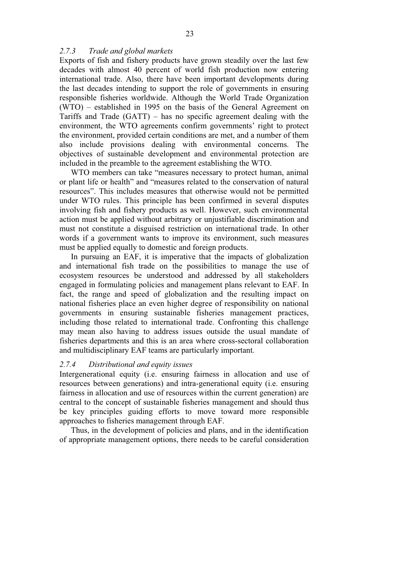# *2.7.3 Trade and global markets*

Exports of fish and fishery products have grown steadily over the last few decades with almost 40 percent of world fish production now entering international trade. Also, there have been important developments during the last decades intending to support the role of governments in ensuring responsible fisheries worldwide. Although the World Trade Organization (WTO) – established in 1995 on the basis of the General Agreement on Tariffs and Trade (GATT) – has no specific agreement dealing with the environment, the WTO agreements confirm governments' right to protect the environment, provided certain conditions are met, and a number of them also include provisions dealing with environmental concerns. The objectives of sustainable development and environmental protection are included in the preamble to the agreement establishing the WTO.

WTO members can take "measures necessary to protect human, animal or plant life or health" and "measures related to the conservation of natural resources". This includes measures that otherwise would not be permitted under WTO rules. This principle has been confirmed in several disputes involving fish and fishery products as well. However, such environmental action must be applied without arbitrary or unjustifiable discrimination and must not constitute a disguised restriction on international trade. In other words if a government wants to improve its environment, such measures must be applied equally to domestic and foreign products.

In pursuing an EAF, it is imperative that the impacts of globalization and international fish trade on the possibilities to manage the use of ecosystem resources be understood and addressed by all stakeholders engaged in formulating policies and management plans relevant to EAF. In fact, the range and speed of globalization and the resulting impact on national fisheries place an even higher degree of responsibility on national governments in ensuring sustainable fisheries management practices, including those related to international trade. Confronting this challenge may mean also having to address issues outside the usual mandate of fisheries departments and this is an area where cross-sectoral collaboration and multidisciplinary EAF teams are particularly important.

#### *2.7.4 Distributional and equity issues*

Intergenerational equity (i.e. ensuring fairness in allocation and use of resources between generations) and intra-generational equity (i.e. ensuring fairness in allocation and use of resources within the current generation) are central to the concept of sustainable fisheries management and should thus be key principles guiding efforts to move toward more responsible approaches to fisheries management through EAF.

Thus, in the development of policies and plans, and in the identification of appropriate management options, there needs to be careful consideration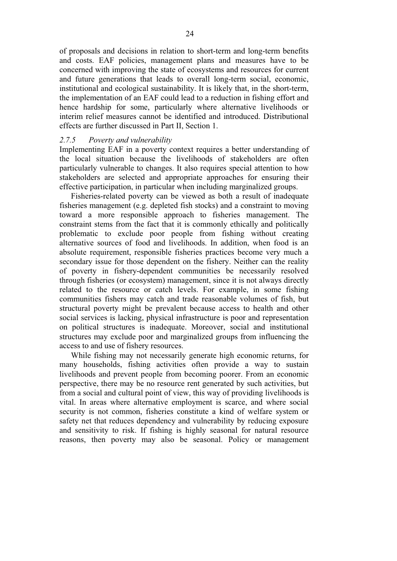of proposals and decisions in relation to short-term and long-term benefits and costs. EAF policies, management plans and measures have to be concerned with improving the state of ecosystems and resources for current and future generations that leads to overall long-term social, economic, institutional and ecological sustainability. It is likely that, in the short-term, the implementation of an EAF could lead to a reduction in fishing effort and hence hardship for some, particularly where alternative livelihoods or interim relief measures cannot be identified and introduced. Distributional effects are further discussed in Part II, Section 1.

### *2.7.5 Poverty and vulnerability*

Implementing EAF in a poverty context requires a better understanding of the local situation because the livelihoods of stakeholders are often particularly vulnerable to changes. It also requires special attention to how stakeholders are selected and appropriate approaches for ensuring their effective participation, in particular when including marginalized groups.

Fisheries-related poverty can be viewed as both a result of inadequate fisheries management (e.g. depleted fish stocks) and a constraint to moving toward a more responsible approach to fisheries management. The constraint stems from the fact that it is commonly ethically and politically problematic to exclude poor people from fishing without creating alternative sources of food and livelihoods. In addition, when food is an absolute requirement, responsible fisheries practices become very much a secondary issue for those dependent on the fishery. Neither can the reality of poverty in fishery-dependent communities be necessarily resolved through fisheries (or ecosystem) management, since it is not always directly related to the resource or catch levels. For example, in some fishing communities fishers may catch and trade reasonable volumes of fish, but structural poverty might be prevalent because access to health and other social services is lacking, physical infrastructure is poor and representation on political structures is inadequate. Moreover, social and institutional structures may exclude poor and marginalized groups from influencing the access to and use of fishery resources.

While fishing may not necessarily generate high economic returns, for many households, fishing activities often provide a way to sustain livelihoods and prevent people from becoming poorer. From an economic perspective, there may be no resource rent generated by such activities, but from a social and cultural point of view, this way of providing livelihoods is vital. In areas where alternative employment is scarce, and where social security is not common, fisheries constitute a kind of welfare system or safety net that reduces dependency and vulnerability by reducing exposure and sensitivity to risk. If fishing is highly seasonal for natural resource reasons, then poverty may also be seasonal. Policy or management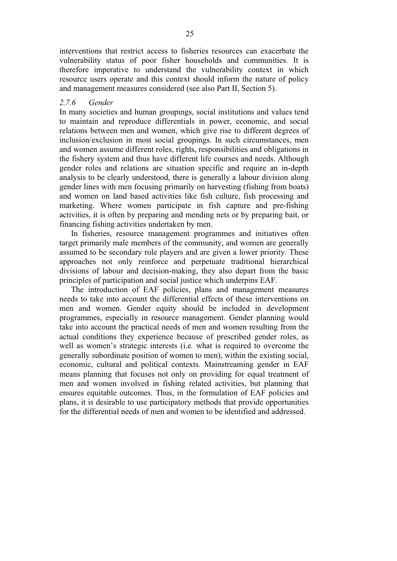interventions that restrict access to fisheries resources can exacerbate the vulnerability status of poor fisher households and communities. It is therefore imperative to understand the vulnerability context in which resource users operate and this context should inform the nature of policy and management measures considered (see also Part II, Section 5).

#### *2.7.6 Gender*

In many societies and human groupings, social institutions and values tend to maintain and reproduce differentials in power, economic, and social relations between men and women, which give rise to different degrees of inclusion/exclusion in most social groupings. In such circumstances, men and women assume different roles, rights, responsibilities and obligations in the fishery system and thus have different life courses and needs. Although gender roles and relations are situation specific and require an in-depth analysis to be clearly understood, there is generally a labour division along gender lines with men focusing primarily on harvesting (fishing from boats) and women on land based activities like fish culture, fish processing and marketing. Where women participate in fish capture and pre-fishing activities, it is often by preparing and mending nets or by preparing bait, or financing fishing activities undertaken by men.

In fisheries, resource management programmes and initiatives often target primarily male members of the community, and women are generally assumed to be secondary role players and are given a lower priority. These approaches not only reinforce and perpetuate traditional hierarchical divisions of labour and decision-making, they also depart from the basic principles of participation and social justice which underpins EAF.

The introduction of EAF policies, plans and management measures needs to take into account the differential effects of these interventions on men and women. Gender equity should be included in development programmes, especially in resource management. Gender planning would take into account the practical needs of men and women resulting from the actual conditions they experience because of prescribed gender roles, as well as women's strategic interests (i.e*.* what is required to overcome the generally subordinate position of women to men), within the existing social, economic, cultural and political contexts. Mainstreaming gender in EAF means planning that focuses not only on providing for equal treatment of men and women involved in fishing related activities, but planning that ensures equitable outcomes. Thus, in the formulation of EAF policies and plans, it is desirable to use participatory methods that provide opportunities for the differential needs of men and women to be identified and addressed.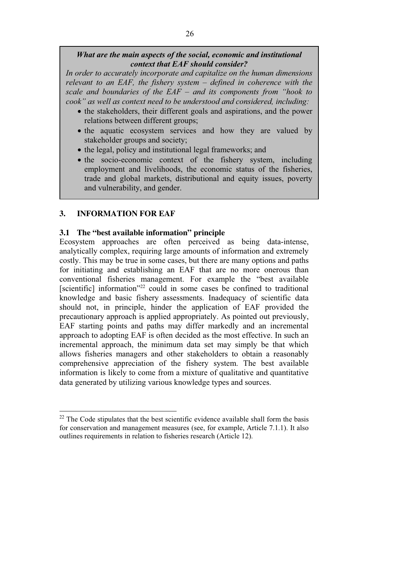# *What are the main aspects of the social, economic and institutional context that EAF should consider?*

*In order to accurately incorporate and capitalize on the human dimensions relevant to an EAF, the fishery system – defined in coherence with the scale and boundaries of the EAF – and its components from "hook to cook" as well as context need to be understood and considered, including:* 

- the stakeholders, their different goals and aspirations, and the power relations between different groups;
- the aquatic ecosystem services and how they are valued by stakeholder groups and society;
- the legal, policy and institutional legal frameworks; and
- the socio-economic context of the fishery system, including employment and livelihoods, the economic status of the fisheries, trade and global markets, distributional and equity issues, poverty and vulnerability, and gender.

# **3. INFORMATION FOR EAF**

# **3.1 The "best available information" principle**

Ecosystem approaches are often perceived as being data-intense, analytically complex, requiring large amounts of information and extremely costly. This may be true in some cases, but there are many options and paths for initiating and establishing an EAF that are no more onerous than conventional fisheries management. For example the "best available [scientific] information<sup>"22</sup> could in some cases be confined to traditional knowledge and basic fishery assessments. Inadequacy of scientific data should not, in principle, hinder the application of EAF provided the precautionary approach is applied appropriately. As pointed out previously, EAF starting points and paths may differ markedly and an incremental approach to adopting EAF is often decided as the most effective. In such an incremental approach, the minimum data set may simply be that which allows fisheries managers and other stakeholders to obtain a reasonably comprehensive appreciation of the fishery system. The best available information is likely to come from a mixture of qualitative and quantitative data generated by utilizing various knowledge types and sources.

 $\overline{a}$  $22$  The Code stipulates that the best scientific evidence available shall form the basis for conservation and management measures (see, for example, Article 7.1.1). It also outlines requirements in relation to fisheries research (Article 12).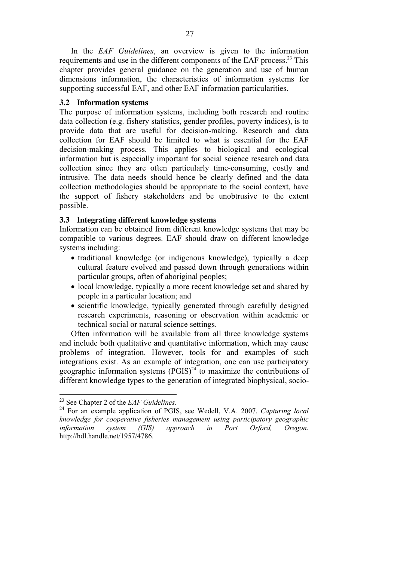In the *EAF Guidelines*, an overview is given to the information requirements and use in the different components of the EAF process.<sup>23</sup> This chapter provides general guidance on the generation and use of human dimensions information, the characteristics of information systems for supporting successful EAF, and other EAF information particularities.

## **3.2 Information systems**

The purpose of information systems, including both research and routine data collection (e.g. fishery statistics, gender profiles, poverty indices), is to provide data that are useful for decision-making. Research and data collection for EAF should be limited to what is essential for the EAF decision-making process. This applies to biological and ecological information but is especially important for social science research and data collection since they are often particularly time-consuming, costly and intrusive. The data needs should hence be clearly defined and the data collection methodologies should be appropriate to the social context, have the support of fishery stakeholders and be unobtrusive to the extent possible.

# **3.3 Integrating different knowledge systems**

Information can be obtained from different knowledge systems that may be compatible to various degrees. EAF should draw on different knowledge systems including:

- traditional knowledge (or indigenous knowledge), typically a deep cultural feature evolved and passed down through generations within particular groups, often of aboriginal peoples;
- local knowledge, typically a more recent knowledge set and shared by people in a particular location; and
- scientific knowledge, typically generated through carefully designed research experiments, reasoning or observation within academic or technical social or natural science settings.

Often information will be available from all three knowledge systems and include both qualitative and quantitative information, which may cause problems of integration. However, tools for and examples of such integrations exist. As an example of integration, one can use participatory geographic information systems  $(PGIS)^{24}$  to maximize the contributions of different knowledge types to the generation of integrated biophysical, socio-

<sup>23</sup> See Chapter 2 of the *EAF Guidelines.*

<sup>24</sup> For an example application of PGIS, see Wedell, V.A. 2007. *Capturing local knowledge for cooperative fisheries management using participatory geographic information system (GIS) approach in Port Orford, Oregon.*  http://hdl.handle.net/1957/4786.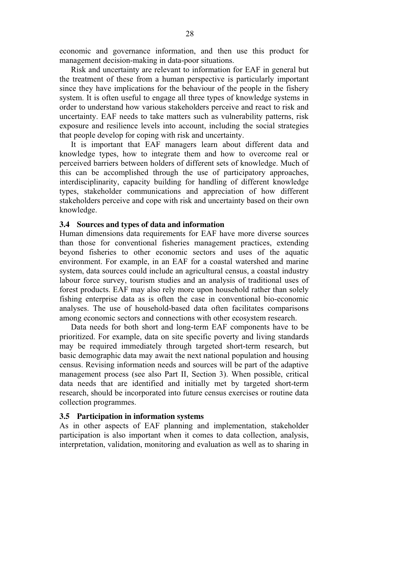economic and governance information, and then use this product for management decision-making in data-poor situations.

Risk and uncertainty are relevant to information for EAF in general but the treatment of these from a human perspective is particularly important since they have implications for the behaviour of the people in the fishery system. It is often useful to engage all three types of knowledge systems in order to understand how various stakeholders perceive and react to risk and uncertainty. EAF needs to take matters such as vulnerability patterns, risk exposure and resilience levels into account, including the social strategies that people develop for coping with risk and uncertainty.

It is important that EAF managers learn about different data and knowledge types, how to integrate them and how to overcome real or perceived barriers between holders of different sets of knowledge. Much of this can be accomplished through the use of participatory approaches, interdisciplinarity, capacity building for handling of different knowledge types, stakeholder communications and appreciation of how different stakeholders perceive and cope with risk and uncertainty based on their own knowledge.

### **3.4 Sources and types of data and information**

Human dimensions data requirements for EAF have more diverse sources than those for conventional fisheries management practices, extending beyond fisheries to other economic sectors and uses of the aquatic environment. For example, in an EAF for a coastal watershed and marine system, data sources could include an agricultural census, a coastal industry labour force survey, tourism studies and an analysis of traditional uses of forest products. EAF may also rely more upon household rather than solely fishing enterprise data as is often the case in conventional bio-economic analyses. The use of household-based data often facilitates comparisons among economic sectors and connections with other ecosystem research.

Data needs for both short and long-term EAF components have to be prioritized. For example, data on site specific poverty and living standards may be required immediately through targeted short-term research, but basic demographic data may await the next national population and housing census. Revising information needs and sources will be part of the adaptive management process (see also Part II, Section 3). When possible, critical data needs that are identified and initially met by targeted short-term research, should be incorporated into future census exercises or routine data collection programmes.

#### **3.5 Participation in information systems**

As in other aspects of EAF planning and implementation, stakeholder participation is also important when it comes to data collection, analysis, interpretation, validation, monitoring and evaluation as well as to sharing in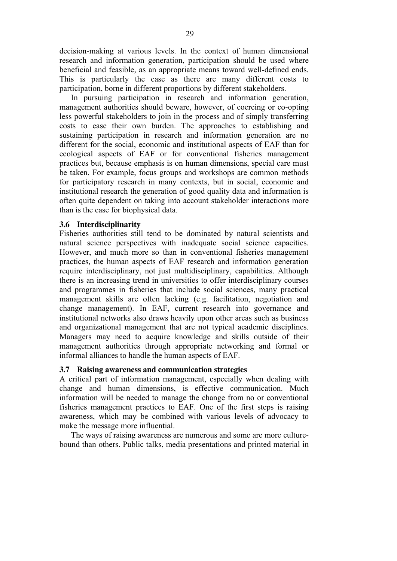decision-making at various levels. In the context of human dimensional research and information generation, participation should be used where beneficial and feasible, as an appropriate means toward well-defined ends. This is particularly the case as there are many different costs to participation, borne in different proportions by different stakeholders.

In pursuing participation in research and information generation, management authorities should beware, however, of coercing or co-opting less powerful stakeholders to join in the process and of simply transferring costs to ease their own burden. The approaches to establishing and sustaining participation in research and information generation are no different for the social, economic and institutional aspects of EAF than for ecological aspects of EAF or for conventional fisheries management practices but, because emphasis is on human dimensions, special care must be taken. For example, focus groups and workshops are common methods for participatory research in many contexts, but in social, economic and institutional research the generation of good quality data and information is often quite dependent on taking into account stakeholder interactions more than is the case for biophysical data.

## **3.6 Interdisciplinarity**

Fisheries authorities still tend to be dominated by natural scientists and natural science perspectives with inadequate social science capacities. However, and much more so than in conventional fisheries management practices, the human aspects of EAF research and information generation require interdisciplinary, not just multidisciplinary, capabilities. Although there is an increasing trend in universities to offer interdisciplinary courses and programmes in fisheries that include social sciences, many practical management skills are often lacking (e.g. facilitation, negotiation and change management). In EAF, current research into governance and institutional networks also draws heavily upon other areas such as business and organizational management that are not typical academic disciplines. Managers may need to acquire knowledge and skills outside of their management authorities through appropriate networking and formal or informal alliances to handle the human aspects of EAF.

### **3.7 Raising awareness and communication strategies**

A critical part of information management, especially when dealing with change and human dimensions, is effective communication. Much information will be needed to manage the change from no or conventional fisheries management practices to EAF. One of the first steps is raising awareness, which may be combined with various levels of advocacy to make the message more influential.

The ways of raising awareness are numerous and some are more culturebound than others. Public talks, media presentations and printed material in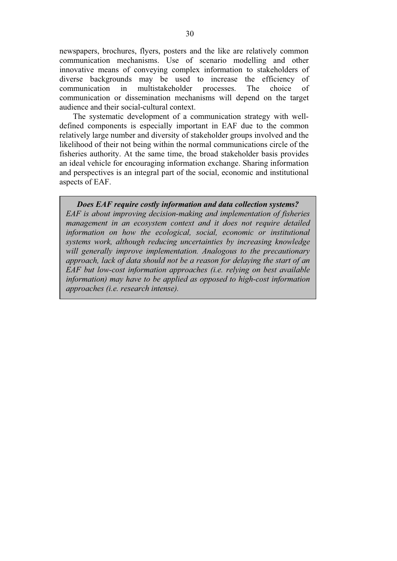newspapers, brochures, flyers, posters and the like are relatively common communication mechanisms. Use of scenario modelling and other innovative means of conveying complex information to stakeholders of diverse backgrounds may be used to increase the efficiency of communication in multistakeholder processes. The choice of communication or dissemination mechanisms will depend on the target audience and their social-cultural context.

 The systematic development of a communication strategy with welldefined components is especially important in EAF due to the common relatively large number and diversity of stakeholder groups involved and the likelihood of their not being within the normal communications circle of the fisheries authority. At the same time, the broad stakeholder basis provides an ideal vehicle for encouraging information exchange. Sharing information and perspectives is an integral part of the social, economic and institutional aspects of EAF.

*Does EAF require costly information and data collection systems? EAF is about improving decision-making and implementation of fisheries management in an ecosystem context and it does not require detailed information on how the ecological, social, economic or institutional systems work, although reducing uncertainties by increasing knowledge will generally improve implementation. Analogous to the precautionary approach, lack of data should not be a reason for delaying the start of an EAF but low-cost information approaches (i.e. relying on best available information) may have to be applied as opposed to high-cost information approaches (i.e. research intense).*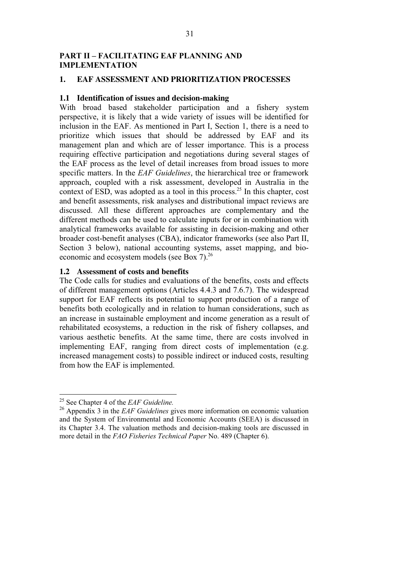# **PART II – FACILITATING EAF PLANNING AND IMPLEMENTATION**

# **1. EAF ASSESSMENT AND PRIORITIZATION PROCESSES**

## **1.1 Identification of issues and decision-making**

With broad based stakeholder participation and a fishery system perspective, it is likely that a wide variety of issues will be identified for inclusion in the EAF. As mentioned in Part I, Section 1, there is a need to prioritize which issues that should be addressed by EAF and its management plan and which are of lesser importance. This is a process requiring effective participation and negotiations during several stages of the EAF process as the level of detail increases from broad issues to more specific matters. In the *EAF Guidelines*, the hierarchical tree or framework approach, coupled with a risk assessment, developed in Australia in the context of ESD, was adopted as a tool in this process.<sup>25</sup> In this chapter, cost and benefit assessments, risk analyses and distributional impact reviews are discussed. All these different approaches are complementary and the different methods can be used to calculate inputs for or in combination with analytical frameworks available for assisting in decision-making and other broader cost-benefit analyses (CBA), indicator frameworks (see also Part II, Section 3 below), national accounting systems, asset mapping, and bioeconomic and ecosystem models (see Box 7).<sup>26</sup>

## **1.2 Assessment of costs and benefits**

The Code calls for studies and evaluations of the benefits, costs and effects of different management options (Articles 4.4.3 and 7.6.7). The widespread support for EAF reflects its potential to support production of a range of benefits both ecologically and in relation to human considerations, such as an increase in sustainable employment and income generation as a result of rehabilitated ecosystems, a reduction in the risk of fishery collapses, and various aesthetic benefits. At the same time, there are costs involved in implementing EAF, ranging from direct costs of implementation (e.g. increased management costs) to possible indirect or induced costs, resulting from how the EAF is implemented.

<sup>25</sup> See Chapter 4 of the *EAF Guideline.*

<sup>&</sup>lt;sup>26</sup> Appendix 3 in the *EAF Guidelines* gives more information on economic valuation and the System of Environmental and Economic Accounts (SEEA) is discussed in its Chapter 3.4. The valuation methods and decision-making tools are discussed in more detail in the *FAO Fisheries Technical Paper* No. 489 (Chapter 6).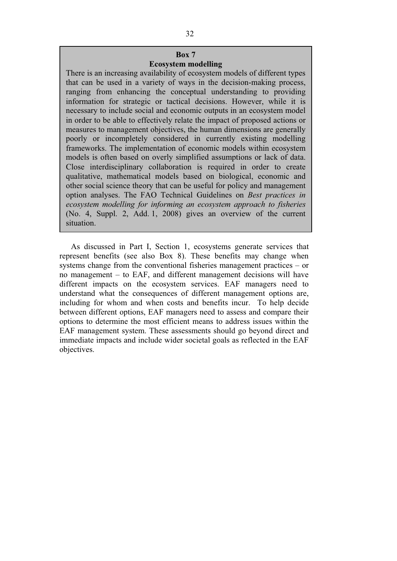## **Box 7 Ecosystem modelling**

There is an increasing availability of ecosystem models of different types that can be used in a variety of ways in the decision-making process, ranging from enhancing the conceptual understanding to providing information for strategic or tactical decisions. However, while it is necessary to include social and economic outputs in an ecosystem model in order to be able to effectively relate the impact of proposed actions or measures to management objectives, the human dimensions are generally poorly or incompletely considered in currently existing modelling frameworks. The implementation of economic models within ecosystem models is often based on overly simplified assumptions or lack of data. Close interdisciplinary collaboration is required in order to create qualitative, mathematical models based on biological, economic and other social science theory that can be useful for policy and management option analyses. The FAO Technical Guidelines on *Best practices in ecosystem modelling for informing an ecosystem approach to fisheries*  (No. 4, Suppl. 2, Add. 1, 2008) gives an overview of the current situation.

As discussed in Part I, Section 1, ecosystems generate services that represent benefits (see also Box 8). These benefits may change when systems change from the conventional fisheries management practices – or no management – to EAF, and different management decisions will have different impacts on the ecosystem services. EAF managers need to understand what the consequences of different management options are, including for whom and when costs and benefits incur. To help decide between different options, EAF managers need to assess and compare their options to determine the most efficient means to address issues within the EAF management system. These assessments should go beyond direct and immediate impacts and include wider societal goals as reflected in the EAF objectives.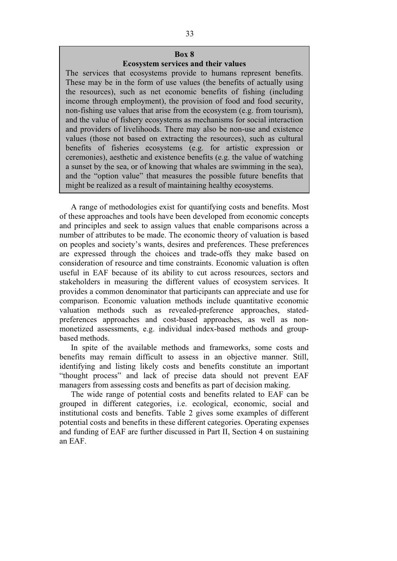### **Box 8 Ecosystem services and their values**

The services that ecosystems provide to humans represent benefits. These may be in the form of use values (the benefits of actually using the resources), such as net economic benefits of fishing (including income through employment), the provision of food and food security, non-fishing use values that arise from the ecosystem (e.g. from tourism), and the value of fishery ecosystems as mechanisms for social interaction and providers of livelihoods. There may also be non-use and existence values (those not based on extracting the resources), such as cultural benefits of fisheries ecosystems (e.g. for artistic expression or ceremonies), aesthetic and existence benefits (e.g. the value of watching a sunset by the sea, or of knowing that whales are swimming in the sea), and the "option value" that measures the possible future benefits that might be realized as a result of maintaining healthy ecosystems.

A range of methodologies exist for quantifying costs and benefits. Most of these approaches and tools have been developed from economic concepts and principles and seek to assign values that enable comparisons across a number of attributes to be made. The economic theory of valuation is based on peoples and society's wants, desires and preferences. These preferences are expressed through the choices and trade-offs they make based on consideration of resource and time constraints. Economic valuation is often useful in EAF because of its ability to cut across resources, sectors and stakeholders in measuring the different values of ecosystem services. It provides a common denominator that participants can appreciate and use for comparison. Economic valuation methods include quantitative economic valuation methods such as revealed-preference approaches, statedpreferences approaches and cost-based approaches, as well as nonmonetized assessments, e.g. individual index-based methods and groupbased methods.

In spite of the available methods and frameworks, some costs and benefits may remain difficult to assess in an objective manner. Still, identifying and listing likely costs and benefits constitute an important "thought process" and lack of precise data should not prevent EAF managers from assessing costs and benefits as part of decision making.

The wide range of potential costs and benefits related to EAF can be grouped in different categories, i.e. ecological, economic, social and institutional costs and benefits. Table 2 gives some examples of different potential costs and benefits in these different categories. Operating expenses and funding of EAF are further discussed in Part II, Section 4 on sustaining an EAF.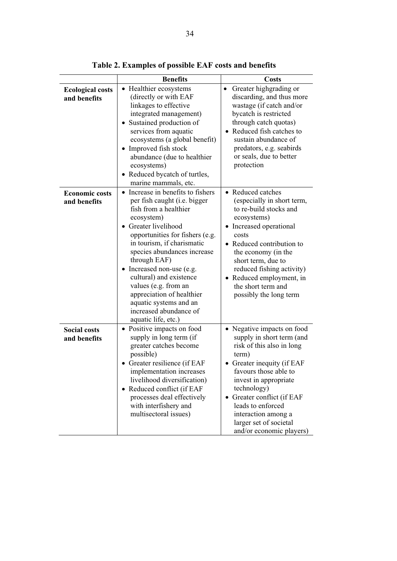|                                         | <b>Benefits</b>                                                                                                                                                                                                                                                                                                                                                                                                                                            | Costs                                                                                                                                                                                                                                                                                                                    |  |  |  |
|-----------------------------------------|------------------------------------------------------------------------------------------------------------------------------------------------------------------------------------------------------------------------------------------------------------------------------------------------------------------------------------------------------------------------------------------------------------------------------------------------------------|--------------------------------------------------------------------------------------------------------------------------------------------------------------------------------------------------------------------------------------------------------------------------------------------------------------------------|--|--|--|
| <b>Ecological costs</b><br>and benefits | • Healthier ecosystems<br>(directly or with EAF<br>linkages to effective<br>integrated management)<br>• Sustained production of<br>services from aquatic<br>ecosystems (a global benefit)<br>• Improved fish stock<br>abundance (due to healthier<br>ecosystems)<br>Reduced bycatch of turtles,<br>$\bullet$<br>marine mammals, etc.                                                                                                                       | Greater highgrading or<br>$\bullet$<br>discarding, and thus more<br>wastage (if catch and/or<br>bycatch is restricted<br>through catch quotas)<br>• Reduced fish catches to<br>sustain abundance of<br>predators, e.g. seabirds<br>or seals, due to better<br>protection                                                 |  |  |  |
| <b>Economic costs</b><br>and benefits   | • Increase in benefits to fishers<br>per fish caught (i.e. bigger<br>fish from a healthier<br>ecosystem)<br><b>Greater livelihood</b><br>$\bullet$<br>opportunities for fishers (e.g.<br>in tourism, if charismatic<br>species abundances increase<br>through EAF)<br>• Increased non-use (e.g.<br>cultural) and existence<br>values (e.g. from an<br>appreciation of healthier<br>aquatic systems and an<br>increased abundance of<br>aquatic life, etc.) | • Reduced catches<br>(especially in short term,<br>to re-build stocks and<br>ecosystems)<br>Increased operational<br>costs<br>• Reduced contribution to<br>the economy (in the<br>short term, due to<br>reduced fishing activity)<br>• Reduced employment, in<br>the short term and<br>possibly the long term            |  |  |  |
| <b>Social costs</b><br>and benefits     | • Positive impacts on food<br>supply in long term (if<br>greater catches become<br>possible)<br>• Greater resilience (if EAF<br>implementation increases<br>livelihood diversification)<br>• Reduced conflict (if EAF<br>processes deal effectively<br>with interfishery and<br>multisectoral issues)                                                                                                                                                      | • Negative impacts on food<br>supply in short term (and<br>risk of this also in long<br>term)<br>Greater inequity (if EAF<br>favours those able to<br>invest in appropriate<br>technology)<br>Greater conflict (if EAF<br>leads to enforced<br>interaction among a<br>larger set of societal<br>and/or economic players) |  |  |  |

**Table 2. Examples of possible EAF costs and benefits**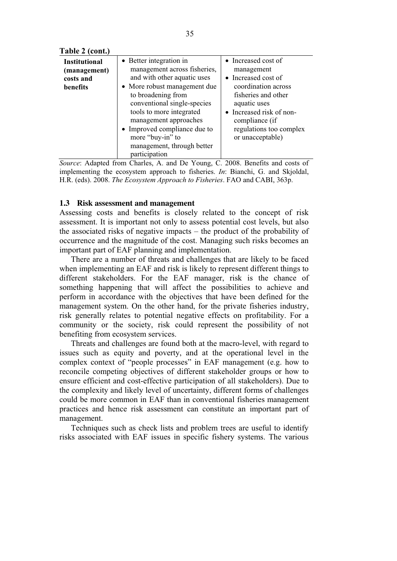| <b>Institutional</b> | • Better integration in      | • Increased cost of      |
|----------------------|------------------------------|--------------------------|
| (management)         | management across fisheries, | management               |
| costs and            | and with other aquatic uses  | • Increased cost of      |
| benefits             | • More robust management due | coordination across      |
|                      | to broadening from           | fisheries and other      |
|                      | conventional single-species  | aquatic uses             |
|                      | tools to more integrated     | • Increased risk of non- |
|                      | management approaches        | compliance (if           |
|                      | • Improved compliance due to | regulations too complex  |
|                      | more "buy-in" to             | or unacceptable)         |
|                      | management, through better   |                          |
|                      | participation                |                          |

*Source*: Adapted from Charles, A. and De Young, C. 2008. Benefits and costs of implementing the ecosystem approach to fisheries. *In*: Bianchi, G. and Skjoldal, H.R. (eds). 2008. *The Ecosystem Approach to Fisheries*. FAO and CABI, 363p.

## **1.3 Risk assessment and management**

Assessing costs and benefits is closely related to the concept of risk assessment. It is important not only to assess potential cost levels, but also the associated risks of negative impacts – the product of the probability of occurrence and the magnitude of the cost. Managing such risks becomes an important part of EAF planning and implementation.

There are a number of threats and challenges that are likely to be faced when implementing an EAF and risk is likely to represent different things to different stakeholders. For the EAF manager, risk is the chance of something happening that will affect the possibilities to achieve and perform in accordance with the objectives that have been defined for the management system. On the other hand, for the private fisheries industry, risk generally relates to potential negative effects on profitability. For a community or the society, risk could represent the possibility of not benefiting from ecosystem services.

Threats and challenges are found both at the macro-level, with regard to issues such as equity and poverty, and at the operational level in the complex context of "people processes" in EAF management (e.g. how to reconcile competing objectives of different stakeholder groups or how to ensure efficient and cost-effective participation of all stakeholders). Due to the complexity and likely level of uncertainty, different forms of challenges could be more common in EAF than in conventional fisheries management practices and hence risk assessment can constitute an important part of management.

Techniques such as check lists and problem trees are useful to identify risks associated with EAF issues in specific fishery systems. The various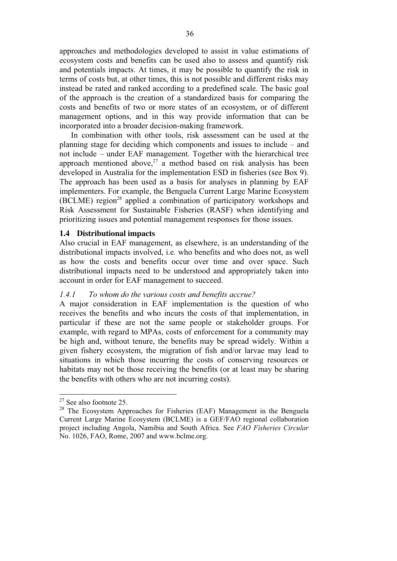approaches and methodologies developed to assist in value estimations of ecosystem costs and benefits can be used also to assess and quantify risk and potentials impacts. At times, it may be possible to quantify the risk in terms of costs but, at other times, this is not possible and different risks may instead be rated and ranked according to a predefined scale. The basic goal of the approach is the creation of a standardized basis for comparing the costs and benefits of two or more states of an ecosystem, or of different management options, and in this way provide information that can be incorporated into a broader decision-making framework.

In combination with other tools, risk assessment can be used at the planning stage for deciding which components and issues to include – and not include – under EAF management. Together with the hierarchical tree approach mentioned above,<sup>27</sup> a method based on risk analysis has been developed in Australia for the implementation ESD in fisheries (see Box 9). The approach has been used as a basis for analyses in planning by EAF implementers. For example, the Benguela Current Large Marine Ecosystem (BCLME) region<sup>28</sup> applied a combination of participatory workshops and Risk Assessment for Sustainable Fisheries (RASF) when identifying and prioritizing issues and potential management responses for those issues.

#### **1.4 Distributional impacts**

Also crucial in EAF management, as elsewhere, is an understanding of the distributional impacts involved, i.e*.* who benefits and who does not, as well as how the costs and benefits occur over time and over space. Such distributional impacts need to be understood and appropriately taken into account in order for EAF management to succeed.

#### *1.4.1 To whom do the various costs and benefits accrue?*

A major consideration in EAF implementation is the question of who receives the benefits and who incurs the costs of that implementation, in particular if these are not the same people or stakeholder groups. For example, with regard to MPAs, costs of enforcement for a community may be high and, without tenure, the benefits may be spread widely. Within a given fishery ecosystem, the migration of fish and/or larvae may lead to situations in which those incurring the costs of conserving resources or habitats may not be those receiving the benefits (or at least may be sharing the benefits with others who are not incurring costs).

 $27$  See also footnote 25.

<sup>&</sup>lt;sup>28</sup> The Ecosystem Approaches for Fisheries (EAF) Management in the Benguela Current Large Marine Ecosystem (BCLME) is a GEF/FAO regional collaboration project including Angola, Namibia and South Africa. See *FAO Fisheries Circular* No. 1026, FAO, Rome, 2007 and www.bclme.org.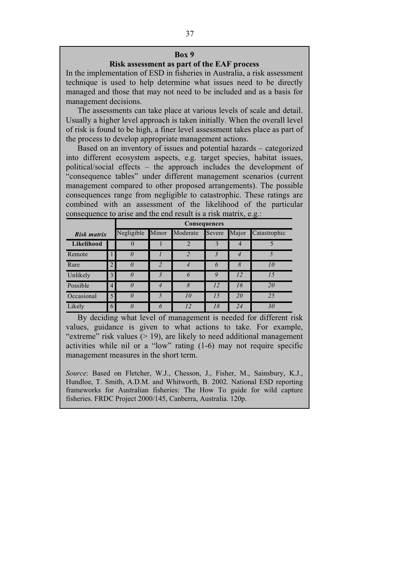### **Risk assessment as part of the EAF process**

In the implementation of ESD in fisheries in Australia, a risk assessment technique is used to help determine what issues need to be directly managed and those that may not need to be included and as a basis for management decisions.

The assessments can take place at various levels of scale and detail. Usually a higher level approach is taken initially. When the overall level of risk is found to be high, a finer level assessment takes place as part of the process to develop appropriate management actions.

Based on an inventory of issues and potential hazards – categorized into different ecosystem aspects, e.g. target species, habitat issues, political/social effects – the approach includes the development of "consequence tables" under different management scenarios (current management compared to other proposed arrangements). The possible consequences range from negligible to catastrophic. These ratings are combined with an assessment of the likelihood of the particular consequence to arise and the end result is a risk matrix, e.g.:

|             |                | <b>Consequences</b> |   |                |        |       |              |  |
|-------------|----------------|---------------------|---|----------------|--------|-------|--------------|--|
| Risk matrix |                | Negligible          |   | Minor Moderate | Severe | Major | Catastrophic |  |
| Likelihood  |                |                     |   | $\overline{2}$ | 3      |       |              |  |
| Remote      |                | 0                   |   | $\mathcal{D}$  | 3      |       |              |  |
| Rare        |                | 0                   | C | 4              | 6      | 8     | 10           |  |
| Unlikely    | 3              | $\theta$            |   | 6              | 9      | 12    | 15           |  |
| Possible    | $\overline{4}$ | $\theta$            |   | 8              | 12     | 16    | 20           |  |
| Occasional  | $\mathfrak{H}$ | $\theta$            | 5 | 10             | 15     | 20    | 25           |  |
| Likely      | 6              |                     |   | 12             | 18     | 24    | 30           |  |

By deciding what level of management is needed for different risk values, guidance is given to what actions to take. For example, "extreme" risk values  $(> 19)$ , are likely to need additional management activities while nil or a "low" rating (1-6) may not require specific management measures in the short term.

*Source*: Based on Fletcher, W.J., Chesson, J., Fisher, M., Sainsbury, K.J., Hundloe, T. Smith, A.D.M. and Whitworth, B. 2002. National ESD reporting frameworks for Australian fisheries: The How To guide for wild capture fisheries. FRDC Project 2000/145, Canberra, Australia. 120p.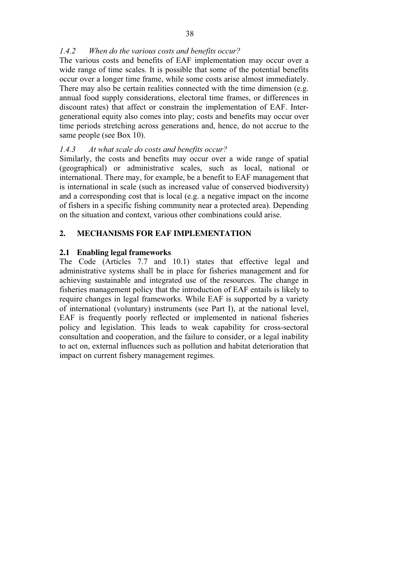# *1.4.2 When do the various costs and benefits occur?*

The various costs and benefits of EAF implementation may occur over a wide range of time scales. It is possible that some of the potential benefits occur over a longer time frame, while some costs arise almost immediately. There may also be certain realities connected with the time dimension (e.g. annual food supply considerations, electoral time frames, or differences in discount rates) that affect or constrain the implementation of EAF. Intergenerational equity also comes into play; costs and benefits may occur over time periods stretching across generations and, hence, do not accrue to the same people (see Box 10).

# *1.4.3 At what scale do costs and benefits occur?*

Similarly, the costs and benefits may occur over a wide range of spatial (geographical) or administrative scales, such as local, national or international. There may, for example, be a benefit to EAF management that is international in scale (such as increased value of conserved biodiversity) and a corresponding cost that is local (e.g. a negative impact on the income of fishers in a specific fishing community near a protected area). Depending on the situation and context, various other combinations could arise.

# **2. MECHANISMS FOR EAF IMPLEMENTATION**

# **2.1 Enabling legal frameworks**

The Code (Articles 7.7 and 10.1) states that effective legal and administrative systems shall be in place for fisheries management and for achieving sustainable and integrated use of the resources. The change in fisheries management policy that the introduction of EAF entails is likely to require changes in legal frameworks. While EAF is supported by a variety of international (voluntary) instruments (see Part I), at the national level, EAF is frequently poorly reflected or implemented in national fisheries policy and legislation. This leads to weak capability for cross-sectoral consultation and cooperation, and the failure to consider, or a legal inability to act on, external influences such as pollution and habitat deterioration that impact on current fishery management regimes.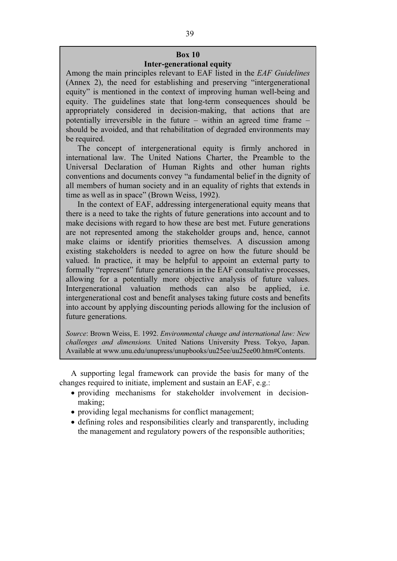# **Box 10 Inter-generational equity**

Among the main principles relevant to EAF listed in the *EAF Guidelines* (Annex 2), the need for establishing and preserving "intergenerational equity" is mentioned in the context of improving human well-being and equity. The guidelines state that long-term consequences should be appropriately considered in decision-making, that actions that are potentially irreversible in the future – within an agreed time frame – should be avoided, and that rehabilitation of degraded environments may be required.

The concept of intergenerational equity is firmly anchored in international law. The United Nations Charter, the Preamble to the Universal Declaration of Human Rights and other human rights conventions and documents convey "a fundamental belief in the dignity of all members of human society and in an equality of rights that extends in time as well as in space" (Brown Weiss, 1992).

In the context of EAF, addressing intergenerational equity means that there is a need to take the rights of future generations into account and to make decisions with regard to how these are best met. Future generations are not represented among the stakeholder groups and, hence, cannot make claims or identify priorities themselves. A discussion among existing stakeholders is needed to agree on how the future should be valued. In practice, it may be helpful to appoint an external party to formally "represent" future generations in the EAF consultative processes, allowing for a potentially more objective analysis of future values. Intergenerational valuation methods can also be applied, i.e. intergenerational cost and benefit analyses taking future costs and benefits into account by applying discounting periods allowing for the inclusion of future generations.

*Source*: Brown Weiss, E. 1992. *Environmental change and international law: New challenges and dimensions.* United Nations University Press. Tokyo, Japan. Available at www.unu.edu/unupress/unupbooks/uu25ee/uu25ee00.htm#Contents.

A supporting legal framework can provide the basis for many of the changes required to initiate, implement and sustain an EAF, e.g.:

- providing mechanisms for stakeholder involvement in decisionmaking;
- providing legal mechanisms for conflict management;
- defining roles and responsibilities clearly and transparently, including the management and regulatory powers of the responsible authorities;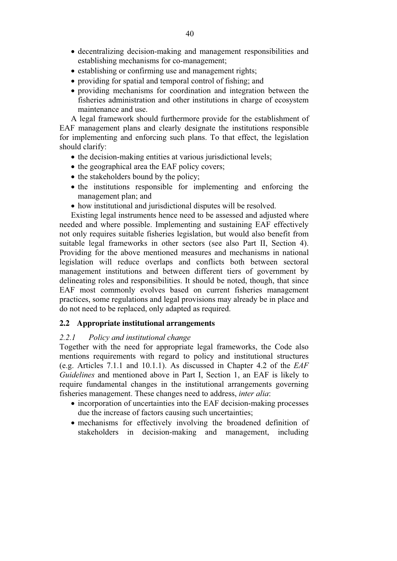- decentralizing decision-making and management responsibilities and establishing mechanisms for co-management;
- establishing or confirming use and management rights;
- providing for spatial and temporal control of fishing; and
- providing mechanisms for coordination and integration between the fisheries administration and other institutions in charge of ecosystem maintenance and use.

A legal framework should furthermore provide for the establishment of EAF management plans and clearly designate the institutions responsible for implementing and enforcing such plans. To that effect, the legislation should clarify:

- the decision-making entities at various jurisdictional levels;
- the geographical area the EAF policy covers;
- the stakeholders bound by the policy;
- the institutions responsible for implementing and enforcing the management plan; and
- how institutional and jurisdictional disputes will be resolved.

Existing legal instruments hence need to be assessed and adjusted where needed and where possible. Implementing and sustaining EAF effectively not only requires suitable fisheries legislation, but would also benefit from suitable legal frameworks in other sectors (see also Part II, Section 4). Providing for the above mentioned measures and mechanisms in national legislation will reduce overlaps and conflicts both between sectoral management institutions and between different tiers of government by delineating roles and responsibilities. It should be noted, though, that since EAF most commonly evolves based on current fisheries management practices, some regulations and legal provisions may already be in place and do not need to be replaced, only adapted as required.

# **2.2 Appropriate institutional arrangements**

# *2.2.1 Policy and institutional change*

Together with the need for appropriate legal frameworks, the Code also mentions requirements with regard to policy and institutional structures (e.g. Articles 7.1.1 and 10.1.1). As discussed in Chapter 4.2 of the *EAF Guidelines* and mentioned above in Part I, Section 1, an EAF is likely to require fundamental changes in the institutional arrangements governing fisheries management. These changes need to address, *inter alia*:

- incorporation of uncertainties into the EAF decision-making processes due the increase of factors causing such uncertainties;
- mechanisms for effectively involving the broadened definition of stakeholders in decision-making and management, including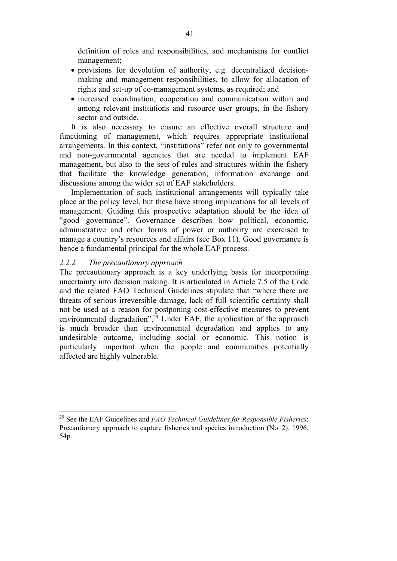definition of roles and responsibilities, and mechanisms for conflict management;

- provisions for devolution of authority, e.g. decentralized decisionmaking and management responsibilities, to allow for allocation of rights and set-up of co-management systems, as required; and
- increased coordination, cooperation and communication within and among relevant institutions and resource user groups, in the fishery sector and outside.

It is also necessary to ensure an effective overall structure and functioning of management, which requires appropriate institutional arrangements. In this context, "institutions" refer not only to governmental and non-governmental agencies that are needed to implement EAF management, but also to the sets of rules and structures within the fishery that facilitate the knowledge generation, information exchange and discussions among the wider set of EAF stakeholders.

Implementation of such institutional arrangements will typically take place at the policy level, but these have strong implications for all levels of management. Guiding this prospective adaptation should be the idea of "good governance". Governance describes how political, economic, administrative and other forms of power or authority are exercised to manage a country's resources and affairs (see Box 11). Good governance is hence a fundamental principal for the whole EAF process.

## *2.2.2 The precautionary approach*

 $\overline{a}$ 

The precautionary approach is a key underlying basis for incorporating uncertainty into decision making. It is articulated in Article 7.5 of the Code and the related FAO Technical Guidelines stipulate that "where there are threats of serious irreversible damage, lack of full scientific certainty shall not be used as a reason for postponing cost-effective measures to prevent environmental degradation".<sup>29</sup> Under EAF, the application of the approach is much broader than environmental degradation and applies to any undesirable outcome, including social or economic. This notion is particularly important when the people and communities potentially affected are highly vulnerable.

<sup>29</sup> See the EAF Guidelines and *FAO Technical Guidelines for Responsible Fisheries*: Precautionary approach to capture fisheries and species introduction (No. 2)*.* 1996. 54p.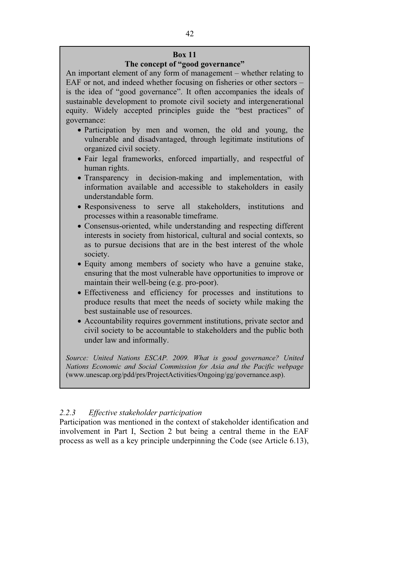# **The concept of "good governance"**

An important element of any form of management – whether relating to EAF or not, and indeed whether focusing on fisheries or other sectors – is the idea of "good governance". It often accompanies the ideals of sustainable development to promote civil society and intergenerational equity. Widely accepted principles guide the "best practices" of governance:

- Participation by men and women, the old and young, the vulnerable and disadvantaged, through legitimate institutions of organized civil society.
- Fair legal frameworks, enforced impartially, and respectful of human rights.
- Transparency in decision-making and implementation, with information available and accessible to stakeholders in easily understandable form.
- Responsiveness to serve all stakeholders, institutions and processes within a reasonable timeframe.
- Consensus-oriented, while understanding and respecting different interests in society from historical, cultural and social contexts, so as to pursue decisions that are in the best interest of the whole society.
- Equity among members of society who have a genuine stake, ensuring that the most vulnerable have opportunities to improve or maintain their well-being (e.g. pro-poor).
- Effectiveness and efficiency for processes and institutions to produce results that meet the needs of society while making the best sustainable use of resources.
- Accountability requires government institutions, private sector and civil society to be accountable to stakeholders and the public both under law and informally.

*Source: United Nations ESCAP. 2009. What is good governance? United Nations Economic and Social Commission for Asia and the Pacific webpage* (www.unescap.org/pdd/prs/ProjectActivities/Ongoing/gg/governance.asp).

# *2.2.3 Effective stakeholder participation*

Participation was mentioned in the context of stakeholder identification and involvement in Part I, Section 2 but being a central theme in the EAF process as well as a key principle underpinning the Code (see Article 6.13),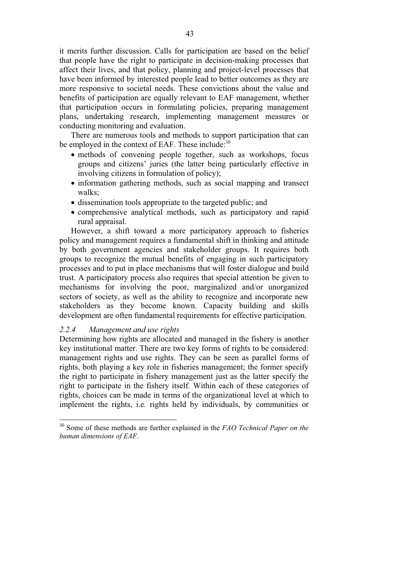it merits further discussion. Calls for participation are based on the belief that people have the right to participate in decision-making processes that affect their lives, and that policy, planning and project-level processes that have been informed by interested people lead to better outcomes as they are more responsive to societal needs. These convictions about the value and benefits of participation are equally relevant to EAF management, whether that participation occurs in formulating policies, preparing management plans, undertaking research, implementing management measures or conducting monitoring and evaluation.

There are numerous tools and methods to support participation that can be employed in the context of EAF. These include:<sup>30</sup>

- methods of convening people together, such as workshops, focus groups and citizens' juries (the latter being particularly effective in involving citizens in formulation of policy);
- information gathering methods, such as social mapping and transect walks;
- dissemination tools appropriate to the targeted public; and
- comprehensive analytical methods, such as participatory and rapid rural appraisal.

However, a shift toward a more participatory approach to fisheries policy and management requires a fundamental shift in thinking and attitude by both government agencies and stakeholder groups. It requires both groups to recognize the mutual benefits of engaging in such participatory processes and to put in place mechanisms that will foster dialogue and build trust. A participatory process also requires that special attention be given to mechanisms for involving the poor, marginalized and/or unorganized sectors of society, as well as the ability to recognize and incorporate new stakeholders as they become known. Capacity building and skills development are often fundamental requirements for effective participation.

### *2.2.4 Management and use rights*

 $\overline{\phantom{a}}$ 

Determining how rights are allocated and managed in the fishery is another key institutional matter. There are two key forms of rights to be considered: management rights and use rights. They can be seen as parallel forms of rights, both playing a key role in fisheries management; the former specify the right to participate in fishery management just as the latter specify the right to participate in the fishery itself. Within each of these categories of rights, choices can be made in terms of the organizational level at which to implement the rights, i.e*.* rights held by individuals, by communities or

<sup>30</sup> Some of these methods are further explained in the *FAO Technical Paper on the human dimensions of EAF*.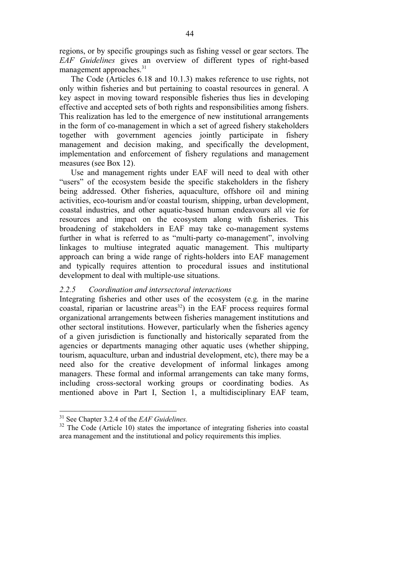regions, or by specific groupings such as fishing vessel or gear sectors. The *EAF Guidelines* gives an overview of different types of right-based management approaches.<sup>31</sup>

The Code (Articles 6.18 and 10.1.3) makes reference to use rights, not only within fisheries and but pertaining to coastal resources in general. A key aspect in moving toward responsible fisheries thus lies in developing effective and accepted sets of both rights and responsibilities among fishers. This realization has led to the emergence of new institutional arrangements in the form of co-management in which a set of agreed fishery stakeholders together with government agencies jointly participate in fishery management and decision making, and specifically the development, implementation and enforcement of fishery regulations and management measures (see Box 12).

Use and management rights under EAF will need to deal with other "users" of the ecosystem beside the specific stakeholders in the fishery being addressed. Other fisheries, aquaculture, offshore oil and mining activities, eco-tourism and/or coastal tourism, shipping, urban development, coastal industries, and other aquatic-based human endeavours all vie for resources and impact on the ecosystem along with fisheries. This broadening of stakeholders in EAF may take co-management systems further in what is referred to as "multi-party co-management", involving linkages to multiuse integrated aquatic management. This multiparty approach can bring a wide range of rights-holders into EAF management and typically requires attention to procedural issues and institutional development to deal with multiple-use situations.

# *2.2.5 Coordination and intersectoral interactions*

Integrating fisheries and other uses of the ecosystem (e.g*.* in the marine coastal, riparian or lacustrine areas<sup>32</sup>) in the EAF process requires formal organizational arrangements between fisheries management institutions and other sectoral institutions. However, particularly when the fisheries agency of a given jurisdiction is functionally and historically separated from the agencies or departments managing other aquatic uses (whether shipping, tourism, aquaculture, urban and industrial development, etc), there may be a need also for the creative development of informal linkages among managers. These formal and informal arrangements can take many forms, including cross-sectoral working groups or coordinating bodies. As mentioned above in Part I, Section 1, a multidisciplinary EAF team,

<sup>31</sup> See Chapter 3.2.4 of the *EAF Guidelines.*

 $32$  The Code (Article 10) states the importance of integrating fisheries into coastal area management and the institutional and policy requirements this implies.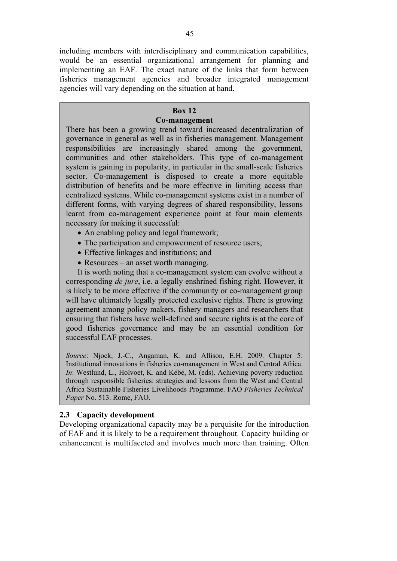including members with interdisciplinary and communication capabilities, would be an essential organizational arrangement for planning and implementing an EAF. The exact nature of the links that form between fisheries management agencies and broader integrated management agencies will vary depending on the situation at hand.

# **Box 12**

# **Co-management**

There has been a growing trend toward increased decentralization of governance in general as well as in fisheries management. Management responsibilities are increasingly shared among the government, communities and other stakeholders. This type of co-management system is gaining in popularity, in particular in the small-scale fisheries sector. Co-management is disposed to create a more equitable distribution of benefits and be more effective in limiting access than centralized systems. While co-management systems exist in a number of different forms, with varying degrees of shared responsibility, lessons learnt from co-management experience point at four main elements necessary for making it successful:

- An enabling policy and legal framework;
- The participation and empowerment of resource users;
- Effective linkages and institutions; and
- Resources an asset worth managing.

It is worth noting that a co-management system can evolve without a corresponding *de jure*, i.e. a legally enshrined fishing right. However, it is likely to be more effective if the community or co-management group will have ultimately legally protected exclusive rights. There is growing agreement among policy makers, fishery managers and researchers that ensuring that fishers have well-defined and secure rights is at the core of good fisheries governance and may be an essential condition for successful EAF processes.

*Source*: Njock, J.-C., Angaman, K. and Allison, E.H. 2009. Chapter 5: Institutional innovations in fisheries co-management in West and Central Africa. *In*: Westlund, L., Holvoet, K. and Kébé, M. (eds). Achieving poverty reduction through responsible fisheries: strategies and lessons from the West and Central Africa Sustainable Fisheries Livelihoods Programme. FAO *Fisheries Technical Paper* No. 513. Rome, FAO.

# **2.3 Capacity development**

Developing organizational capacity may be a perquisite for the introduction of EAF and it is likely to be a requirement throughout. Capacity building or enhancement is multifaceted and involves much more than training. Often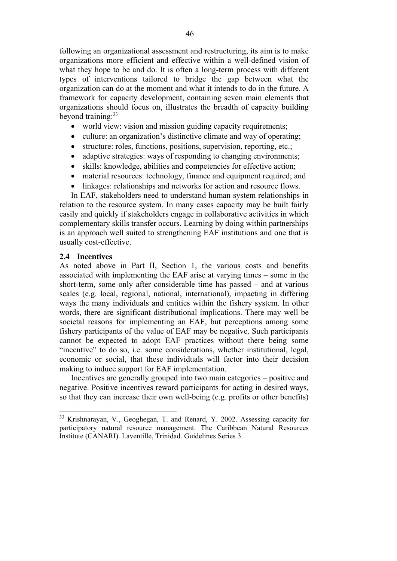following an organizational assessment and restructuring, its aim is to make organizations more efficient and effective within a well-defined vision of what they hope to be and do. It is often a long-term process with different types of interventions tailored to bridge the gap between what the organization can do at the moment and what it intends to do in the future. A framework for capacity development, containing seven main elements that organizations should focus on, illustrates the breadth of capacity building beyond training: $33$ 

- world view: vision and mission guiding capacity requirements;
- culture: an organization's distinctive climate and way of operating;
- $\bullet$ structure: roles, functions, positions, supervision, reporting, etc.;
- adaptive strategies: ways of responding to changing environments;
- $\bullet$ skills: knowledge, abilities and competencies for effective action;
- $\bullet$ material resources: technology, finance and equipment required; and
- linkages: relationships and networks for action and resource flows.

In EAF, stakeholders need to understand human system relationships in relation to the resource system. In many cases capacity may be built fairly easily and quickly if stakeholders engage in collaborative activities in which complementary skills transfer occurs. Learning by doing within partnerships is an approach well suited to strengthening EAF institutions and one that is usually cost-effective.

#### **2.4 Incentives**

 $\overline{a}$ 

As noted above in Part II, Section 1, the various costs and benefits associated with implementing the EAF arise at varying times – some in the short-term, some only after considerable time has passed – and at various scales (e.g. local, regional, national, international), impacting in differing ways the many individuals and entities within the fishery system. In other words, there are significant distributional implications. There may well be societal reasons for implementing an EAF, but perceptions among some fishery participants of the value of EAF may be negative. Such participants cannot be expected to adopt EAF practices without there being some "incentive" to do so, i.e. some considerations, whether institutional, legal, economic or social, that these individuals will factor into their decision making to induce support for EAF implementation.

Incentives are generally grouped into two main categories – positive and negative. Positive incentives reward participants for acting in desired ways, so that they can increase their own well-being (e.g*.* profits or other benefits)

 $33$  Krishnarayan, V., Geoghegan, T. and Renard, Y. 2002. Assessing capacity for participatory natural resource management. The Caribbean Natural Resources Institute (CANARI). Laventille, Trinidad. Guidelines Series 3.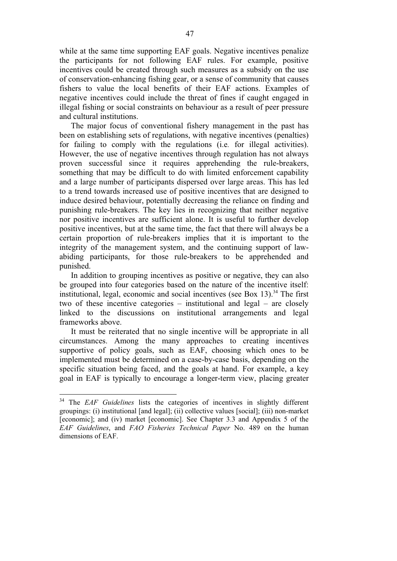while at the same time supporting EAF goals. Negative incentives penalize the participants for not following EAF rules. For example, positive incentives could be created through such measures as a subsidy on the use of conservation-enhancing fishing gear, or a sense of community that causes fishers to value the local benefits of their EAF actions. Examples of negative incentives could include the threat of fines if caught engaged in illegal fishing or social constraints on behaviour as a result of peer pressure and cultural institutions.

The major focus of conventional fishery management in the past has been on establishing sets of regulations, with negative incentives (penalties) for failing to comply with the regulations (i.e*.* for illegal activities). However, the use of negative incentives through regulation has not always proven successful since it requires apprehending the rule-breakers, something that may be difficult to do with limited enforcement capability and a large number of participants dispersed over large areas. This has led to a trend towards increased use of positive incentives that are designed to induce desired behaviour, potentially decreasing the reliance on finding and punishing rule-breakers. The key lies in recognizing that neither negative nor positive incentives are sufficient alone. It is useful to further develop positive incentives, but at the same time, the fact that there will always be a certain proportion of rule-breakers implies that it is important to the integrity of the management system, and the continuing support of lawabiding participants, for those rule-breakers to be apprehended and punished.

In addition to grouping incentives as positive or negative, they can also be grouped into four categories based on the nature of the incentive itself: institutional, legal, economic and social incentives (see Box 13).<sup>34</sup> The first two of these incentive categories – institutional and legal – are closely linked to the discussions on institutional arrangements and legal frameworks above.

It must be reiterated that no single incentive will be appropriate in all circumstances. Among the many approaches to creating incentives supportive of policy goals, such as EAF, choosing which ones to be implemented must be determined on a case-by-case basis, depending on the specific situation being faced, and the goals at hand. For example, a key goal in EAF is typically to encourage a longer-term view, placing greater

<sup>34</sup> The *EAF Guidelines* lists the categories of incentives in slightly different groupings: (i) institutional [and legal]; (ii) collective values [social]; (iii) non-market [economic]; and (iv) market [economic]. See Chapter 3.3 and Appendix 5 of the *EAF Guidelines*, and *FAO Fisheries Technical Paper* No. 489 on the human dimensions of EAF.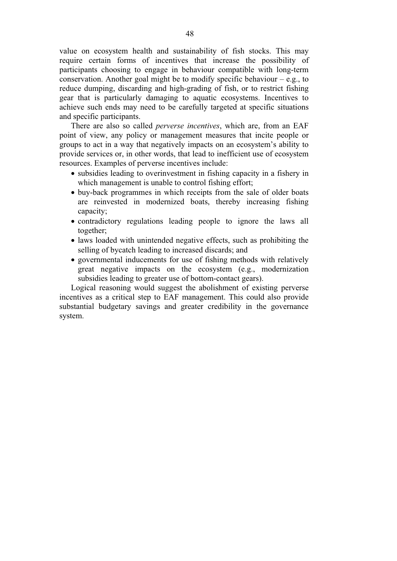value on ecosystem health and sustainability of fish stocks. This may require certain forms of incentives that increase the possibility of participants choosing to engage in behaviour compatible with long-term conservation. Another goal might be to modify specific behaviour  $-$  e.g., to reduce dumping, discarding and high-grading of fish, or to restrict fishing gear that is particularly damaging to aquatic ecosystems. Incentives to achieve such ends may need to be carefully targeted at specific situations and specific participants.

There are also so called *perverse incentives*, which are, from an EAF point of view, any policy or management measures that incite people or groups to act in a way that negatively impacts on an ecosystem's ability to provide services or, in other words, that lead to inefficient use of ecosystem resources. Examples of perverse incentives include:

- subsidies leading to overinvestment in fishing capacity in a fishery in which management is unable to control fishing effort;
- buy-back programmes in which receipts from the sale of older boats are reinvested in modernized boats, thereby increasing fishing capacity;
- contradictory regulations leading people to ignore the laws all together;
- laws loaded with unintended negative effects, such as prohibiting the selling of bycatch leading to increased discards; and
- governmental inducements for use of fishing methods with relatively great negative impacts on the ecosystem (e.g., modernization subsidies leading to greater use of bottom-contact gears).

Logical reasoning would suggest the abolishment of existing perverse incentives as a critical step to EAF management. This could also provide substantial budgetary savings and greater credibility in the governance system.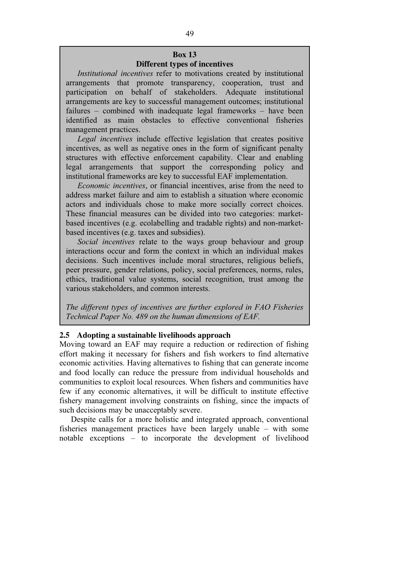# **Box 13 Different types of incentives**

*Institutional incentives* refer to motivations created by institutional arrangements that promote transparency, cooperation, trust and participation on behalf of stakeholders. Adequate institutional arrangements are key to successful management outcomes; institutional failures – combined with inadequate legal frameworks – have been identified as main obstacles to effective conventional fisheries management practices.

*Legal incentives* include effective legislation that creates positive incentives, as well as negative ones in the form of significant penalty structures with effective enforcement capability. Clear and enabling legal arrangements that support the corresponding policy and institutional frameworks are key to successful EAF implementation.

*Economic incentives*, or financial incentives, arise from the need to address market failure and aim to establish a situation where economic actors and individuals chose to make more socially correct choices. These financial measures can be divided into two categories: marketbased incentives (e.g. ecolabelling and tradable rights) and non-marketbased incentives (e.g. taxes and subsidies).

*Social incentives* relate to the ways group behaviour and group interactions occur and form the context in which an individual makes decisions. Such incentives include moral structures, religious beliefs, peer pressure, gender relations, policy, social preferences, norms, rules, ethics, traditional value systems, social recognition, trust among the various stakeholders, and common interests.

*The different types of incentives are further explored in FAO Fisheries Technical Paper No. 489 on the human dimensions of EAF.* 

## **2.5 Adopting a sustainable livelihoods approach**

Moving toward an EAF may require a reduction or redirection of fishing effort making it necessary for fishers and fish workers to find alternative economic activities. Having alternatives to fishing that can generate income and food locally can reduce the pressure from individual households and communities to exploit local resources. When fishers and communities have few if any economic alternatives, it will be difficult to institute effective fishery management involving constraints on fishing, since the impacts of such decisions may be unacceptably severe.

Despite calls for a more holistic and integrated approach, conventional fisheries management practices have been largely unable – with some notable exceptions – to incorporate the development of livelihood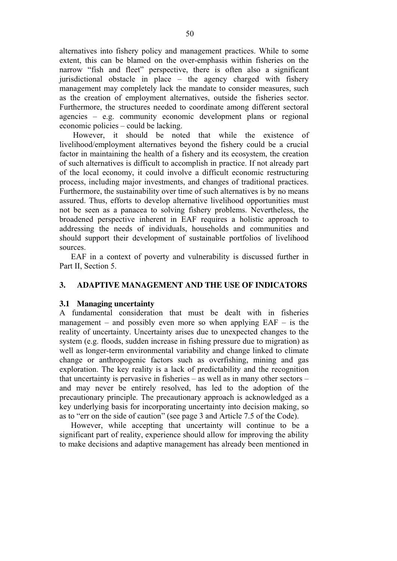alternatives into fishery policy and management practices. While to some extent, this can be blamed on the over-emphasis within fisheries on the narrow "fish and fleet" perspective, there is often also a significant jurisdictional obstacle in place – the agency charged with fishery management may completely lack the mandate to consider measures, such as the creation of employment alternatives, outside the fisheries sector. Furthermore, the structures needed to coordinate among different sectoral agencies – e.g. community economic development plans or regional economic policies – could be lacking.

 However, it should be noted that while the existence of livelihood/employment alternatives beyond the fishery could be a crucial factor in maintaining the health of a fishery and its ecosystem, the creation of such alternatives is difficult to accomplish in practice. If not already part of the local economy, it could involve a difficult economic restructuring process, including major investments, and changes of traditional practices. Furthermore, the sustainability over time of such alternatives is by no means assured. Thus, efforts to develop alternative livelihood opportunities must not be seen as a panacea to solving fishery problems. Nevertheless, the broadened perspective inherent in EAF requires a holistic approach to addressing the needs of individuals, households and communities and should support their development of sustainable portfolios of livelihood sources.

EAF in a context of poverty and vulnerability is discussed further in Part II, Section 5.

## **3. ADAPTIVE MANAGEMENT AND THE USE OF INDICATORS**

### **3.1 Managing uncertainty**

A fundamental consideration that must be dealt with in fisheries management – and possibly even more so when applying  $EAF - is$  the reality of uncertainty. Uncertainty arises due to unexpected changes to the system (e.g. floods, sudden increase in fishing pressure due to migration) as well as longer-term environmental variability and change linked to climate change or anthropogenic factors such as overfishing, mining and gas exploration. The key reality is a lack of predictability and the recognition that uncertainty is pervasive in fisheries – as well as in many other sectors – and may never be entirely resolved, has led to the adoption of the precautionary principle. The precautionary approach is acknowledged as a key underlying basis for incorporating uncertainty into decision making, so as to "err on the side of caution" (see page 3 and Article 7.5 of the Code).

However, while accepting that uncertainty will continue to be a significant part of reality, experience should allow for improving the ability to make decisions and adaptive management has already been mentioned in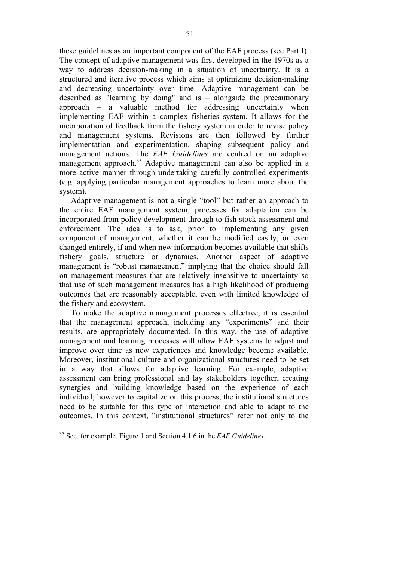these guidelines as an important component of the EAF process (see Part I). The concept of adaptive management was first developed in the 1970s as a way to address decision-making in a situation of uncertainty. It is a structured and iterative process which aims at optimizing decision-making and decreasing uncertainty over time. Adaptive management can be described as "learning by doing" and is – alongside the precautionary approach – a valuable method for addressing uncertainty when implementing EAF within a complex fisheries system. It allows for the incorporation of feedback from the fishery system in order to revise policy and management systems. Revisions are then followed by further implementation and experimentation, shaping subsequent policy and management actions. The *EAF Guidelines* are centred on an adaptive management approach.<sup>35</sup> Adaptive management can also be applied in a more active manner through undertaking carefully controlled experiments (e.g. applying particular management approaches to learn more about the system).

Adaptive management is not a single "tool" but rather an approach to the entire EAF management system; processes for adaptation can be incorporated from policy development through to fish stock assessment and enforcement. The idea is to ask, prior to implementing any given component of management, whether it can be modified easily, or even changed entirely, if and when new information becomes available that shifts fishery goals, structure or dynamics. Another aspect of adaptive management is "robust management" implying that the choice should fall on management measures that are relatively insensitive to uncertainty so that use of such management measures has a high likelihood of producing outcomes that are reasonably acceptable, even with limited knowledge of the fishery and ecosystem.

To make the adaptive management processes effective, it is essential that the management approach, including any "experiments" and their results, are appropriately documented. In this way, the use of adaptive management and learning processes will allow EAF systems to adjust and improve over time as new experiences and knowledge become available. Moreover, institutional culture and organizational structures need to be set in a way that allows for adaptive learning. For example, adaptive assessment can bring professional and lay stakeholders together, creating synergies and building knowledge based on the experience of each individual; however to capitalize on this process, the institutional structures need to be suitable for this type of interaction and able to adapt to the outcomes. In this context, "institutional structures" refer not only to the

<sup>35</sup> See, for example, Figure 1 and Section 4.1.6 in the *EAF Guidelines*.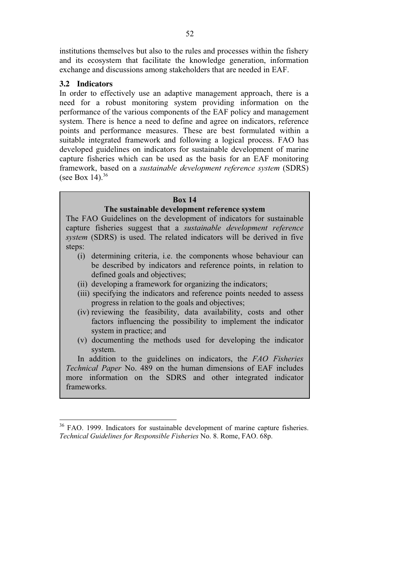institutions themselves but also to the rules and processes within the fishery and its ecosystem that facilitate the knowledge generation, information exchange and discussions among stakeholders that are needed in EAF.

## **3.2 Indicators**

 $\overline{\phantom{a}}$ 

In order to effectively use an adaptive management approach, there is a need for a robust monitoring system providing information on the performance of the various components of the EAF policy and management system. There is hence a need to define and agree on indicators, reference points and performance measures. These are best formulated within a suitable integrated framework and following a logical process. FAO has developed guidelines on indicators for sustainable development of marine capture fisheries which can be used as the basis for an EAF monitoring framework, based on a *sustainable development reference system* (SDRS) (see Box 14). $36$ 

### **Box 14**

## **The sustainable development reference system**

The FAO Guidelines on the development of indicators for sustainable capture fisheries suggest that a *sustainable development reference system* (SDRS) is used. The related indicators will be derived in five steps:

- (i) determining criteria, i.e. the components whose behaviour can be described by indicators and reference points, in relation to defined goals and objectives;
- (ii) developing a framework for organizing the indicators;
- (iii) specifying the indicators and reference points needed to assess progress in relation to the goals and objectives;
- (iv) reviewing the feasibility, data availability, costs and other factors influencing the possibility to implement the indicator system in practice; and
- (v) documenting the methods used for developing the indicator system.

In addition to the guidelines on indicators, the *FAO Fisheries Technical Paper* No. 489 on the human dimensions of EAF includes more information on the SDRS and other integrated indicator frameworks.

<sup>&</sup>lt;sup>36</sup> FAO. 1999. Indicators for sustainable development of marine capture fisheries. *Technical Guidelines for Responsible Fisheries* No. 8. Rome, FAO. 68p.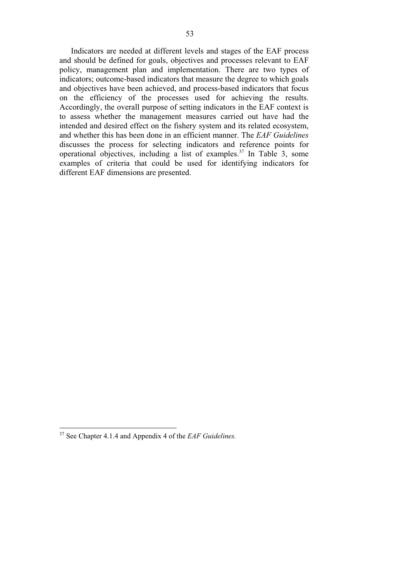Indicators are needed at different levels and stages of the EAF process and should be defined for goals, objectives and processes relevant to EAF policy, management plan and implementation. There are two types of indicators; outcome-based indicators that measure the degree to which goals and objectives have been achieved, and process-based indicators that focus on the efficiency of the processes used for achieving the results. Accordingly, the overall purpose of setting indicators in the EAF context is to assess whether the management measures carried out have had the intended and desired effect on the fishery system and its related ecosystem, and whether this has been done in an efficient manner. The *EAF Guidelines* discusses the process for selecting indicators and reference points for operational objectives, including a list of examples.37 In Table 3, some examples of criteria that could be used for identifying indicators for different EAF dimensions are presented.

<sup>37</sup> See Chapter 4.1.4 and Appendix 4 of the *EAF Guidelines.*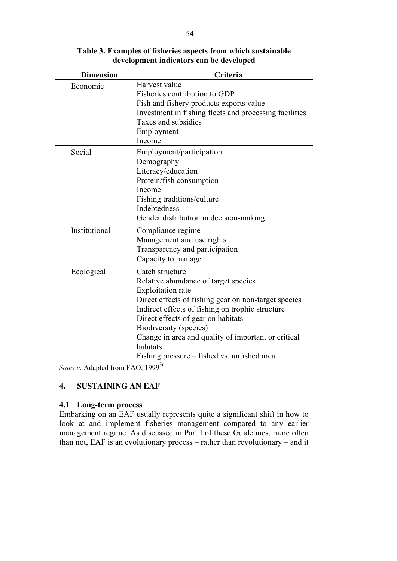| <b>Dimension</b> | Criteria                                                        |
|------------------|-----------------------------------------------------------------|
| Economic         | Harvest value                                                   |
|                  | Fisheries contribution to GDP                                   |
|                  | Fish and fishery products exports value                         |
|                  | Investment in fishing fleets and processing facilities          |
|                  | Taxes and subsidies                                             |
|                  | Employment                                                      |
|                  | Income                                                          |
| Social           | Employment/participation                                        |
|                  | Demography                                                      |
|                  | Literacy/education                                              |
|                  | Protein/fish consumption                                        |
|                  | Income                                                          |
|                  | Fishing traditions/culture                                      |
|                  | Indebtedness                                                    |
|                  | Gender distribution in decision-making                          |
| Institutional    | Compliance regime                                               |
|                  | Management and use rights                                       |
|                  | Transparency and participation                                  |
|                  | Capacity to manage                                              |
| Ecological       | Catch structure                                                 |
|                  | Relative abundance of target species                            |
|                  | <b>Exploitation</b> rate                                        |
|                  | Direct effects of fishing gear on non-target species            |
|                  | Indirect effects of fishing on trophic structure                |
|                  | Direct effects of gear on habitats                              |
|                  | Biodiversity (species)                                          |
|                  | Change in area and quality of important or critical<br>habitats |
|                  | Fishing pressure – fished vs. unfished area                     |

**Table 3. Examples of fisheries aspects from which sustainable development indicators can be developed** 

*Source*: Adapted from FAO, 1999<sup>36</sup>

# **4. SUSTAINING AN EAF**

# **4.1 Long-term process**

Embarking on an EAF usually represents quite a significant shift in how to look at and implement fisheries management compared to any earlier management regime. As discussed in Part I of these Guidelines, more often than not, EAF is an evolutionary process – rather than revolutionary – and it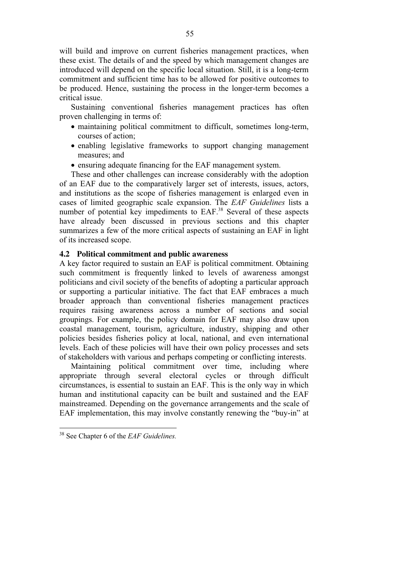will build and improve on current fisheries management practices, when these exist. The details of and the speed by which management changes are introduced will depend on the specific local situation. Still, it is a long-term commitment and sufficient time has to be allowed for positive outcomes to be produced. Hence, sustaining the process in the longer-term becomes a critical issue.

Sustaining conventional fisheries management practices has often proven challenging in terms of:

- maintaining political commitment to difficult, sometimes long-term, courses of action;
- enabling legislative frameworks to support changing management measures; and
- ensuring adequate financing for the EAF management system.

These and other challenges can increase considerably with the adoption of an EAF due to the comparatively larger set of interests, issues, actors, and institutions as the scope of fisheries management is enlarged even in cases of limited geographic scale expansion. The *EAF Guidelines* lists a number of potential key impediments to EAF.<sup>38</sup> Several of these aspects have already been discussed in previous sections and this chapter summarizes a few of the more critical aspects of sustaining an EAF in light of its increased scope.

### **4.2 Political commitment and public awareness**

A key factor required to sustain an EAF is political commitment. Obtaining such commitment is frequently linked to levels of awareness amongst politicians and civil society of the benefits of adopting a particular approach or supporting a particular initiative. The fact that EAF embraces a much broader approach than conventional fisheries management practices requires raising awareness across a number of sections and social groupings. For example, the policy domain for EAF may also draw upon coastal management, tourism, agriculture, industry, shipping and other policies besides fisheries policy at local, national, and even international levels. Each of these policies will have their own policy processes and sets of stakeholders with various and perhaps competing or conflicting interests.

Maintaining political commitment over time, including where appropriate through several electoral cycles or through difficult circumstances, is essential to sustain an EAF. This is the only way in which human and institutional capacity can be built and sustained and the EAF mainstreamed. Depending on the governance arrangements and the scale of EAF implementation, this may involve constantly renewing the "buy-in" at

<sup>38</sup> See Chapter 6 of the *EAF Guidelines.*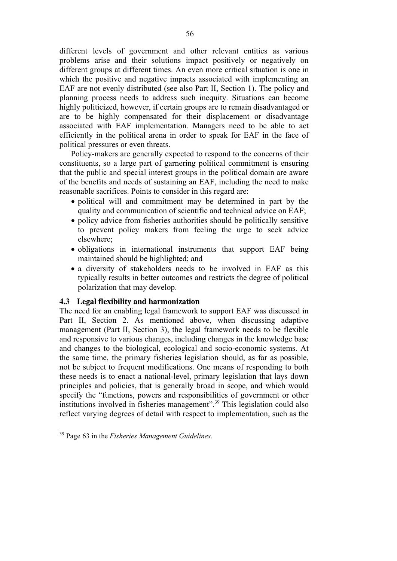different levels of government and other relevant entities as various problems arise and their solutions impact positively or negatively on different groups at different times. An even more critical situation is one in which the positive and negative impacts associated with implementing an EAF are not evenly distributed (see also Part II, Section 1). The policy and planning process needs to address such inequity. Situations can become highly politicized, however, if certain groups are to remain disadvantaged or are to be highly compensated for their displacement or disadvantage associated with EAF implementation. Managers need to be able to act efficiently in the political arena in order to speak for EAF in the face of political pressures or even threats.

Policy-makers are generally expected to respond to the concerns of their constituents, so a large part of garnering political commitment is ensuring that the public and special interest groups in the political domain are aware of the benefits and needs of sustaining an EAF, including the need to make reasonable sacrifices. Points to consider in this regard are:

- political will and commitment may be determined in part by the quality and communication of scientific and technical advice on EAF;
- policy advice from fisheries authorities should be politically sensitive to prevent policy makers from feeling the urge to seek advice elsewhere;
- obligations in international instruments that support EAF being maintained should be highlighted; and
- a diversity of stakeholders needs to be involved in EAF as this typically results in better outcomes and restricts the degree of political polarization that may develop.

### **4.3 Legal flexibility and harmonization**

The need for an enabling legal framework to support EAF was discussed in Part II, Section 2. As mentioned above, when discussing adaptive management (Part II, Section 3), the legal framework needs to be flexible and responsive to various changes, including changes in the knowledge base and changes to the biological, ecological and socio-economic systems. At the same time, the primary fisheries legislation should, as far as possible, not be subject to frequent modifications. One means of responding to both these needs is to enact a national-level, primary legislation that lays down principles and policies, that is generally broad in scope, and which would specify the "functions, powers and responsibilities of government or other institutions involved in fisheries management".39 This legislation could also reflect varying degrees of detail with respect to implementation, such as the

<sup>39</sup> Page 63 in the *Fisheries Management Guidelines*.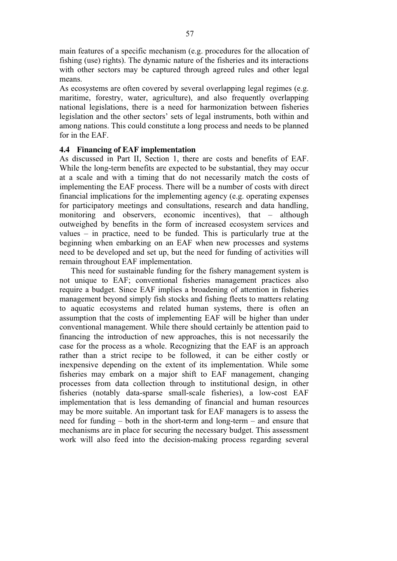main features of a specific mechanism (e.g. procedures for the allocation of fishing (use) rights). The dynamic nature of the fisheries and its interactions with other sectors may be captured through agreed rules and other legal means.

As ecosystems are often covered by several overlapping legal regimes (e.g. maritime, forestry, water, agriculture), and also frequently overlapping national legislations, there is a need for harmonization between fisheries legislation and the other sectors' sets of legal instruments, both within and among nations. This could constitute a long process and needs to be planned for in the EAF.

## **4.4 Financing of EAF implementation**

As discussed in Part II, Section 1, there are costs and benefits of EAF. While the long-term benefits are expected to be substantial, they may occur at a scale and with a timing that do not necessarily match the costs of implementing the EAF process. There will be a number of costs with direct financial implications for the implementing agency (e.g. operating expenses for participatory meetings and consultations, research and data handling, monitoring and observers, economic incentives), that – although outweighed by benefits in the form of increased ecosystem services and values – in practice, need to be funded. This is particularly true at the beginning when embarking on an EAF when new processes and systems need to be developed and set up, but the need for funding of activities will remain throughout EAF implementation.

This need for sustainable funding for the fishery management system is not unique to EAF; conventional fisheries management practices also require a budget. Since EAF implies a broadening of attention in fisheries management beyond simply fish stocks and fishing fleets to matters relating to aquatic ecosystems and related human systems, there is often an assumption that the costs of implementing EAF will be higher than under conventional management. While there should certainly be attention paid to financing the introduction of new approaches, this is not necessarily the case for the process as a whole. Recognizing that the EAF is an approach rather than a strict recipe to be followed, it can be either costly or inexpensive depending on the extent of its implementation. While some fisheries may embark on a major shift to EAF management, changing processes from data collection through to institutional design, in other fisheries (notably data-sparse small-scale fisheries), a low-cost EAF implementation that is less demanding of financial and human resources may be more suitable. An important task for EAF managers is to assess the need for funding – both in the short-term and long-term – and ensure that mechanisms are in place for securing the necessary budget. This assessment work will also feed into the decision-making process regarding several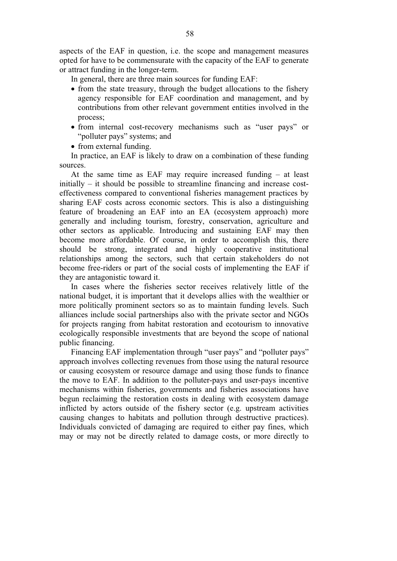aspects of the EAF in question, i.e. the scope and management measures opted for have to be commensurate with the capacity of the EAF to generate or attract funding in the longer-term.

- In general, there are three main sources for funding EAF:
- from the state treasury, through the budget allocations to the fishery agency responsible for EAF coordination and management, and by contributions from other relevant government entities involved in the process;
- from internal cost-recovery mechanisms such as "user pays" or "polluter pays" systems; and
- from external funding.

In practice, an EAF is likely to draw on a combination of these funding sources.

At the same time as EAF may require increased funding  $-$  at least initially – it should be possible to streamline financing and increase costeffectiveness compared to conventional fisheries management practices by sharing EAF costs across economic sectors. This is also a distinguishing feature of broadening an EAF into an EA (ecosystem approach) more generally and including tourism, forestry, conservation, agriculture and other sectors as applicable. Introducing and sustaining EAF may then become more affordable. Of course, in order to accomplish this, there should be strong, integrated and highly cooperative institutional relationships among the sectors, such that certain stakeholders do not become free-riders or part of the social costs of implementing the EAF if they are antagonistic toward it.

In cases where the fisheries sector receives relatively little of the national budget, it is important that it develops allies with the wealthier or more politically prominent sectors so as to maintain funding levels. Such alliances include social partnerships also with the private sector and NGOs for projects ranging from habitat restoration and ecotourism to innovative ecologically responsible investments that are beyond the scope of national public financing.

Financing EAF implementation through "user pays" and "polluter pays" approach involves collecting revenues from those using the natural resource or causing ecosystem or resource damage and using those funds to finance the move to EAF. In addition to the polluter-pays and user-pays incentive mechanisms within fisheries, governments and fisheries associations have begun reclaiming the restoration costs in dealing with ecosystem damage inflicted by actors outside of the fishery sector (e.g. upstream activities causing changes to habitats and pollution through destructive practices). Individuals convicted of damaging are required to either pay fines, which may or may not be directly related to damage costs, or more directly to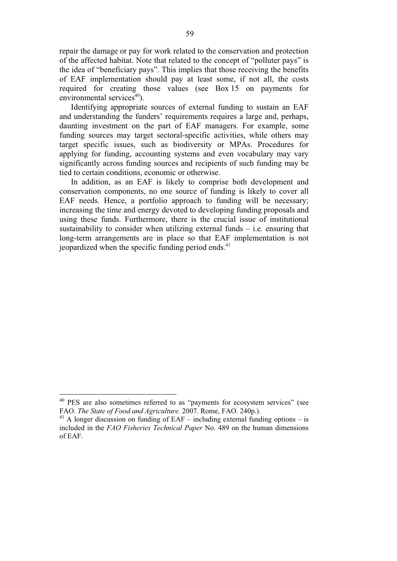repair the damage or pay for work related to the conservation and protection of the affected habitat. Note that related to the concept of "polluter pays" is the idea of "beneficiary pays". This implies that those receiving the benefits of EAF implementation should pay at least some, if not all, the costs required for creating those values (see Box 15 on payments for environmental services $40$ ).

Identifying appropriate sources of external funding to sustain an EAF and understanding the funders' requirements requires a large and, perhaps, daunting investment on the part of EAF managers. For example, some funding sources may target sectoral-specific activities, while others may target specific issues, such as biodiversity or MPAs. Procedures for applying for funding, accounting systems and even vocabulary may vary significantly across funding sources and recipients of such funding may be tied to certain conditions, economic or otherwise.

In addition, as an EAF is likely to comprise both development and conservation components, no one source of funding is likely to cover all EAF needs. Hence, a portfolio approach to funding will be necessary; increasing the time and energy devoted to developing funding proposals and using these funds. Furthermore, there is the crucial issue of institutional sustainability to consider when utilizing external funds – i.e*.* ensuring that long-term arrangements are in place so that EAF implementation is not jeopardized when the specific funding period ends.<sup>41</sup>

<sup>&</sup>lt;sup>40</sup> PES are also sometimes referred to as "payments for ecosystem services" (see FAO. *The State of Food and Agriculture.* 2007. Rome, FAO. 240p.).

 $41$  A longer discussion on funding of EAF – including external funding options – is included in the *FAO Fisheries Technical Paper* No. 489 on the human dimensions of EAF.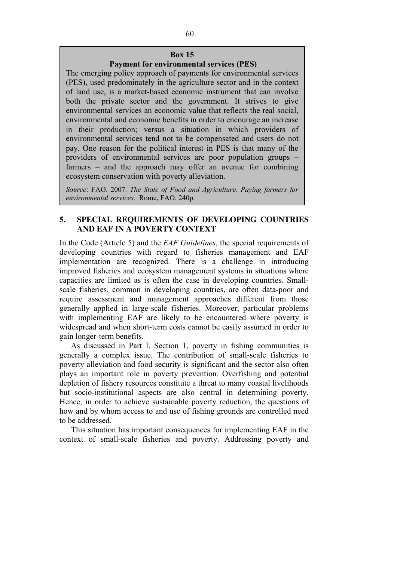## **Box 15**

### **Payment for environmental services (PES)**

The emerging policy approach of payments for environmental services (PES), used predominately in the agriculture sector and in the context of land use, is a market-based economic instrument that can involve both the private sector and the government. It strives to give environmental services an economic value that reflects the real social, environmental and economic benefits in order to encourage an increase in their production; versus a situation in which providers of environmental services tend not to be compensated and users do not pay. One reason for the political interest in PES is that many of the providers of environmental services are poor population groups – farmers – and the approach may offer an avenue for combining ecosystem conservation with poverty alleviation.

*Source*: FAO. 2007. *The State of Food and Agriculture*. *Paying farmers for environmental services.* Rome, FAO. 240p.

# **5. SPECIAL REQUIREMENTS OF DEVELOPING COUNTRIES AND EAF IN A POVERTY CONTEXT**

In the Code (Article 5) and the *EAF Guidelines*, the special requirements of developing countries with regard to fisheries management and EAF implementation are recognized. There is a challenge in introducing improved fisheries and ecosystem management systems in situations where capacities are limited as is often the case in developing countries. Smallscale fisheries, common in developing countries, are often data-poor and require assessment and management approaches different from those generally applied in large-scale fisheries. Moreover, particular problems with implementing EAF are likely to be encountered where poverty is widespread and when short-term costs cannot be easily assumed in order to gain longer-term benefits.

As discussed in Part I, Section 1, poverty in fishing communities is generally a complex issue. The contribution of small-scale fisheries to poverty alleviation and food security is significant and the sector also often plays an important role in poverty prevention. Overfishing and potential depletion of fishery resources constitute a threat to many coastal livelihoods but socio-institutional aspects are also central in determining poverty. Hence, in order to achieve sustainable poverty reduction, the questions of how and by whom access to and use of fishing grounds are controlled need to be addressed.

This situation has important consequences for implementing EAF in the context of small-scale fisheries and poverty. Addressing poverty and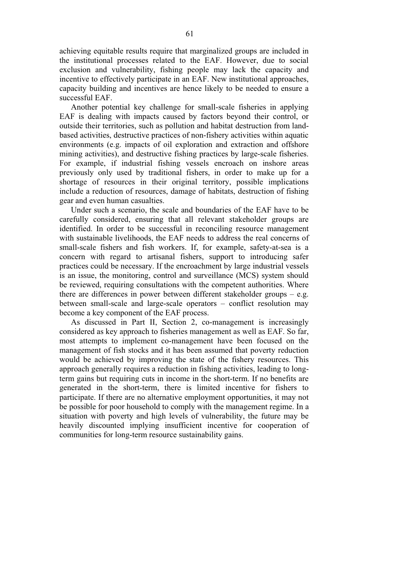achieving equitable results require that marginalized groups are included in the institutional processes related to the EAF. However, due to social exclusion and vulnerability, fishing people may lack the capacity and incentive to effectively participate in an EAF. New institutional approaches, capacity building and incentives are hence likely to be needed to ensure a successful EAF.

Another potential key challenge for small-scale fisheries in applying EAF is dealing with impacts caused by factors beyond their control, or outside their territories, such as pollution and habitat destruction from landbased activities, destructive practices of non-fishery activities within aquatic environments (e.g. impacts of oil exploration and extraction and offshore mining activities), and destructive fishing practices by large-scale fisheries. For example, if industrial fishing vessels encroach on inshore areas previously only used by traditional fishers, in order to make up for a shortage of resources in their original territory, possible implications include a reduction of resources, damage of habitats, destruction of fishing gear and even human casualties.

Under such a scenario, the scale and boundaries of the EAF have to be carefully considered, ensuring that all relevant stakeholder groups are identified. In order to be successful in reconciling resource management with sustainable livelihoods, the EAF needs to address the real concerns of small-scale fishers and fish workers. If, for example, safety-at-sea is a concern with regard to artisanal fishers, support to introducing safer practices could be necessary. If the encroachment by large industrial vessels is an issue, the monitoring, control and surveillance (MCS) system should be reviewed, requiring consultations with the competent authorities. Where there are differences in power between different stakeholder groups – e.g. between small-scale and large-scale operators – conflict resolution may become a key component of the EAF process.

As discussed in Part II, Section 2, co-management is increasingly considered as key approach to fisheries management as well as EAF. So far, most attempts to implement co-management have been focused on the management of fish stocks and it has been assumed that poverty reduction would be achieved by improving the state of the fishery resources. This approach generally requires a reduction in fishing activities, leading to longterm gains but requiring cuts in income in the short-term. If no benefits are generated in the short-term, there is limited incentive for fishers to participate. If there are no alternative employment opportunities, it may not be possible for poor household to comply with the management regime. In a situation with poverty and high levels of vulnerability, the future may be heavily discounted implying insufficient incentive for cooperation of communities for long-term resource sustainability gains.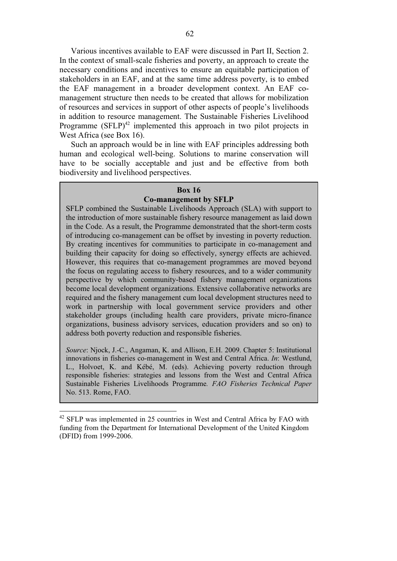Various incentives available to EAF were discussed in Part II, Section 2. In the context of small-scale fisheries and poverty, an approach to create the necessary conditions and incentives to ensure an equitable participation of stakeholders in an EAF, and at the same time address poverty, is to embed the EAF management in a broader development context. An EAF comanagement structure then needs to be created that allows for mobilization of resources and services in support of other aspects of people's livelihoods in addition to resource management. The Sustainable Fisheries Livelihood Programme  $(SFLP)^{42}$  implemented this approach in two pilot projects in West Africa (see Box 16).

Such an approach would be in line with EAF principles addressing both human and ecological well-being. Solutions to marine conservation will have to be socially acceptable and just and be effective from both biodiversity and livelihood perspectives.

### **Box 16**

### **Co-management by SFLP**

SFLP combined the Sustainable Livelihoods Approach (SLA) with support to the introduction of more sustainable fishery resource management as laid down in the Code. As a result, the Programme demonstrated that the short-term costs of introducing co-management can be offset by investing in poverty reduction. By creating incentives for communities to participate in co-management and building their capacity for doing so effectively, synergy effects are achieved. However, this requires that co-management programmes are moved beyond the focus on regulating access to fishery resources, and to a wider community perspective by which community-based fishery management organizations become local development organizations. Extensive collaborative networks are required and the fishery management cum local development structures need to work in partnership with local government service providers and other stakeholder groups (including health care providers, private micro-finance organizations, business advisory services, education providers and so on) to address both poverty reduction and responsible fisheries.

*Source*: Njock, J.-C., Angaman, K. and Allison, E.H. 2009. Chapter 5: Institutional innovations in fisheries co-management in West and Central Africa. *In*: Westlund, L., Holvoet, K. and Kébé, M. (eds). Achieving poverty reduction through responsible fisheries: strategies and lessons from the West and Central Africa Sustainable Fisheries Livelihoods Programme*. FAO Fisheries Technical Paper* No. 513. Rome, FAO.

 $42$  SFLP was implemented in 25 countries in West and Central Africa by FAO with funding from the Department for International Development of the United Kingdom (DFID) from 1999-2006.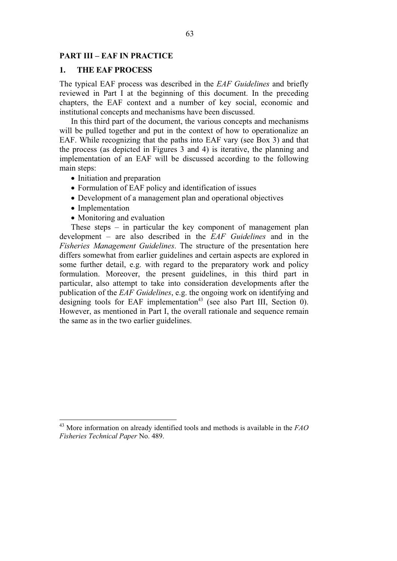# **PART III – EAF IN PRACTICE**

## **1. THE EAF PROCESS**

The typical EAF process was described in the *EAF Guidelines* and briefly reviewed in Part I at the beginning of this document. In the preceding chapters, the EAF context and a number of key social, economic and institutional concepts and mechanisms have been discussed.

In this third part of the document, the various concepts and mechanisms will be pulled together and put in the context of how to operationalize an EAF. While recognizing that the paths into EAF vary (see Box 3) and that the process (as depicted in Figures 3 and 4) is iterative, the planning and implementation of an EAF will be discussed according to the following main steps:

- Initiation and preparation
- Formulation of EAF policy and identification of issues
- Development of a management plan and operational objectives
- Implementation

 $\overline{\phantom{a}}$ 

- Monitoring and evaluation

These steps – in particular the key component of management plan development – are also described in the *EAF Guidelines* and in the *Fisheries Management Guidelines*. The structure of the presentation here differs somewhat from earlier guidelines and certain aspects are explored in some further detail, e.g. with regard to the preparatory work and policy formulation. Moreover, the present guidelines, in this third part in particular, also attempt to take into consideration developments after the publication of the *EAF Guidelines*, e.g. the ongoing work on identifying and designing tools for EAF implementation<sup>43</sup> (see also Part III, Section 0). However, as mentioned in Part I, the overall rationale and sequence remain the same as in the two earlier guidelines.

<sup>43</sup> More information on already identified tools and methods is available in the *FAO Fisheries Technical Paper* No. 489.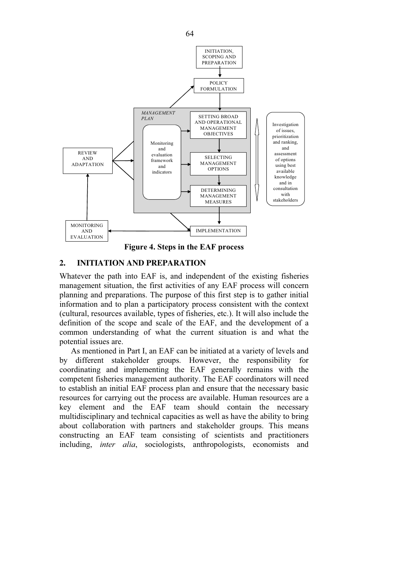

**Figure 4. Steps in the EAF process** 

# **2. INITIATION AND PREPARATION**

Whatever the path into EAF is, and independent of the existing fisheries management situation, the first activities of any EAF process will concern planning and preparations. The purpose of this first step is to gather initial information and to plan a participatory process consistent with the context (cultural, resources available, types of fisheries, etc.). It will also include the definition of the scope and scale of the EAF, and the development of a common understanding of what the current situation is and what the potential issues are.

As mentioned in Part I, an EAF can be initiated at a variety of levels and by different stakeholder groups. However, the responsibility for coordinating and implementing the EAF generally remains with the competent fisheries management authority. The EAF coordinators will need to establish an initial EAF process plan and ensure that the necessary basic resources for carrying out the process are available. Human resources are a key element and the EAF team should contain the necessary multidisciplinary and technical capacities as well as have the ability to bring about collaboration with partners and stakeholder groups. This means constructing an EAF team consisting of scientists and practitioners including, *inter alia*, sociologists, anthropologists, economists and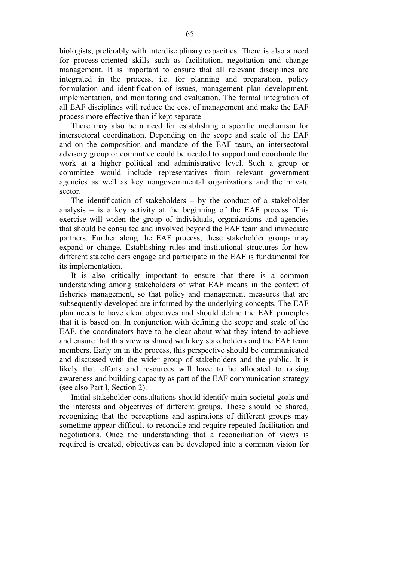biologists, preferably with interdisciplinary capacities. There is also a need for process-oriented skills such as facilitation, negotiation and change management. It is important to ensure that all relevant disciplines are integrated in the process, i.e. for planning and preparation, policy formulation and identification of issues, management plan development, implementation, and monitoring and evaluation. The formal integration of all EAF disciplines will reduce the cost of management and make the EAF process more effective than if kept separate.

There may also be a need for establishing a specific mechanism for intersectoral coordination. Depending on the scope and scale of the EAF and on the composition and mandate of the EAF team, an intersectoral advisory group or committee could be needed to support and coordinate the work at a higher political and administrative level. Such a group or committee would include representatives from relevant government agencies as well as key nongovernmental organizations and the private sector.

The identification of stakeholders – by the conduct of a stakeholder analysis – is a key activity at the beginning of the EAF process. This exercise will widen the group of individuals, organizations and agencies that should be consulted and involved beyond the EAF team and immediate partners. Further along the EAF process, these stakeholder groups may expand or change. Establishing rules and institutional structures for how different stakeholders engage and participate in the EAF is fundamental for its implementation.

It is also critically important to ensure that there is a common understanding among stakeholders of what EAF means in the context of fisheries management, so that policy and management measures that are subsequently developed are informed by the underlying concepts. The EAF plan needs to have clear objectives and should define the EAF principles that it is based on. In conjunction with defining the scope and scale of the EAF, the coordinators have to be clear about what they intend to achieve and ensure that this view is shared with key stakeholders and the EAF team members. Early on in the process, this perspective should be communicated and discussed with the wider group of stakeholders and the public. It is likely that efforts and resources will have to be allocated to raising awareness and building capacity as part of the EAF communication strategy (see also Part I, Section 2).

Initial stakeholder consultations should identify main societal goals and the interests and objectives of different groups. These should be shared, recognizing that the perceptions and aspirations of different groups may sometime appear difficult to reconcile and require repeated facilitation and negotiations. Once the understanding that a reconciliation of views is required is created, objectives can be developed into a common vision for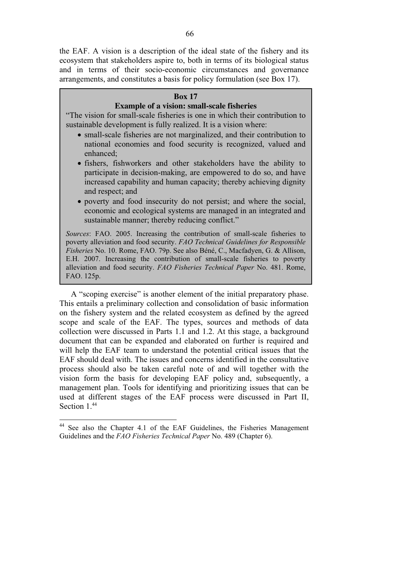the EAF. A vision is a description of the ideal state of the fishery and its ecosystem that stakeholders aspire to, both in terms of its biological status and in terms of their socio-economic circumstances and governance arrangements, and constitutes a basis for policy formulation (see Box 17).

# **Box 17**

## **Example of a vision: small-scale fisheries**

"The vision for small-scale fisheries is one in which their contribution to sustainable development is fully realized. It is a vision where:

- small-scale fisheries are not marginalized, and their contribution to national economies and food security is recognized, valued and enhanced;
- fishers, fishworkers and other stakeholders have the ability to participate in decision-making, are empowered to do so, and have increased capability and human capacity; thereby achieving dignity and respect; and
- poverty and food insecurity do not persist; and where the social, economic and ecological systems are managed in an integrated and sustainable manner; thereby reducing conflict."

*Sources*: FAO. 2005. Increasing the contribution of small-scale fisheries to poverty alleviation and food security. *FAO Technical Guidelines for Responsible Fisheries* No. 10. Rome, FAO. 79p. See also Béné, C., Macfadyen, G. & Allison, E.H. 2007. Increasing the contribution of small-scale fisheries to poverty alleviation and food security. *FAO Fisheries Technical Paper* No. 481. Rome, FAO. 125p.

A "scoping exercise" is another element of the initial preparatory phase. This entails a preliminary collection and consolidation of basic information on the fishery system and the related ecosystem as defined by the agreed scope and scale of the EAF. The types, sources and methods of data collection were discussed in Parts 1.1 and 1.2. At this stage, a background document that can be expanded and elaborated on further is required and will help the EAF team to understand the potential critical issues that the EAF should deal with. The issues and concerns identified in the consultative process should also be taken careful note of and will together with the vision form the basis for developing EAF policy and, subsequently, a management plan. Tools for identifying and prioritizing issues that can be used at different stages of the EAF process were discussed in Part II, Section 1<sup>44</sup>

 $\overline{\phantom{a}}$ 

<sup>&</sup>lt;sup>44</sup> See also the Chapter 4.1 of the EAF Guidelines, the Fisheries Management Guidelines and the *FAO Fisheries Technical Paper* No. 489 (Chapter 6).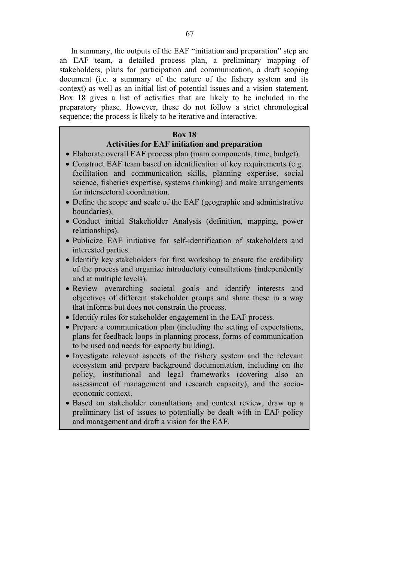In summary, the outputs of the EAF "initiation and preparation" step are an EAF team, a detailed process plan, a preliminary mapping of stakeholders, plans for participation and communication, a draft scoping document (i.e. a summary of the nature of the fishery system and its context) as well as an initial list of potential issues and a vision statement. Box 18 gives a list of activities that are likely to be included in the preparatory phase. However, these do not follow a strict chronological sequence; the process is likely to be iterative and interactive.

### **Box 18**

# **Activities for EAF initiation and preparation**

- Elaborate overall EAF process plan (main components, time, budget).
- Construct EAF team based on identification of key requirements (e.g. facilitation and communication skills, planning expertise, social science, fisheries expertise, systems thinking) and make arrangements for intersectoral coordination.
- Define the scope and scale of the EAF (geographic and administrative boundaries).
- Conduct initial Stakeholder Analysis (definition, mapping, power relationships).
- Publicize EAF initiative for self-identification of stakeholders and interested parties.
- Identify key stakeholders for first workshop to ensure the credibility of the process and organize introductory consultations (independently and at multiple levels).
- Review overarching societal goals and identify interests and objectives of different stakeholder groups and share these in a way that informs but does not constrain the process.
- Identify rules for stakeholder engagement in the EAF process.
- Prepare a communication plan (including the setting of expectations, plans for feedback loops in planning process, forms of communication to be used and needs for capacity building).
- Investigate relevant aspects of the fishery system and the relevant ecosystem and prepare background documentation, including on the policy, institutional and legal frameworks (covering also an assessment of management and research capacity), and the socioeconomic context.
- Based on stakeholder consultations and context review, draw up a preliminary list of issues to potentially be dealt with in EAF policy and management and draft a vision for the EAF.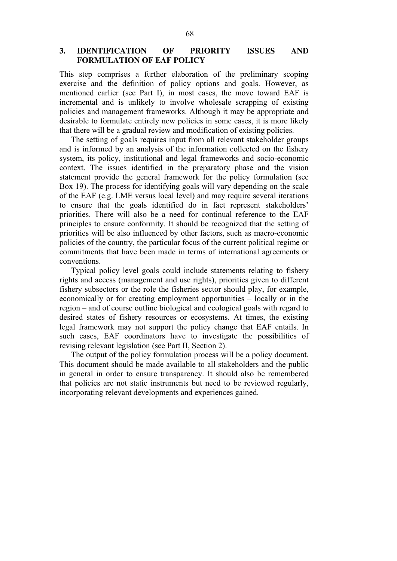# **3. IDENTIFICATION OF PRIORITY ISSUES AND FORMULATION OF EAF POLICY**

This step comprises a further elaboration of the preliminary scoping exercise and the definition of policy options and goals. However, as mentioned earlier (see Part I), in most cases, the move toward EAF is incremental and is unlikely to involve wholesale scrapping of existing policies and management frameworks. Although it may be appropriate and desirable to formulate entirely new policies in some cases, it is more likely that there will be a gradual review and modification of existing policies.

The setting of goals requires input from all relevant stakeholder groups and is informed by an analysis of the information collected on the fishery system, its policy, institutional and legal frameworks and socio-economic context. The issues identified in the preparatory phase and the vision statement provide the general framework for the policy formulation (see Box 19). The process for identifying goals will vary depending on the scale of the EAF (e.g. LME versus local level) and may require several iterations to ensure that the goals identified do in fact represent stakeholders' priorities. There will also be a need for continual reference to the EAF principles to ensure conformity. It should be recognized that the setting of priorities will be also influenced by other factors, such as macro-economic policies of the country, the particular focus of the current political regime or commitments that have been made in terms of international agreements or conventions.

Typical policy level goals could include statements relating to fishery rights and access (management and use rights), priorities given to different fishery subsectors or the role the fisheries sector should play, for example, economically or for creating employment opportunities – locally or in the region – and of course outline biological and ecological goals with regard to desired states of fishery resources or ecosystems. At times, the existing legal framework may not support the policy change that EAF entails. In such cases, EAF coordinators have to investigate the possibilities of revising relevant legislation (see Part II, Section 2).

The output of the policy formulation process will be a policy document. This document should be made available to all stakeholders and the public in general in order to ensure transparency. It should also be remembered that policies are not static instruments but need to be reviewed regularly, incorporating relevant developments and experiences gained.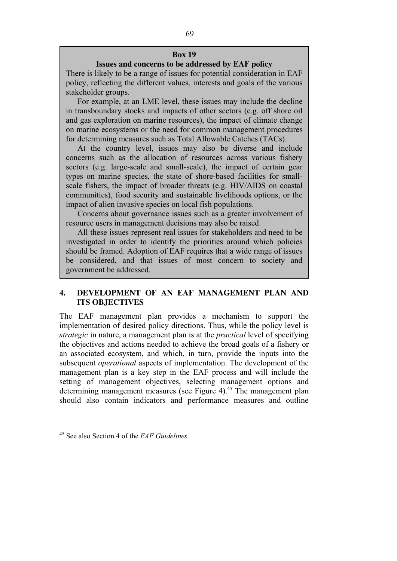### **Box 19**

## **Issues and concerns to be addressed by EAF policy**

There is likely to be a range of issues for potential consideration in EAF policy, reflecting the different values, interests and goals of the various stakeholder groups.

For example, at an LME level, these issues may include the decline in transboundary stocks and impacts of other sectors (e.g. off shore oil and gas exploration on marine resources), the impact of climate change on marine ecosystems or the need for common management procedures for determining measures such as Total Allowable Catches (TACs).

At the country level, issues may also be diverse and include concerns such as the allocation of resources across various fishery sectors (e.g. large-scale and small-scale), the impact of certain gear types on marine species, the state of shore-based facilities for smallscale fishers, the impact of broader threats (e.g. HIV/AIDS on coastal communities), food security and sustainable livelihoods options, or the impact of alien invasive species on local fish populations.

Concerns about governance issues such as a greater involvement of resource users in management decisions may also be raised.

All these issues represent real issues for stakeholders and need to be investigated in order to identify the priorities around which policies should be framed. Adoption of EAF requires that a wide range of issues be considered, and that issues of most concern to society and government be addressed.

# **4. DEVELOPMENT OF AN EAF MANAGEMENT PLAN AND ITS OBJECTIVES**

The EAF management plan provides a mechanism to support the implementation of desired policy directions. Thus, while the policy level is *strategic* in nature, a management plan is at the *practical* level of specifying the objectives and actions needed to achieve the broad goals of a fishery or an associated ecosystem, and which, in turn, provide the inputs into the subsequent *operational* aspects of implementation. The development of the management plan is a key step in the EAF process and will include the setting of management objectives, selecting management options and determining management measures (see Figure 4).<sup>45</sup> The management plan should also contain indicators and performance measures and outline

<sup>45</sup> See also Section 4 of the *EAF Guidelines*.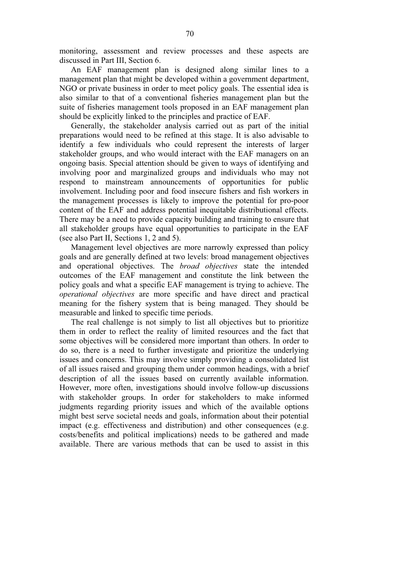monitoring, assessment and review processes and these aspects are discussed in Part III, Section 6.

An EAF management plan is designed along similar lines to a management plan that might be developed within a government department, NGO or private business in order to meet policy goals. The essential idea is also similar to that of a conventional fisheries management plan but the suite of fisheries management tools proposed in an EAF management plan should be explicitly linked to the principles and practice of EAF.

Generally, the stakeholder analysis carried out as part of the initial preparations would need to be refined at this stage. It is also advisable to identify a few individuals who could represent the interests of larger stakeholder groups, and who would interact with the EAF managers on an ongoing basis. Special attention should be given to ways of identifying and involving poor and marginalized groups and individuals who may not respond to mainstream announcements of opportunities for public involvement. Including poor and food insecure fishers and fish workers in the management processes is likely to improve the potential for pro-poor content of the EAF and address potential inequitable distributional effects. There may be a need to provide capacity building and training to ensure that all stakeholder groups have equal opportunities to participate in the EAF (see also Part II, Sections 1, 2 and 5).

Management level objectives are more narrowly expressed than policy goals and are generally defined at two levels: broad management objectives and operational objectives. The *broad objectives* state the intended outcomes of the EAF management and constitute the link between the policy goals and what a specific EAF management is trying to achieve. The *operational objectives* are more specific and have direct and practical meaning for the fishery system that is being managed. They should be measurable and linked to specific time periods.

The real challenge is not simply to list all objectives but to prioritize them in order to reflect the reality of limited resources and the fact that some objectives will be considered more important than others. In order to do so, there is a need to further investigate and prioritize the underlying issues and concerns. This may involve simply providing a consolidated list of all issues raised and grouping them under common headings, with a brief description of all the issues based on currently available information. However, more often, investigations should involve follow-up discussions with stakeholder groups. In order for stakeholders to make informed judgments regarding priority issues and which of the available options might best serve societal needs and goals, information about their potential impact (e.g. effectiveness and distribution) and other consequences (e.g. costs/benefits and political implications) needs to be gathered and made available. There are various methods that can be used to assist in this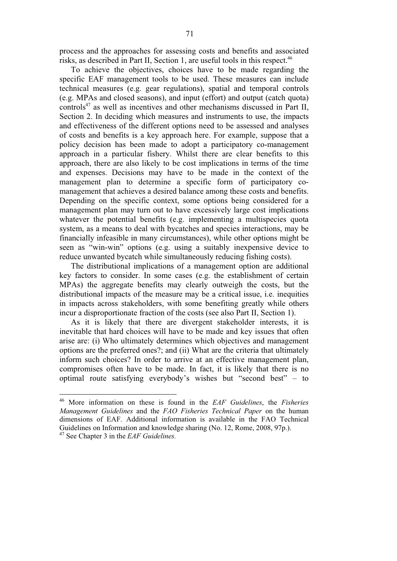process and the approaches for assessing costs and benefits and associated risks, as described in Part II, Section 1, are useful tools in this respect.<sup>46</sup>

To achieve the objectives, choices have to be made regarding the specific EAF management tools to be used. These measures can include technical measures (e.g. gear regulations), spatial and temporal controls (e.g. MPAs and closed seasons), and input (effort) and output (catch quota) controls<sup>47</sup> as well as incentives and other mechanisms discussed in Part II, Section 2. In deciding which measures and instruments to use, the impacts and effectiveness of the different options need to be assessed and analyses of costs and benefits is a key approach here. For example, suppose that a policy decision has been made to adopt a participatory co-management approach in a particular fishery. Whilst there are clear benefits to this approach, there are also likely to be cost implications in terms of the time and expenses. Decisions may have to be made in the context of the management plan to determine a specific form of participatory comanagement that achieves a desired balance among these costs and benefits. Depending on the specific context, some options being considered for a management plan may turn out to have excessively large cost implications whatever the potential benefits (e.g. implementing a multispecies quota system, as a means to deal with bycatches and species interactions, may be financially infeasible in many circumstances), while other options might be seen as "win-win" options (e.g. using a suitably inexpensive device to reduce unwanted bycatch while simultaneously reducing fishing costs).

The distributional implications of a management option are additional key factors to consider. In some cases (e.g. the establishment of certain MPAs) the aggregate benefits may clearly outweigh the costs, but the distributional impacts of the measure may be a critical issue, i.e. inequities in impacts across stakeholders, with some benefiting greatly while others incur a disproportionate fraction of the costs (see also Part II, Section 1).

As it is likely that there are divergent stakeholder interests, it is inevitable that hard choices will have to be made and key issues that often arise are: (i) Who ultimately determines which objectives and management options are the preferred ones?; and (ii) What are the criteria that ultimately inform such choices? In order to arrive at an effective management plan, compromises often have to be made. In fact, it is likely that there is no optimal route satisfying everybody's wishes but "second best" – to

<sup>46</sup> More information on these is found in the *EAF Guidelines*, the *Fisheries Management Guidelines* and the *FAO Fisheries Technical Paper* on the human dimensions of EAF. Additional information is available in the FAO Technical Guidelines on Information and knowledge sharing (No. 12, Rome, 2008, 97p.).

<sup>47</sup> See Chapter 3 in the *EAF Guidelines.*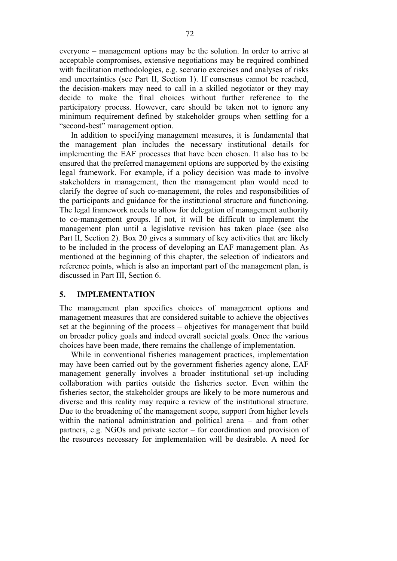everyone – management options may be the solution. In order to arrive at acceptable compromises, extensive negotiations may be required combined with facilitation methodologies, e.g. scenario exercises and analyses of risks and uncertainties (see Part II, Section 1). If consensus cannot be reached, the decision-makers may need to call in a skilled negotiator or they may decide to make the final choices without further reference to the participatory process. However, care should be taken not to ignore any minimum requirement defined by stakeholder groups when settling for a "second-best" management option.

In addition to specifying management measures, it is fundamental that the management plan includes the necessary institutional details for implementing the EAF processes that have been chosen. It also has to be ensured that the preferred management options are supported by the existing legal framework. For example, if a policy decision was made to involve stakeholders in management, then the management plan would need to clarify the degree of such co-management, the roles and responsibilities of the participants and guidance for the institutional structure and functioning. The legal framework needs to allow for delegation of management authority to co-management groups. If not, it will be difficult to implement the management plan until a legislative revision has taken place (see also Part II, Section 2). Box 20 gives a summary of key activities that are likely to be included in the process of developing an EAF management plan. As mentioned at the beginning of this chapter, the selection of indicators and reference points, which is also an important part of the management plan, is discussed in Part III, Section 6.

### **5. IMPLEMENTATION**

The management plan specifies choices of management options and management measures that are considered suitable to achieve the objectives set at the beginning of the process – objectives for management that build on broader policy goals and indeed overall societal goals. Once the various choices have been made, there remains the challenge of implementation.

While in conventional fisheries management practices, implementation may have been carried out by the government fisheries agency alone, EAF management generally involves a broader institutional set-up including collaboration with parties outside the fisheries sector. Even within the fisheries sector, the stakeholder groups are likely to be more numerous and diverse and this reality may require a review of the institutional structure. Due to the broadening of the management scope, support from higher levels within the national administration and political arena – and from other partners, e.g. NGOs and private sector – for coordination and provision of the resources necessary for implementation will be desirable. A need for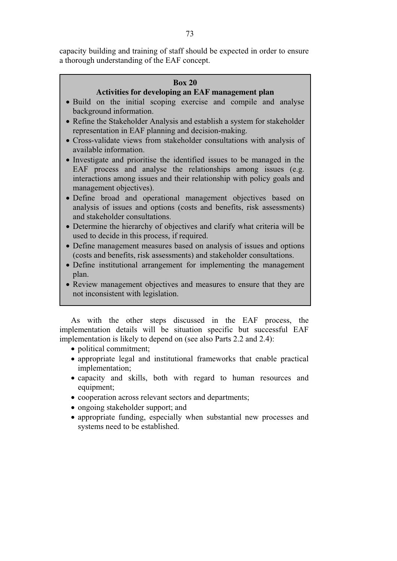capacity building and training of staff should be expected in order to ensure a thorough understanding of the EAF concept.

## **Box 20**

# **Activities for developing an EAF management plan**

- Build on the initial scoping exercise and compile and analyse background information.
- Refine the Stakeholder Analysis and establish a system for stakeholder representation in EAF planning and decision-making.
- Cross-validate views from stakeholder consultations with analysis of available information.
- Investigate and prioritise the identified issues to be managed in the EAF process and analyse the relationships among issues (e.g. interactions among issues and their relationship with policy goals and management objectives).
- Define broad and operational management objectives based on analysis of issues and options (costs and benefits, risk assessments) and stakeholder consultations.
- Determine the hierarchy of objectives and clarify what criteria will be used to decide in this process, if required.
- Define management measures based on analysis of issues and options (costs and benefits, risk assessments) and stakeholder consultations.
- Define institutional arrangement for implementing the management plan.
- Review management objectives and measures to ensure that they are not inconsistent with legislation.

As with the other steps discussed in the EAF process, the implementation details will be situation specific but successful EAF implementation is likely to depend on (see also Parts 2.2 and 2.4):

- political commitment;
- appropriate legal and institutional frameworks that enable practical implementation;
- capacity and skills, both with regard to human resources and equipment;
- cooperation across relevant sectors and departments;
- ongoing stakeholder support; and
- appropriate funding, especially when substantial new processes and systems need to be established.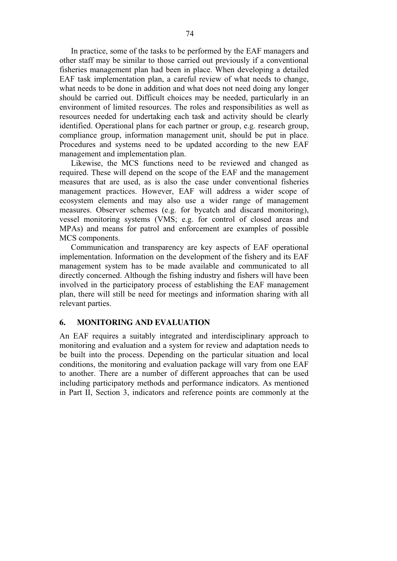In practice, some of the tasks to be performed by the EAF managers and other staff may be similar to those carried out previously if a conventional fisheries management plan had been in place. When developing a detailed EAF task implementation plan, a careful review of what needs to change, what needs to be done in addition and what does not need doing any longer should be carried out. Difficult choices may be needed, particularly in an environment of limited resources. The roles and responsibilities as well as resources needed for undertaking each task and activity should be clearly identified. Operational plans for each partner or group, e.g. research group, compliance group, information management unit, should be put in place. Procedures and systems need to be updated according to the new EAF management and implementation plan.

Likewise, the MCS functions need to be reviewed and changed as required. These will depend on the scope of the EAF and the management measures that are used, as is also the case under conventional fisheries management practices. However, EAF will address a wider scope of ecosystem elements and may also use a wider range of management measures. Observer schemes (e.g. for bycatch and discard monitoring), vessel monitoring systems (VMS; e.g. for control of closed areas and MPAs) and means for patrol and enforcement are examples of possible MCS components.

Communication and transparency are key aspects of EAF operational implementation. Information on the development of the fishery and its EAF management system has to be made available and communicated to all directly concerned. Although the fishing industry and fishers will have been involved in the participatory process of establishing the EAF management plan, there will still be need for meetings and information sharing with all relevant parties.

### **6. MONITORING AND EVALUATION**

An EAF requires a suitably integrated and interdisciplinary approach to monitoring and evaluation and a system for review and adaptation needs to be built into the process. Depending on the particular situation and local conditions, the monitoring and evaluation package will vary from one EAF to another. There are a number of different approaches that can be used including participatory methods and performance indicators. As mentioned in Part II, Section 3, indicators and reference points are commonly at the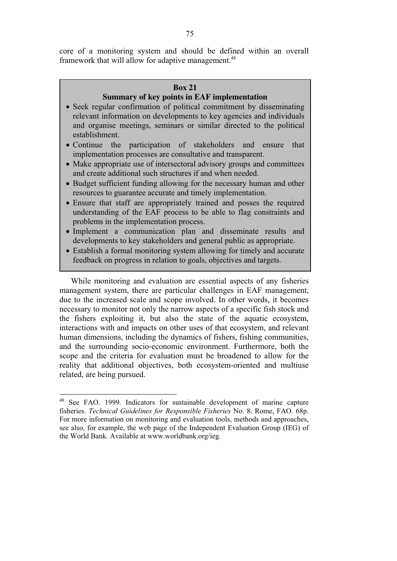core of a monitoring system and should be defined within an overall framework that will allow for adaptive management.<sup>48</sup>

### **Box 21**

# **Summary of key points in EAF implementation**

- Seek regular confirmation of political commitment by disseminating relevant information on developments to key agencies and individuals and organise meetings, seminars or similar directed to the political establishment.
- Continue the participation of stakeholders and ensure that implementation processes are consultative and transparent.
- Make appropriate use of intersectoral advisory groups and committees and create additional such structures if and when needed.
- Budget sufficient funding allowing for the necessary human and other resources to guarantee accurate and timely implementation.
- Ensure that staff are appropriately trained and posses the required understanding of the EAF process to be able to flag constraints and problems in the implementation process.
- Implement a communication plan and disseminate results and developments to key stakeholders and general public as appropriate.
- Establish a formal monitoring system allowing for timely and accurate feedback on progress in relation to goals, objectives and targets.

While monitoring and evaluation are essential aspects of any fisheries management system, there are particular challenges in EAF management, due to the increased scale and scope involved. In other words, it becomes necessary to monitor not only the narrow aspects of a specific fish stock and the fishers exploiting it, but also the state of the aquatic ecosystem, interactions with and impacts on other uses of that ecosystem, and relevant human dimensions, including the dynamics of fishers, fishing communities, and the surrounding socio-economic environment. Furthermore, both the scope and the criteria for evaluation must be broadened to allow for the reality that additional objectives, both ecosystem-oriented and multiuse related, are being pursued.

<sup>&</sup>lt;sup>48</sup> See FAO. 1999. Indicators for sustainable development of marine capture fisheries. *Technical Guidelines for Responsible Fisheries* No. 8. Rome, FAO. 68p. For more information on monitoring and evaluation tools, methods and approaches, see also, for example, the web page of the Independent Evaluation Group (IEG) of the World Bank. Available at www.worldbank.org/ieg.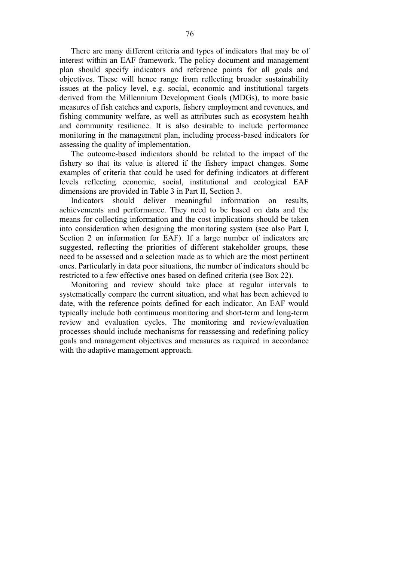There are many different criteria and types of indicators that may be of interest within an EAF framework. The policy document and management plan should specify indicators and reference points for all goals and objectives. These will hence range from reflecting broader sustainability issues at the policy level, e.g. social, economic and institutional targets derived from the Millennium Development Goals (MDGs), to more basic measures of fish catches and exports, fishery employment and revenues, and fishing community welfare, as well as attributes such as ecosystem health and community resilience. It is also desirable to include performance monitoring in the management plan, including process-based indicators for assessing the quality of implementation.

The outcome-based indicators should be related to the impact of the fishery so that its value is altered if the fishery impact changes. Some examples of criteria that could be used for defining indicators at different levels reflecting economic, social, institutional and ecological EAF dimensions are provided in Table 3 in Part II, Section 3.

Indicators should deliver meaningful information on results, achievements and performance. They need to be based on data and the means for collecting information and the cost implications should be taken into consideration when designing the monitoring system (see also Part I, Section 2 on information for EAF). If a large number of indicators are suggested, reflecting the priorities of different stakeholder groups, these need to be assessed and a selection made as to which are the most pertinent ones. Particularly in data poor situations, the number of indicators should be restricted to a few effective ones based on defined criteria (see Box 22).

Monitoring and review should take place at regular intervals to systematically compare the current situation, and what has been achieved to date, with the reference points defined for each indicator. An EAF would typically include both continuous monitoring and short-term and long-term review and evaluation cycles. The monitoring and review/evaluation processes should include mechanisms for reassessing and redefining policy goals and management objectives and measures as required in accordance with the adaptive management approach.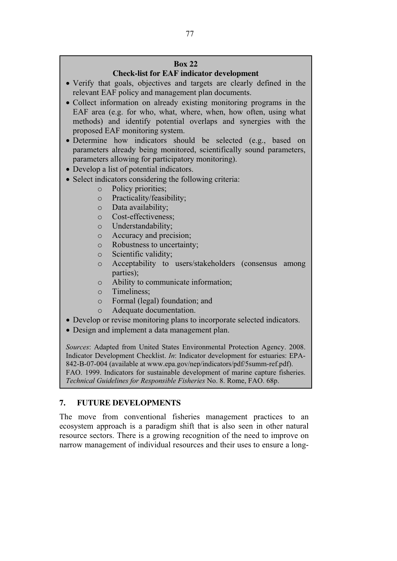# **Box 22**

# **Check-list for EAF indicator development**

- Verify that goals, objectives and targets are clearly defined in the relevant EAF policy and management plan documents.
- Collect information on already existing monitoring programs in the EAF area (e.g. for who, what, where, when, how often, using what methods) and identify potential overlaps and synergies with the proposed EAF monitoring system.
- Determine how indicators should be selected (e.g., based on parameters already being monitored, scientifically sound parameters, parameters allowing for participatory monitoring).
- Develop a list of potential indicators.
- Select indicators considering the following criteria:
	- o Policy priorities;
	- o Practicality/feasibility;
	- o Data availability;
	- o Cost-effectiveness;
	- o Understandability;
	- o Accuracy and precision;
	- o Robustness to uncertainty;
	- o Scientific validity;
	- o Acceptability to users/stakeholders (consensus among parties);
	- o Ability to communicate information;
	- o Timeliness;
	- o Formal (legal) foundation; and
	- o Adequate documentation.
- Develop or revise monitoring plans to incorporate selected indicators.
- Design and implement a data management plan.

*Sources*: Adapted from United States Environmental Protection Agency. 2008. Indicator Development Checklist. *In*: Indicator development for estuaries: EPA-842-B-07-004 (available at www.epa.gov/nep/indicators/pdf/5summ-ref.pdf). FAO. 1999. Indicators for sustainable development of marine capture fisheries. *Technical Guidelines for Responsible Fisheries* No. 8. Rome, FAO. 68p.

# **7. FUTURE DEVELOPMENTS**

The move from conventional fisheries management practices to an ecosystem approach is a paradigm shift that is also seen in other natural resource sectors. There is a growing recognition of the need to improve on narrow management of individual resources and their uses to ensure a long-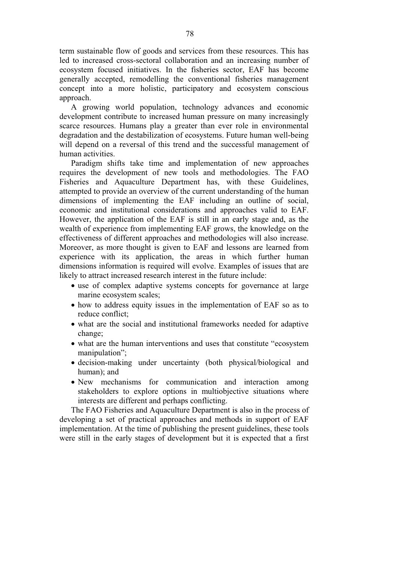term sustainable flow of goods and services from these resources. This has led to increased cross-sectoral collaboration and an increasing number of ecosystem focused initiatives. In the fisheries sector, EAF has become generally accepted, remodelling the conventional fisheries management concept into a more holistic, participatory and ecosystem conscious approach.

A growing world population, technology advances and economic development contribute to increased human pressure on many increasingly scarce resources. Humans play a greater than ever role in environmental degradation and the destabilization of ecosystems. Future human well-being will depend on a reversal of this trend and the successful management of human activities.

Paradigm shifts take time and implementation of new approaches requires the development of new tools and methodologies. The FAO Fisheries and Aquaculture Department has, with these Guidelines, attempted to provide an overview of the current understanding of the human dimensions of implementing the EAF including an outline of social, economic and institutional considerations and approaches valid to EAF. However, the application of the EAF is still in an early stage and, as the wealth of experience from implementing EAF grows, the knowledge on the effectiveness of different approaches and methodologies will also increase. Moreover, as more thought is given to EAF and lessons are learned from experience with its application, the areas in which further human dimensions information is required will evolve. Examples of issues that are likely to attract increased research interest in the future include:

- use of complex adaptive systems concepts for governance at large marine ecosystem scales;
- how to address equity issues in the implementation of EAF so as to reduce conflict;
- what are the social and institutional frameworks needed for adaptive change;
- what are the human interventions and uses that constitute "ecosystem manipulation";
- decision-making under uncertainty (both physical/biological and human); and
- New mechanisms for communication and interaction among stakeholders to explore options in multiobjective situations where interests are different and perhaps conflicting.

The FAO Fisheries and Aquaculture Department is also in the process of developing a set of practical approaches and methods in support of EAF implementation. At the time of publishing the present guidelines, these tools were still in the early stages of development but it is expected that a first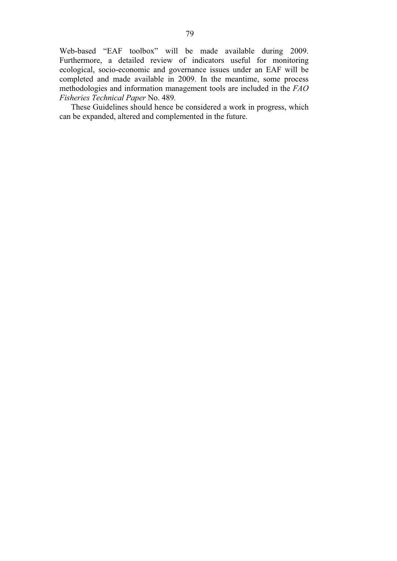Web-based "EAF toolbox" will be made available during 2009. Furthermore, a detailed review of indicators useful for monitoring ecological, socio-economic and governance issues under an EAF will be completed and made available in 2009. In the meantime, some process methodologies and information management tools are included in the *FAO Fisheries Technical Paper* No. 489*.*

These Guidelines should hence be considered a work in progress, which can be expanded, altered and complemented in the future.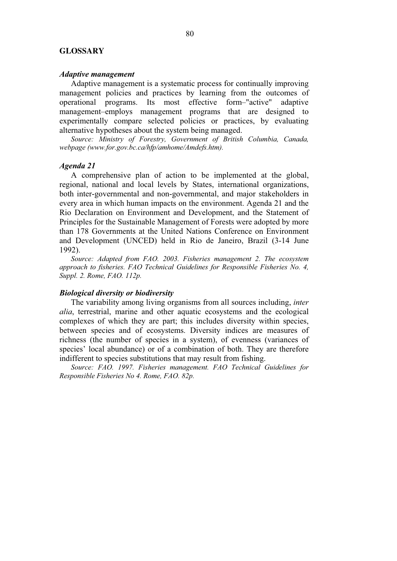### **GLOSSARY**

#### *Adaptive management*

Adaptive management is a systematic process for continually improving management policies and practices by learning from the outcomes of operational programs. Its most effective form–"active" adaptive management–employs management programs that are designed to experimentally compare selected policies or practices, by evaluating alternative hypotheses about the system being managed.

*Source: Ministry of Forestry, Government of British Columbia, Canada, webpage (www.for.gov.bc.ca/hfp/amhome/Amdefs.htm).* 

#### *Agenda 21*

A comprehensive plan of action to be implemented at the global, regional, national and local levels by States, international organizations, both inter-governmental and non-governmental, and major stakeholders in every area in which human impacts on the environment. Agenda 21 and the Rio Declaration on Environment and Development, and the Statement of Principles for the Sustainable Management of Forests were adopted by more than 178 Governments at the United Nations Conference on Environment and Development (UNCED) held in Rio de Janeiro, Brazil (3-14 June 1992).

*Source: Adapted from FAO. 2003. Fisheries management 2. The ecosystem approach to fisheries. FAO Technical Guidelines for Responsible Fisheries No. 4, Suppl. 2. Rome, FAO. 112p.* 

#### *Biological diversity or biodiversity*

The variability among living organisms from all sources including, *inter alia*, terrestrial, marine and other aquatic ecosystems and the ecological complexes of which they are part; this includes diversity within species, between species and of ecosystems. Diversity indices are measures of richness (the number of species in a system), of evenness (variances of species' local abundance) or of a combination of both. They are therefore indifferent to species substitutions that may result from fishing.

*Source: FAO. 1997. Fisheries management. FAO Technical Guidelines for Responsible Fisheries No 4. Rome, FAO. 82p.*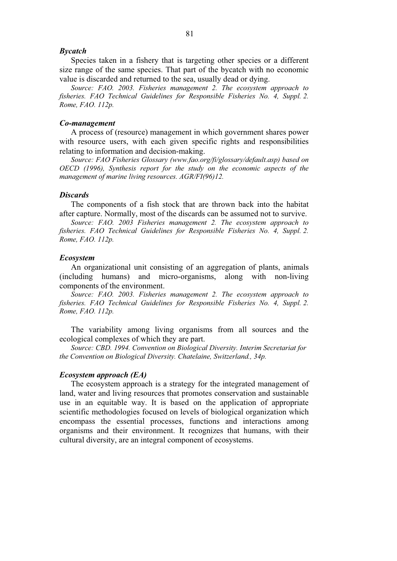### *Bycatch*

Species taken in a fishery that is targeting other species or a different size range of the same species. That part of the bycatch with no economic value is discarded and returned to the sea, usually dead or dying.

*Source: FAO. 2003. Fisheries management 2. The ecosystem approach to fisheries. FAO Technical Guidelines for Responsible Fisheries No. 4, Suppl. 2. Rome, FAO. 112p.* 

#### *Co-management*

A process of (resource) management in which government shares power with resource users, with each given specific rights and responsibilities relating to information and decision-making.

*Source: FAO Fisheries Glossary (www.fao.org/fi/glossary/default.asp) based on OECD (1996), Synthesis report for the study on the economic aspects of the management of marine living resources. AGR/FI(96)12.* 

### *Discards*

The components of a fish stock that are thrown back into the habitat after capture. Normally, most of the discards can be assumed not to survive.

*Source: FAO. 2003 Fisheries management 2. The ecosystem approach to fisheries. FAO Technical Guidelines for Responsible Fisheries No. 4, Suppl. 2. Rome, FAO. 112p.* 

#### *Ecosystem*

An organizational unit consisting of an aggregation of plants, animals (including humans) and micro-organisms, along with non-living components of the environment.

*Source: FAO. 2003. Fisheries management 2. The ecosystem approach to fisheries. FAO Technical Guidelines for Responsible Fisheries No. 4, Suppl. 2. Rome, FAO. 112p.* 

The variability among living organisms from all sources and the ecological complexes of which they are part.

*Source: CBD. 1994. Convention on Biological Diversity. Interim Secretariat for the Convention on Biological Diversity. Chatelaine, Switzerland., 34p.* 

### *Ecosystem approach (EA)*

The ecosystem approach is a strategy for the integrated management of land, water and living resources that promotes conservation and sustainable use in an equitable way. It is based on the application of appropriate scientific methodologies focused on levels of biological organization which encompass the essential processes, functions and interactions among organisms and their environment. It recognizes that humans, with their cultural diversity, are an integral component of ecosystems.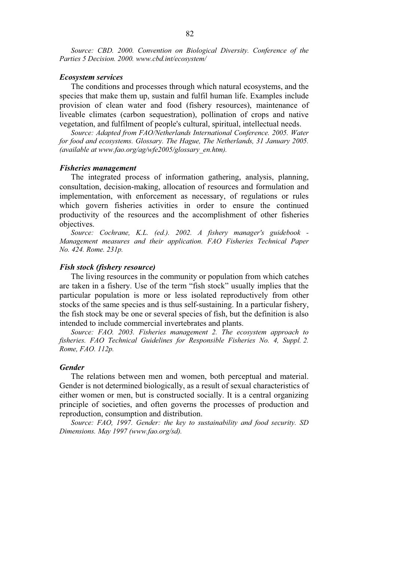*Source: CBD. 2000. Convention on Biological Diversity. Conference of the Parties 5 Decision. 2000. www.cbd.int/ecosystem/* 

### *Ecosystem services*

The conditions and processes through which natural ecosystems, and the species that make them up, sustain and fulfil human life. Examples include provision of clean water and food (fishery resources), maintenance of liveable climates (carbon sequestration), pollination of crops and native vegetation, and fulfilment of people's cultural, spiritual, intellectual needs.

*Source: Adapted from FAO/Netherlands International Conference. 2005. Water for food and ecosystems. Glossary. The Hague, The Netherlands, 31 January 2005. (available at www.fao.org/ag/wfe2005/glossary\_en.htm).* 

#### *Fisheries management*

The integrated process of information gathering, analysis, planning, consultation, decision-making, allocation of resources and formulation and implementation, with enforcement as necessary, of regulations or rules which govern fisheries activities in order to ensure the continued productivity of the resources and the accomplishment of other fisheries objectives.

*Source: Cochrane, K.L. (ed.). 2002. A fishery manager's guidebook - Management measures and their application. FAO Fisheries Technical Paper No. 424. Rome. 231p.* 

### *Fish stock (fishery resource)*

The living resources in the community or population from which catches are taken in a fishery. Use of the term "fish stock" usually implies that the particular population is more or less isolated reproductively from other stocks of the same species and is thus self-sustaining. In a particular fishery, the fish stock may be one or several species of fish, but the definition is also intended to include commercial invertebrates and plants.

*Source: FAO. 2003. Fisheries management 2. The ecosystem approach to fisheries. FAO Technical Guidelines for Responsible Fisheries No. 4, Suppl. 2. Rome, FAO. 112p.* 

### *Gender*

The relations between men and women, both perceptual and material. Gender is not determined biologically, as a result of sexual characteristics of either women or men, but is constructed socially. It is a central organizing principle of societies, and often governs the processes of production and reproduction, consumption and distribution.

*Source: FAO, 1997. Gender: the key to sustainability and food security. SD Dimensions. May 1997 (www.fao.org/sd).*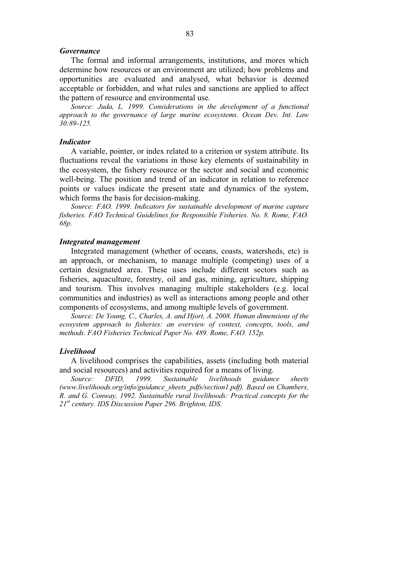### *Governance*

The formal and informal arrangements, institutions, and mores which determine how resources or an environment are utilized; how problems and opportunities are evaluated and analysed, what behavior is deemed acceptable or forbidden, and what rules and sanctions are applied to affect the pattern of resource and environmental use.

*Source: Juda, L. 1999. Considerations in the development of a functional approach to the governance of large marine ecosystems. Ocean Dev. Int. Law 30:89-125.* 

### *Indicator*

A variable, pointer, or index related to a criterion or system attribute. Its fluctuations reveal the variations in those key elements of sustainability in the ecosystem, the fishery resource or the sector and social and economic well-being. The position and trend of an indicator in relation to reference points or values indicate the present state and dynamics of the system, which forms the basis for decision-making.

*Source: FAO. 1999. Indicators for sustainable development of marine capture fisheries. FAO Technical Guidelines for Responsible Fisheries. No. 8. Rome, FAO. 68p.* 

#### *Integrated management*

Integrated management (whether of oceans, coasts, watersheds, etc) is an approach, or mechanism, to manage multiple (competing) uses of a certain designated area. These uses include different sectors such as fisheries, aquaculture, forestry, oil and gas, mining, agriculture, shipping and tourism. This involves managing multiple stakeholders (e.g. local communities and industries) as well as interactions among people and other components of ecosystems, and among multiple levels of government.

*Source: De Young, C., Charles, A. and Hjort, A. 2008. Human dimensions of the ecosystem approach to fisheries: an overview of context, concepts, tools, and methods. FAO Fisheries Technical Paper No. 489. Rome, FAO. 152p.* 

### *Livelihood*

A livelihood comprises the capabilities, assets (including both material and social resources) and activities required for a means of living.

*Source: DFID, 1999. Sustainable livelihoods guidance sheets (www.livelihoods.org/info/guidance\_sheets\_pdfs/section1.pdf). Based on Chambers, R. and G. Conway, 1992. Sustainable rural livelihoods: Practical concepts for the 21st century. IDS Discussion Paper 296. Brighton, IDS.*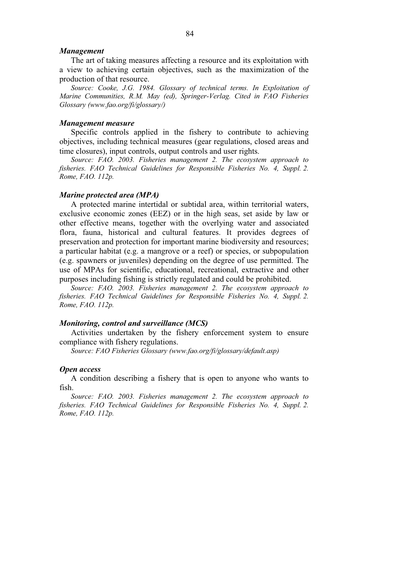#### *Management*

The art of taking measures affecting a resource and its exploitation with a view to achieving certain objectives, such as the maximization of the production of that resource.

*Source: Cooke, J.G. 1984. Glossary of technical terms. In Exploitation of Marine Communities, R.M. May (ed), Springer-Verlag. Cited in FAO Fisheries Glossary (www.fao.org/fi/glossary/)* 

#### *Management measure*

Specific controls applied in the fishery to contribute to achieving objectives, including technical measures (gear regulations, closed areas and time closures), input controls, output controls and user rights.

*Source: FAO. 2003. Fisheries management 2. The ecosystem approach to fisheries. FAO Technical Guidelines for Responsible Fisheries No. 4, Suppl. 2. Rome, FAO. 112p.* 

### *Marine protected area (MPA)*

A protected marine intertidal or subtidal area, within territorial waters, exclusive economic zones (EEZ) or in the high seas, set aside by law or other effective means, together with the overlying water and associated flora, fauna, historical and cultural features. It provides degrees of preservation and protection for important marine biodiversity and resources; a particular habitat (e.g. a mangrove or a reef) or species, or subpopulation (e.g. spawners or juveniles) depending on the degree of use permitted. The use of MPAs for scientific, educational, recreational, extractive and other purposes including fishing is strictly regulated and could be prohibited.

*Source: FAO. 2003. Fisheries management 2. The ecosystem approach to fisheries. FAO Technical Guidelines for Responsible Fisheries No. 4, Suppl. 2. Rome, FAO. 112p.* 

### *Monitoring, control and surveillance (MCS)*

Activities undertaken by the fishery enforcement system to ensure compliance with fishery regulations.

*Source: FAO Fisheries Glossary (www.fao.org/fi/glossary/default.asp)*

### *Open access*

A condition describing a fishery that is open to anyone who wants to fish.

*Source: FAO. 2003. Fisheries management 2. The ecosystem approach to fisheries. FAO Technical Guidelines for Responsible Fisheries No. 4, Suppl. 2. Rome, FAO. 112p.*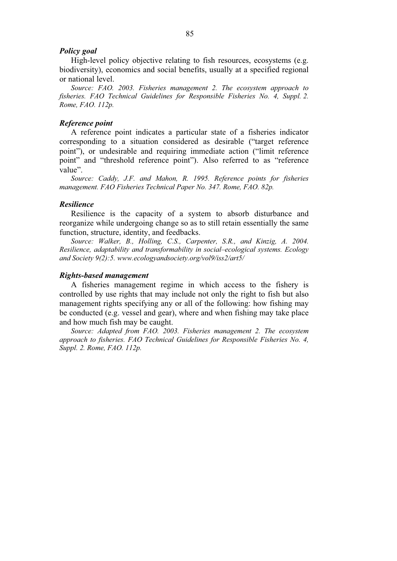### *Policy goal*

High-level policy objective relating to fish resources, ecosystems (e.g. biodiversity), economics and social benefits, usually at a specified regional or national level.

*Source: FAO. 2003. Fisheries management 2. The ecosystem approach to fisheries. FAO Technical Guidelines for Responsible Fisheries No. 4, Suppl. 2. Rome, FAO. 112p.*

## *Reference point*

A reference point indicates a particular state of a fisheries indicator corresponding to a situation considered as desirable ("target reference point"), or undesirable and requiring immediate action ("limit reference point" and "threshold reference point"). Also referred to as "reference value".

*Source: Caddy, J.F. and Mahon, R. 1995. Reference points for fisheries management. FAO Fisheries Technical Paper No. 347. Rome, FAO. 82p.* 

# *Resilience*

Resilience is the capacity of a system to absorb disturbance and reorganize while undergoing change so as to still retain essentially the same function, structure, identity, and feedbacks.

Source: Walker, B., Holling, C.S., Carpenter, S.R., and Kinzig, A. 2004. *Resilience, adaptability and transformability in social–ecological systems. Ecology and Society 9(2):5. www.ecologyandsociety.org/vol9/iss2/art5/* 

## *Rights-based management*

A fisheries management regime in which access to the fishery is controlled by use rights that may include not only the right to fish but also management rights specifying any or all of the following: how fishing may be conducted (e.g. vessel and gear), where and when fishing may take place and how much fish may be caught.

*Source: Adapted from FAO. 2003. Fisheries management 2. The ecosystem approach to fisheries. FAO Technical Guidelines for Responsible Fisheries No. 4, Suppl. 2. Rome, FAO. 112p.*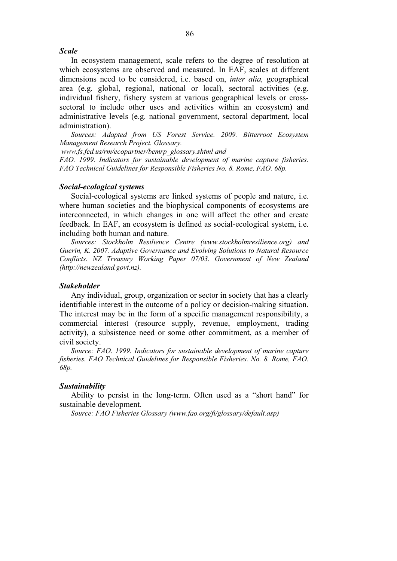## *Scale*

In ecosystem management, scale refers to the degree of resolution at which ecosystems are observed and measured. In EAF, scales at different dimensions need to be considered, i.e. based on, *inter alia,* geographical area (e.g. global, regional, national or local), sectoral activities (e.g. individual fishery, fishery system at various geographical levels or crosssectoral to include other uses and activities within an ecosystem) and administrative levels (e.g. national government, sectoral department, local administration).

*Sources: Adapted from US Forest Service. 2009. Bitterroot Ecosystem Management Research Project. Glossary.* 

 *www.fs.fed.us/rm/ecopartner/bemrp\_glossary.shtml and* 

*FAO. 1999. Indicators for sustainable development of marine capture fisheries. FAO Technical Guidelines for Responsible Fisheries No. 8. Rome, FAO. 68p.* 

## *Social-ecological systems*

Social-ecological systems are linked systems of people and nature, i.e. where human societies and the biophysical components of ecosystems are interconnected, in which changes in one will affect the other and create feedback. In EAF, an ecosystem is defined as social-ecological system, i.e. including both human and nature.

*Sources: Stockholm Resilience Centre (www.stockholmresilience.org) and Guerin, K. 2007. Adaptive Governance and Evolving Solutions to Natural Resource Conflicts. NZ Treasury Working Paper 07/03. Government of New Zealand (http://newzealand.govt.nz).* 

#### *Stakeholder*

Any individual, group, organization or sector in society that has a clearly identifiable interest in the outcome of a policy or decision-making situation. The interest may be in the form of a specific management responsibility, a commercial interest (resource supply, revenue, employment, trading activity), a subsistence need or some other commitment, as a member of civil society.

*Source: FAO. 1999. Indicators for sustainable development of marine capture fisheries. FAO Technical Guidelines for Responsible Fisheries. No. 8. Rome, FAO. 68p.* 

# *Sustainability*

Ability to persist in the long-term. Often used as a "short hand" for sustainable development.

*Source: FAO Fisheries Glossary (www.fao.org/fi/glossary/default.asp)*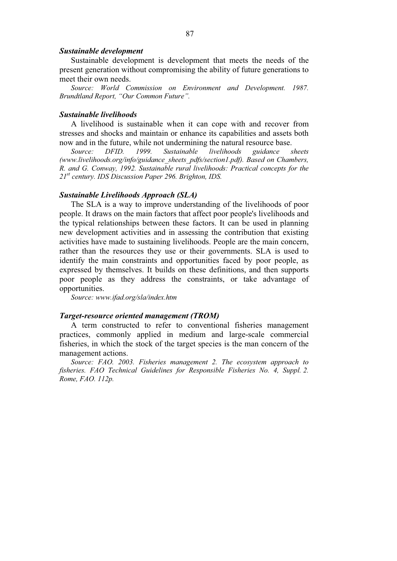#### *Sustainable development*

Sustainable development is development that meets the needs of the present generation without compromising the ability of future generations to meet their own needs.

Source: World Commission on Environment and Development. 1987. *Brundtland Report, "Our Common Future".* 

## *Sustainable livelihoods*

A livelihood is sustainable when it can cope with and recover from stresses and shocks and maintain or enhance its capabilities and assets both now and in the future, while not undermining the natural resource base.

*Source: DFID. 1999. Sustainable livelihoods guidance sheets (www.livelihoods.org/info/guidance\_sheets\_pdfs/section1.pdf). Based on Chambers, R. and G. Conway, 1992. Sustainable rural livelihoods: Practical concepts for the 21st century. IDS Discussion Paper 296. Brighton, IDS.* 

## *Sustainable Livelihoods Approach (SLA)*

The SLA is a way to improve understanding of the livelihoods of poor people. It draws on the main factors that affect poor people's livelihoods and the typical relationships between these factors. It can be used in planning new development activities and in assessing the contribution that existing activities have made to sustaining livelihoods. People are the main concern, rather than the resources they use or their governments. SLA is used to identify the main constraints and opportunities faced by poor people, as expressed by themselves. It builds on these definitions, and then supports poor people as they address the constraints, or take advantage of opportunities.

*Source: www.ifad.org/sla/index.htm* 

#### *Target-resource oriented management (TROM)*

A term constructed to refer to conventional fisheries management practices, commonly applied in medium and large-scale commercial fisheries, in which the stock of the target species is the man concern of the management actions.

*Source: FAO. 2003. Fisheries management 2. The ecosystem approach to fisheries. FAO Technical Guidelines for Responsible Fisheries No. 4, Suppl. 2. Rome, FAO. 112p.*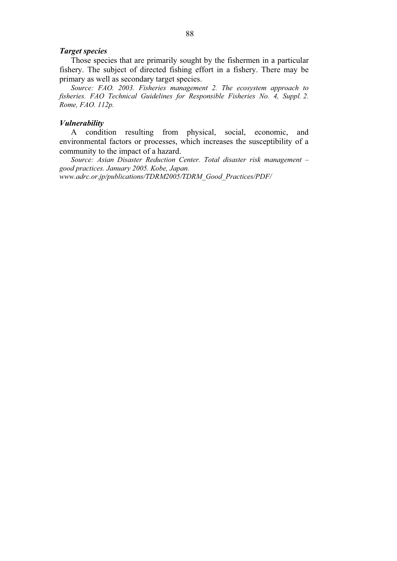### *Target species*

Those species that are primarily sought by the fishermen in a particular fishery. The subject of directed fishing effort in a fishery. There may be primary as well as secondary target species.

*Source: FAO. 2003. Fisheries management 2. The ecosystem approach to fisheries. FAO Technical Guidelines for Responsible Fisheries No. 4, Suppl. 2. Rome, FAO. 112p.* 

#### *Vulnerability*

A condition resulting from physical, social, economic, and environmental factors or processes, which increases the susceptibility of a community to the impact of a hazard.

*Source: Asian Disaster Reduction Center. Total disaster risk management – good practices. January 2005. Kobe, Japan. www.adrc.or.jp/publications/TDRM2005/TDRM\_Good\_Practices/PDF/*